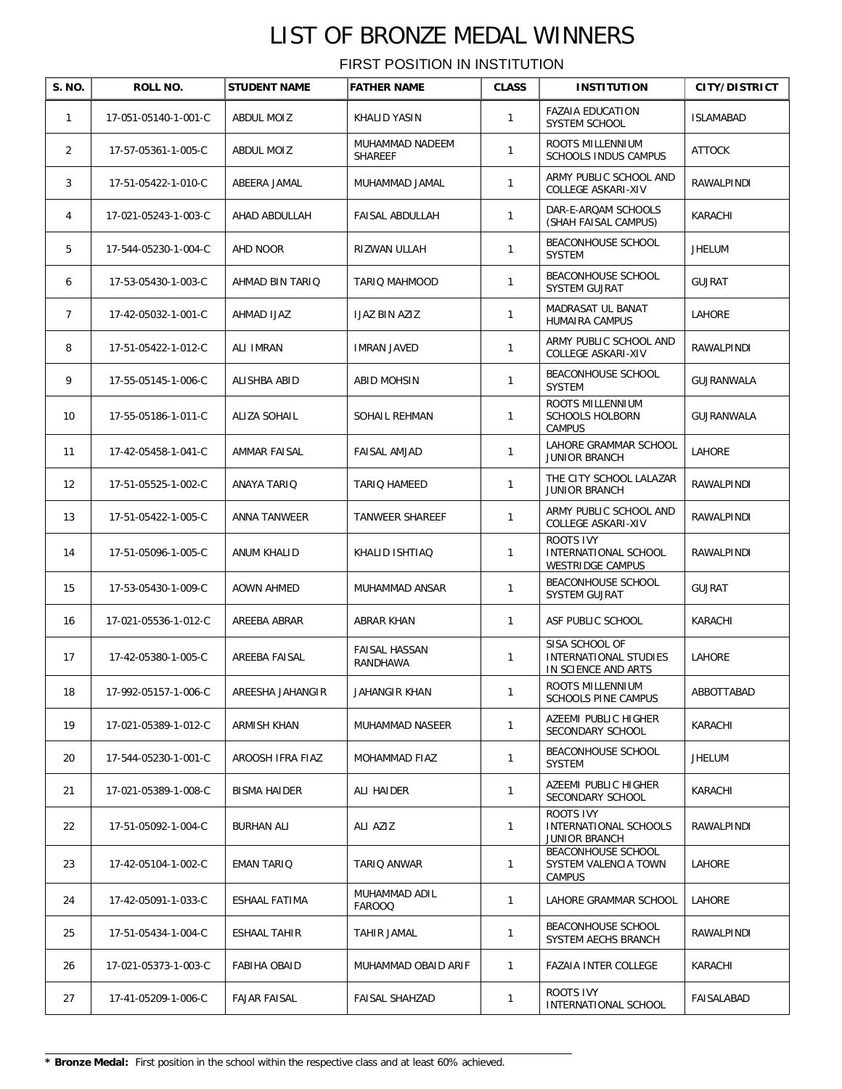| S. NO.         | ROLL NO.             | <b>STUDENT NAME</b> | <b>FATHER NAME</b>               | <b>CLASS</b> | <b>INSTITUTION</b>                                             | <b>CITY/DISTRICT</b> |
|----------------|----------------------|---------------------|----------------------------------|--------------|----------------------------------------------------------------|----------------------|
| $\mathbf{1}$   | 17-051-05140-1-001-C | ABDUL MOIZ          | KHALID YASIN                     | 1            | <b>FAZAIA EDUCATION</b><br><b>SYSTEM SCHOOL</b>                | <b>ISLAMABAD</b>     |
| 2              | 17-57-05361-1-005-C  | ABDUL MOIZ          | MUHAMMAD NADEEM<br>SHAREEF       | 1            | ROOTS MILLENNIUM<br>SCHOOLS INDUS CAMPUS                       | <b>ATTOCK</b>        |
| 3              | 17-51-05422-1-010-C  | ABEERA JAMAL        | MUHAMMAD JAMAL                   | $\mathbf{1}$ | ARMY PUBLIC SCHOOL AND<br>COLLEGE ASKARI-XIV                   | RAWALPINDI           |
| 4              | 17-021-05243-1-003-C | AHAD ABDULLAH       | <b>FAISAL ABDULLAH</b>           | $\mathbf{1}$ | DAR-E-ARQAM SCHOOLS<br>(SHAH FAISAL CAMPUS)                    | KARACHI              |
| 5              | 17-544-05230-1-004-C | AHD NOOR            | RIZWAN ULLAH                     | $\mathbf{1}$ | BEACONHOUSE SCHOOL<br>SYSTEM                                   | <b>JHELUM</b>        |
| 6              | 17-53-05430-1-003-C  | AHMAD BIN TARIQ     | TARIQ MAHMOOD                    | $\mathbf{1}$ | BEACONHOUSE SCHOOL<br>SYSTEM GUJRAT                            | <b>GUJRAT</b>        |
| $\overline{7}$ | 17-42-05032-1-001-C  | AHMAD IJAZ          | IJAZ BIN AZIZ                    | $\mathbf{1}$ | MADRASAT UL BANAT<br>HUMAIRA CAMPUS                            | LAHORE               |
| 8              | 17-51-05422-1-012-C  | ALI IMRAN           | IMRAN JAVED                      | $\mathbf{1}$ | ARMY PUBLIC SCHOOL AND<br>COLLEGE ASKARI-XIV                   | RAWALPINDI           |
| 9              | 17-55-05145-1-006-C  | ALISHBA ABID        | ABID MOHSIN                      | $\mathbf{1}$ | BEACONHOUSE SCHOOL<br>SYSTEM                                   | GUJRANWALA           |
| 10             | 17-55-05186-1-011-C  | <b>ALIZA SOHAIL</b> | SOHAIL REHMAN                    | $\mathbf{1}$ | ROOTS MILLENNIUM<br><b>SCHOOLS HOLBORN</b><br><b>CAMPUS</b>    | GUJRANWALA           |
| 11             | 17-42-05458-1-041-C  | AMMAR FAISAL        | <b>FAISAL AMJAD</b>              | $\mathbf{1}$ | LAHORE GRAMMAR SCHOOL<br><b>JUNIOR BRANCH</b>                  | LAHORE               |
| 12             | 17-51-05525-1-002-C  | ANAYA TARIQ         | TARIQ HAMEED                     | $\mathbf{1}$ | THE CITY SCHOOL LALAZAR<br><b>JUNIOR BRANCH</b>                | RAWALPINDI           |
| 13             | 17-51-05422-1-005-C  | ANNA TANWEER        | TANWEER SHAREEF                  | 1            | ARMY PUBLIC SCHOOL AND<br>COLLEGE ASKARI-XIV                   | RAWALPINDI           |
| 14             | 17-51-05096-1-005-C  | ANUM KHALID         | KHALID ISHTIAQ                   | $\mathbf{1}$ | ROOTS IVY<br>INTERNATIONAL SCHOOL<br>WESTRIDGE CAMPUS          | RAWALPINDI           |
| 15             | 17-53-05430-1-009-C  | AOWN AHMED          | MUHAMMAD ANSAR                   | $\mathbf{1}$ | BEACONHOUSE SCHOOL<br>SYSTEM GUJRAT                            | <b>GUJRAT</b>        |
| 16             | 17-021-05536-1-012-C | AREEBA ABRAR        | ABRAR KHAN                       | $\mathbf{1}$ | ASF PUBLIC SCHOOL                                              | KARACHI              |
| 17             | 17-42-05380-1-005-C  | AREEBA FAISAL       | <b>FAISAL HASSAN</b><br>RANDHAWA | $\mathbf{1}$ | SISA SCHOOL OF<br>INTERNATIONAL STUDIES<br>IN SCIENCE AND ARTS | LAHORE               |
| 18             | 17-992-05157-1-006-C | AREESHA JAHANGIR    | JAHANGIR KHAN                    | 1            | ROOTS MILLENNIUM<br>SCHOOLS PINE CAMPUS                        | ABBOTTABAD           |
| 19             | 17-021-05389-1-012-C | ARMISH KHAN         | MUHAMMAD NASEER                  | $\mathbf{1}$ | AZEEMI PUBLIC HIGHER<br>SECONDARY SCHOOL                       | KARACHI              |
| 20             | 17-544-05230-1-001-C | AROOSH IFRA FIAZ    | MOHAMMAD FIAZ                    | $\mathbf{1}$ | BEACONHOUSE SCHOOL<br><b>SYSTEM</b>                            | JHELUM               |
| 21             | 17-021-05389-1-008-C | <b>BISMA HAIDER</b> | ALI HAIDER                       | $\mathbf{1}$ | AZEEMI PUBLIC HIGHER<br>SECONDARY SCHOOL                       | KARACHI              |
| 22             | 17-51-05092-1-004-C  | <b>BURHAN ALI</b>   | ALI AZIZ                         | $\mathbf{1}$ | ROOTS IVY<br>INTERNATIONAL SCHOOLS<br><b>JUNIOR BRANCH</b>     | RAWALPINDI           |
| 23             | 17-42-05104-1-002-C  | EMAN TARIQ          | TARIO ANWAR                      | $\mathbf{1}$ | BEACONHOUSE SCHOOL<br>SYSTEM VALENCIA TOWN<br><b>CAMPUS</b>    | LAHORE               |
| 24             | 17-42-05091-1-033-C  | ESHAAL FATIMA       | MUHAMMAD ADIL<br><b>FAROOQ</b>   | $\mathbf{1}$ | LAHORE GRAMMAR SCHOOL                                          | LAHORE               |
| 25             | 17-51-05434-1-004-C  | ESHAAL TAHIR        | TAHIR JAMAL                      | $\mathbf{1}$ | BEACONHOUSE SCHOOL<br>SYSTEM AECHS BRANCH                      | RAWALPINDI           |
| 26             | 17-021-05373-1-003-C | <b>FABIHA OBAID</b> | MUHAMMAD OBAID ARIF              | $\mathbf{1}$ | FAZAIA INTER COLLEGE                                           | KARACHI              |
| 27             | 17-41-05209-1-006-C  | <b>FAJAR FAISAL</b> | FAISAL SHAHZAD                   | $\mathbf{1}$ | ROOTS IVY<br>INTERNATIONAL SCHOOL                              | FAISALABAD           |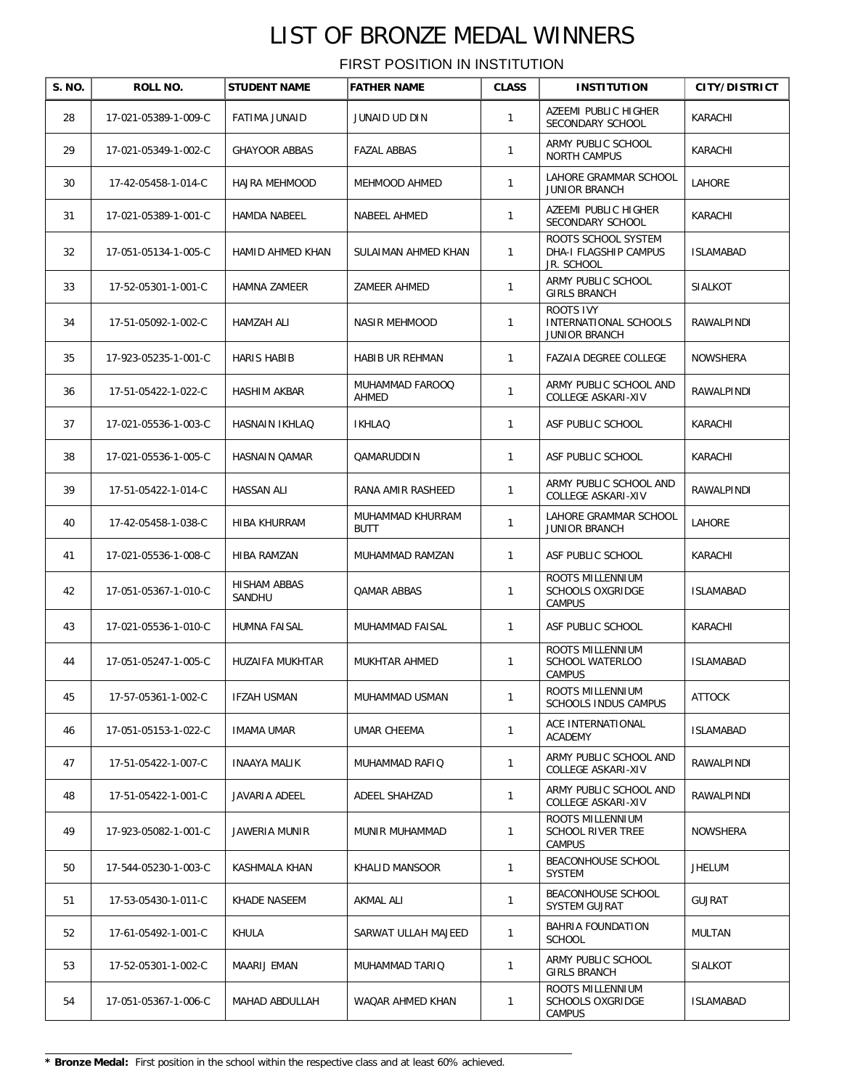| S. NO. | ROLL NO.             | <b>STUDENT NAME</b>    | <b>FATHER NAME</b>              | <b>CLASS</b> | <b>INSTITUTION</b>                                                | <b>CITY/DISTRICT</b> |
|--------|----------------------|------------------------|---------------------------------|--------------|-------------------------------------------------------------------|----------------------|
| 28     | 17-021-05389-1-009-C | <b>FATIMA JUNAID</b>   | JUNAID UD DIN                   | $\mathbf{1}$ | AZEEMI PUBLIC HIGHER<br>SECONDARY SCHOOL                          | KARACHI              |
| 29     | 17-021-05349-1-002-C | <b>GHAYOOR ABBAS</b>   | <b>FAZAL ABBAS</b>              | $\mathbf{1}$ | ARMY PUBLIC SCHOOL<br><b>NORTH CAMPUS</b>                         | KARACHI              |
| 30     | 17-42-05458-1-014-C  | HAJRA MEHMOOD          | MEHMOOD AHMED                   | $\mathbf{1}$ | LAHORE GRAMMAR SCHOOL<br><b>JUNIOR BRANCH</b>                     | LAHORE               |
| 31     | 17-021-05389-1-001-C | HAMDA NABEEL           | NABEEL AHMED                    | 1            | AZEEMI PUBLIC HIGHER<br>SECONDARY SCHOOL                          | KARACHI              |
| 32     | 17-051-05134-1-005-C | HAMID AHMED KHAN       | SULAIMAN AHMED KHAN             | $\mathbf{1}$ | ROOTS SCHOOL SYSTEM<br>DHA-I FLAGSHIP CAMPUS<br><b>JR. SCHOOL</b> | <b>ISLAMABAD</b>     |
| 33     | 17-52-05301-1-001-C  | HAMNA ZAMEER           | ZAMEER AHMED                    | 1            | ARMY PUBLIC SCHOOL<br><b>GIRLS BRANCH</b>                         | <b>SIALKOT</b>       |
| 34     | 17-51-05092-1-002-C  | HAMZAH ALI             | <b>NASIR MEHMOOD</b>            | 1            | <b>ROOTS IVY</b><br>INTERNATIONAL SCHOOLS<br><b>JUNIOR BRANCH</b> | RAWALPINDI           |
| 35     | 17-923-05235-1-001-C | <b>HARIS HABIB</b>     | HABIB UR REHMAN                 | $\mathbf{1}$ | FAZAIA DEGREE COLLEGE                                             | <b>NOWSHERA</b>      |
| 36     | 17-51-05422-1-022-C  | <b>HASHIM AKBAR</b>    | MUHAMMAD FAROOQ<br>AHMED        | $\mathbf{1}$ | ARMY PUBLIC SCHOOL AND<br>COLLEGE ASKARI-XIV                      | RAWALPINDI           |
| 37     | 17-021-05536-1-003-C | HASNAIN IKHLAO         | <b>IKHLAQ</b>                   | $\mathbf{1}$ | ASF PUBLIC SCHOOL                                                 | KARACHI              |
| 38     | 17-021-05536-1-005-C | <b>HASNAIN OAMAR</b>   | <b>OAMARUDDIN</b>               | $\mathbf{1}$ | ASF PUBLIC SCHOOL                                                 | KARACHI              |
| 39     | 17-51-05422-1-014-C  | <b>HASSAN ALI</b>      | RANA AMIR RASHEED               | $\mathbf{1}$ | ARMY PUBLIC SCHOOL AND<br>COLLEGE ASKARI-XIV                      | RAWALPINDI           |
| 40     | 17-42-05458-1-038-C  | <b>HIBA KHURRAM</b>    | MUHAMMAD KHURRAM<br><b>BUTT</b> | $\mathbf{1}$ | LAHORE GRAMMAR SCHOOL<br><b>JUNIOR BRANCH</b>                     | LAHORE               |
| 41     | 17-021-05536-1-008-C | HIBA RAMZAN            | MUHAMMAD RAMZAN                 | $\mathbf{1}$ | ASF PUBLIC SCHOOL                                                 | KARACHI              |
| 42     | 17-051-05367-1-010-C | HISHAM ABBAS<br>SANDHU | QAMAR ABBAS                     | 1            | ROOTS MILLENNIUM<br><b>SCHOOLS OXGRIDGE</b><br><b>CAMPUS</b>      | <b>ISLAMABAD</b>     |
| 43     | 17-021-05536-1-010-C | HUMNA FAISAL           | MUHAMMAD FAISAL                 | $\mathbf{1}$ | ASF PUBLIC SCHOOL                                                 | KARACHI              |
| 44     | 17-051-05247-1-005-C | HUZAIFA MUKHTAR        | MUKHTAR AHMED                   | $\mathbf{1}$ | ROOTS MILLENNIUM<br><b>SCHOOL WATERLOO</b><br><b>CAMPUS</b>       | <b>ISLAMABAD</b>     |
| 45     | 17-57-05361-1-002-C  | <b>IFZAH USMAN</b>     | MUHAMMAD USMAN                  | $\mathbf{1}$ | ROOTS MILLENNIUM<br>SCHOOLS INDUS CAMPUS                          | <b>ATTOCK</b>        |
| 46     | 17-051-05153-1-022-C | <b>IMAMA UMAR</b>      | UMAR CHEEMA                     | 1            | ACE INTERNATIONAL<br><b>ACADEMY</b>                               | <b>ISLAMABAD</b>     |
| 47     | 17-51-05422-1-007-C  | <b>INAAYA MALIK</b>    | MUHAMMAD RAFIQ                  | 1            | ARMY PUBLIC SCHOOL AND<br>COLLEGE ASKARI-XIV                      | RAWALPINDI           |
| 48     | 17-51-05422-1-001-C  | JAVARIA ADEEL          | ADEEL SHAHZAD                   | $\mathbf{1}$ | ARMY PUBLIC SCHOOL AND<br>COLLEGE ASKARI-XIV                      | RAWALPINDI           |
| 49     | 17-923-05082-1-001-C | <b>JAWERIA MUNIR</b>   | MUNIR MUHAMMAD                  | $\mathbf{1}$ | ROOTS MILLENNIUM<br><b>SCHOOL RIVER TREE</b><br><b>CAMPUS</b>     | NOWSHERA             |
| 50     | 17-544-05230-1-003-C | KASHMALA KHAN          | KHALID MANSOOR                  | 1            | BEACONHOUSE SCHOOL<br>SYSTEM                                      | <b>JHELUM</b>        |
| 51     | 17-53-05430-1-011-C  | KHADE NASEEM           | AKMAL ALI                       | 1            | BEACONHOUSE SCHOOL<br>SYSTEM GUJRAT                               | <b>GUJRAT</b>        |
| 52     | 17-61-05492-1-001-C  | KHULA                  | SARWAT ULLAH MAJEED             | 1            | BAHRIA FOUNDATION<br>SCHOOL                                       | <b>MULTAN</b>        |
| 53     | 17-52-05301-1-002-C  | MAARIJ EMAN            | MUHAMMAD TARIQ                  | 1            | ARMY PUBLIC SCHOOL<br><b>GIRLS BRANCH</b>                         | <b>SIALKOT</b>       |
| 54     | 17-051-05367-1-006-C | MAHAD ABDULLAH         | WAQAR AHMED KHAN                | $\mathbf{1}$ | ROOTS MILLENNIUM<br><b>SCHOOLS OXGRIDGE</b><br><b>CAMPUS</b>      | <b>ISLAMABAD</b>     |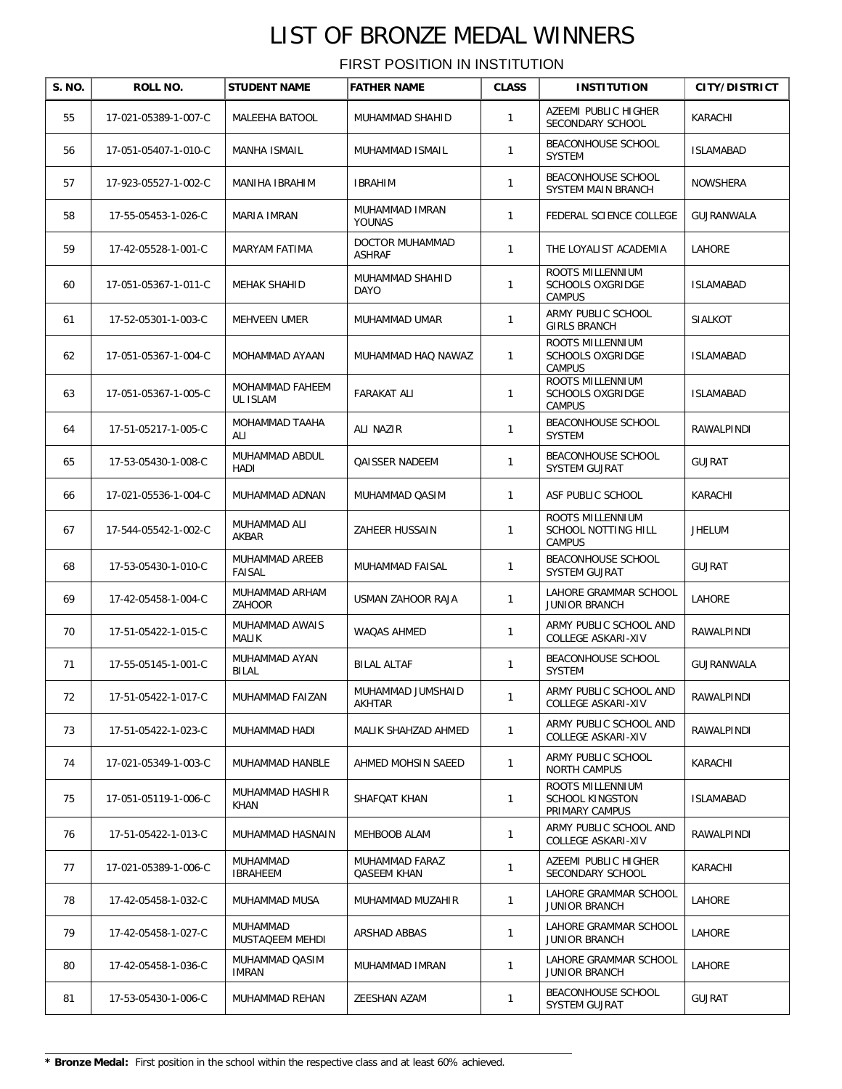| S. NO. | ROLL NO.             | <b>STUDENT NAME</b>             | <b>FATHER NAME</b>               | <b>CLASS</b> | <b>INSTITUTION</b>                                           | <b>CITY/DISTRICT</b> |
|--------|----------------------|---------------------------------|----------------------------------|--------------|--------------------------------------------------------------|----------------------|
| 55     | 17-021-05389-1-007-C | MALEEHA BATOOL                  | MUHAMMAD SHAHID                  | $\mathbf{1}$ | AZEEMI PUBLIC HIGHER<br>SECONDARY SCHOOL                     | KARACHI              |
| 56     | 17-051-05407-1-010-C | <b>MANHA ISMAIL</b>             | MUHAMMAD ISMAIL                  | $\mathbf{1}$ | BEACONHOUSE SCHOOL<br><b>SYSTEM</b>                          | <b>ISLAMABAD</b>     |
| 57     | 17-923-05527-1-002-C | MANIHA IBRAHIM                  | <b>IBRAHIM</b>                   | 1            | BEACONHOUSE SCHOOL<br>SYSTEM MAIN BRANCH                     | NOWSHERA             |
| 58     | 17-55-05453-1-026-C  | MARIA IMRAN                     | MUHAMMAD IMRAN<br>YOUNAS         | $\mathbf{1}$ | FEDERAL SCIENCE COLLEGE                                      | GUJRANWALA           |
| 59     | 17-42-05528-1-001-C  | MARYAM FATIMA                   | DOCTOR MUHAMMAD<br><b>ASHRAF</b> | $\mathbf{1}$ | THE LOYALIST ACADEMIA                                        | LAHORE               |
| 60     | 17-051-05367-1-011-C | MEHAK SHAHID                    | MUHAMMAD SHAHID<br><b>DAYO</b>   | $\mathbf{1}$ | ROOTS MILLENNIUM<br><b>SCHOOLS OXGRIDGE</b><br>CAMPUS        | <b>ISLAMABAD</b>     |
| 61     | 17-52-05301-1-003-C  | MEHVEEN UMER                    | MUHAMMAD UMAR                    | $\mathbf{1}$ | ARMY PUBLIC SCHOOL<br><b>GIRLS BRANCH</b>                    | <b>SIALKOT</b>       |
| 62     | 17-051-05367-1-004-C | MOHAMMAD AYAAN                  | MUHAMMAD HAQ NAWAZ               | $\mathbf{1}$ | ROOTS MILLENNIUM<br><b>SCHOOLS OXGRIDGE</b><br><b>CAMPUS</b> | <b>ISLAMABAD</b>     |
| 63     | 17-051-05367-1-005-C | MOHAMMAD FAHEEM<br>UL ISLAM     | FARAKAT ALI                      | $\mathbf{1}$ | ROOTS MILLENNIUM<br><b>SCHOOLS OXGRIDGE</b><br><b>CAMPUS</b> | <b>ISLAMABAD</b>     |
| 64     | 17-51-05217-1-005-C  | MOHAMMAD TAAHA<br>ALI           | ALI NAZIR                        | $\mathbf{1}$ | <b>BEACONHOUSE SCHOOL</b><br><b>SYSTEM</b>                   | RAWALPINDI           |
| 65     | 17-53-05430-1-008-C  | MUHAMMAD ABDUL<br>HADI          | <b>QAISSER NADEEM</b>            | 1            | <b>BEACONHOUSE SCHOOL</b><br><b>SYSTEM GUJRAT</b>            | <b>GUJRAT</b>        |
| 66     | 17-021-05536-1-004-C | MUHAMMAD ADNAN                  | MUHAMMAD QASIM                   | $\mathbf{1}$ | ASF PUBLIC SCHOOL                                            | KARACHI              |
| 67     | 17-544-05542-1-002-C | MUHAMMAD ALI<br>AKBAR           | ZAHEER HUSSAIN                   | $\mathbf{1}$ | ROOTS MILLENNIUM<br>SCHOOL NOTTING HILL<br>CAMPUS            | <b>JHELUM</b>        |
| 68     | 17-53-05430-1-010-C  | MUHAMMAD AREEB<br><b>FAISAL</b> | MUHAMMAD FAISAL                  | $\mathbf{1}$ | BEACONHOUSE SCHOOL<br><b>SYSTEM GUJRAT</b>                   | <b>GUJRAT</b>        |
| 69     | 17-42-05458-1-004-C  | MUHAMMAD ARHAM<br>ZAHOOR        | USMAN ZAHOOR RAJA                | $\mathbf{1}$ | LAHORE GRAMMAR SCHOOL<br><b>JUNIOR BRANCH</b>                | LAHORE               |
| 70     | 17-51-05422-1-015-C  | MUHAMMAD AWAIS<br><b>MALIK</b>  | WAQAS AHMED                      | $\mathbf{1}$ | ARMY PUBLIC SCHOOL AND<br><b>COLLEGE ASKARI-XIV</b>          | RAWALPINDI           |
| 71     | 17-55-05145-1-001-C  | MUHAMMAD AYAN<br><b>BILAL</b>   | <b>BILAL ALTAF</b>               | $\mathbf{1}$ | BEACONHOUSE SCHOOL<br><b>SYSTEM</b>                          | GUJRANWALA           |
| 72     | 17-51-05422-1-017-C  | MUHAMMAD FAIZAN                 | MUHAMMAD JUMSHAID<br>AKHTAR      | $\mathbf{1}$ | ARMY PUBLIC SCHOOL AND<br><b>COLLEGE ASKARI-XIV</b>          | RAWALPINDI           |
| 73     | 17-51-05422-1-023-C  | MUHAMMAD HADI                   | MALIK SHAHZAD AHMED              | $\mathbf{1}$ | ARMY PUBLIC SCHOOL AND<br>COLLEGE ASKARI-XIV                 | RAWALPINDI           |
| 74     | 17-021-05349-1-003-C | MUHAMMAD HANBLE                 | AHMED MOHSIN SAEED               | $\mathbf{1}$ | ARMY PUBLIC SCHOOL<br>NORTH CAMPUS                           | KARACHI              |
| 75     | 17-051-05119-1-006-C | MUHAMMAD HASHIR<br>KHAN         | SHAFQAT KHAN                     | $\mathbf{1}$ | ROOTS MILLENNIUM<br><b>SCHOOL KINGSTON</b><br>PRIMARY CAMPUS | <b>ISLAMABAD</b>     |
| 76     | 17-51-05422-1-013-C  | MUHAMMAD HASNAIN                | MEHBOOB ALAM                     | 1            | ARMY PUBLIC SCHOOL AND<br>COLLEGE ASKARI-XIV                 | RAWALPINDI           |
| 77     | 17-021-05389-1-006-C | MUHAMMAD<br><b>IBRAHEEM</b>     | MUHAMMAD FARAZ<br>QASEEM KHAN    | 1            | AZEEMI PUBLIC HIGHER<br>SECONDARY SCHOOL                     | KARACHI              |
| 78     | 17-42-05458-1-032-C  | MUHAMMAD MUSA                   | MUHAMMAD MUZAHIR                 | 1            | LAHORE GRAMMAR SCHOOL<br>JUNIOR BRANCH                       | LAHORE               |
| 79     | 17-42-05458-1-027-C  | MUHAMMAD<br>MUSTAQEEM MEHDI     | ARSHAD ABBAS                     | 1            | LAHORE GRAMMAR SCHOOL<br>JUNIOR BRANCH                       | LAHORE               |
| 80     | 17-42-05458-1-036-C  | MUHAMMAD QASIM<br>IMRAN         | MUHAMMAD IMRAN                   | 1            | LAHORE GRAMMAR SCHOOL<br>JUNIOR BRANCH                       | LAHORE               |
| 81     | 17-53-05430-1-006-C  | MUHAMMAD REHAN                  | ZEESHAN AZAM                     | 1            | BEACONHOUSE SCHOOL<br>SYSTEM GUJRAT                          | <b>GUJRAT</b>        |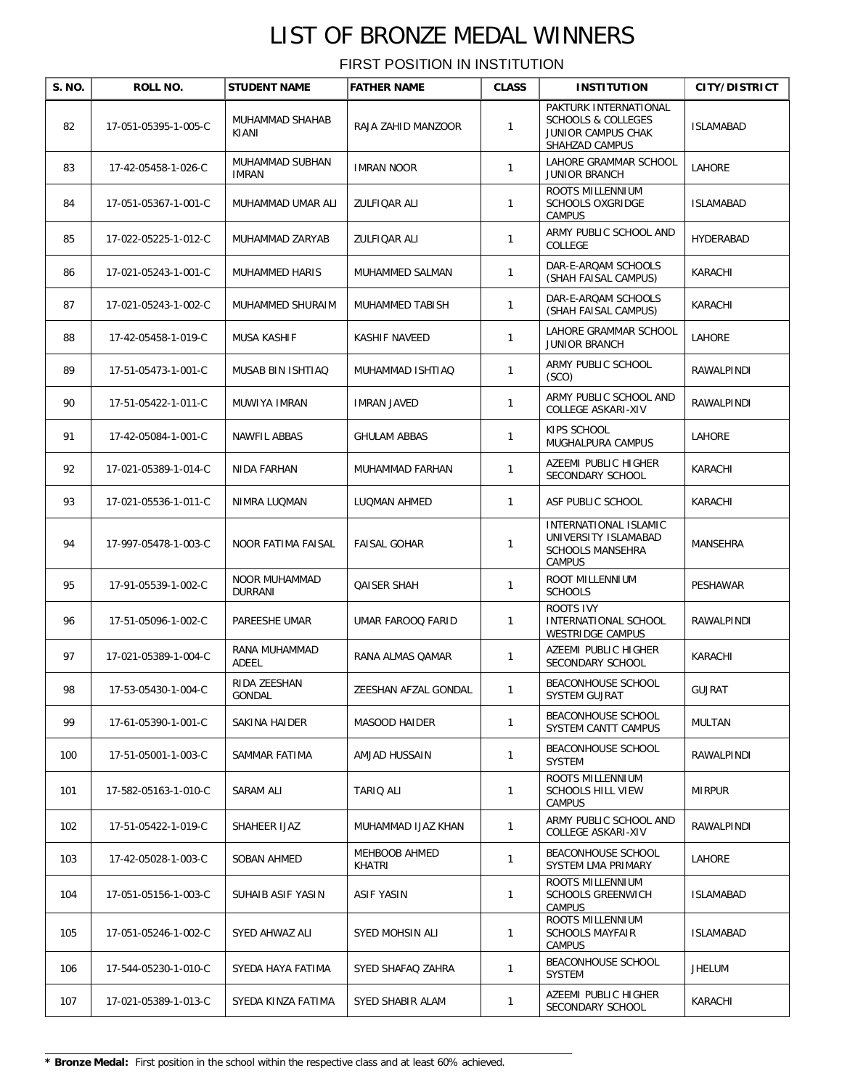| S. NO. | ROLL NO.             | <b>STUDENT NAME</b>             | <b>FATHER NAME</b>      | <b>CLASS</b> | <b>INSTITUTION</b>                                                                               | <b>CITY/DISTRICT</b> |
|--------|----------------------|---------------------------------|-------------------------|--------------|--------------------------------------------------------------------------------------------------|----------------------|
| 82     | 17-051-05395-1-005-C | MUHAMMAD SHAHAB<br>KIANI        | RAJA ZAHID MANZOOR      | $\mathbf{1}$ | PAKTURK INTERNATIONAL<br><b>SCHOOLS &amp; COLLEGES</b><br>JUNIOR CAMPUS CHAK<br>SHAHZAD CAMPUS   | <b>ISLAMABAD</b>     |
| 83     | 17-42-05458-1-026-C  | MUHAMMAD SUBHAN<br><b>IMRAN</b> | <b>IMRAN NOOR</b>       | $\mathbf{1}$ | LAHORE GRAMMAR SCHOOL<br><b>JUNIOR BRANCH</b>                                                    | LAHORE               |
| 84     | 17-051-05367-1-001-C | MUHAMMAD UMAR ALI               | ZULFIQAR ALI            | 1            | ROOTS MILLENNIUM<br><b>SCHOOLS OXGRIDGE</b><br><b>CAMPUS</b>                                     | <b>ISLAMABAD</b>     |
| 85     | 17-022-05225-1-012-C | MUHAMMAD ZARYAB                 | ZULFIQAR ALI            | $\mathbf{1}$ | ARMY PUBLIC SCHOOL AND<br>COLLEGE                                                                | HYDERABAD            |
| 86     | 17-021-05243-1-001-C | MUHAMMED HARIS                  | MUHAMMED SALMAN         | $\mathbf{1}$ | DAR-E-ARQAM SCHOOLS<br>(SHAH FAISAL CAMPUS)                                                      | KARACHI              |
| 87     | 17-021-05243-1-002-C | MUHAMMED SHURAIM                | MUHAMMED TABISH         | $\mathbf{1}$ | DAR-E-ARQAM SCHOOLS<br>(SHAH FAISAL CAMPUS)                                                      | KARACHI              |
| 88     | 17-42-05458-1-019-C  | MUSA KASHIF                     | KASHIF NAVEED           | $\mathbf{1}$ | LAHORE GRAMMAR SCHOOL<br><b>JUNIOR BRANCH</b>                                                    | LAHORE               |
| 89     | 17-51-05473-1-001-C  | MUSAB BIN ISHTIAQ               | MUHAMMAD ISHTIAQ        | $\mathbf{1}$ | ARMY PUBLIC SCHOOL<br>(SCO)                                                                      | RAWALPINDI           |
| 90     | 17-51-05422-1-011-C  | MUWIYA IMRAN                    | IMRAN JAVED             | $\mathbf{1}$ | ARMY PUBLIC SCHOOL AND<br>COLLEGE ASKARI-XIV                                                     | RAWALPINDI           |
| 91     | 17-42-05084-1-001-C  | NAWFIL ABBAS                    | <b>GHULAM ABBAS</b>     | $\mathbf{1}$ | KIPS SCHOOL<br>MUGHALPURA CAMPUS                                                                 | LAHORE               |
| 92     | 17-021-05389-1-014-C | NIDA FARHAN                     | MUHAMMAD FARHAN         | $\mathbf{1}$ | AZEEMI PUBLIC HIGHER<br>SECONDARY SCHOOL                                                         | KARACHI              |
| 93     | 17-021-05536-1-011-C | NIMRA LUQMAN                    | LUQMAN AHMED            | $\mathbf{1}$ | ASF PUBLIC SCHOOL                                                                                | KARACHI              |
| 94     | 17-997-05478-1-003-C | NOOR FATIMA FAISAL              | FAISAL GOHAR            | 1            | <b>INTERNATIONAL ISLAMIC</b><br>UNIVERSITY ISLAMABAD<br><b>SCHOOLS MANSEHRA</b><br><b>CAMPUS</b> | MANSEHRA             |
| 95     | 17-91-05539-1-002-C  | NOOR MUHAMMAD<br><b>DURRANI</b> | <b>QAISER SHAH</b>      | $\mathbf{1}$ | ROOT MILLENNIUM<br><b>SCHOOLS</b>                                                                | PESHAWAR             |
| 96     | 17-51-05096-1-002-C  | PAREESHE UMAR                   | UMAR FAROOQ FARID       | $\mathbf{1}$ | ROOTS IVY<br>INTERNATIONAL SCHOOL<br>WESTRIDGE CAMPUS                                            | RAWALPINDI           |
| 97     | 17-021-05389-1-004-C | RANA MUHAMMAD<br>ADEEL          | RANA ALMAS QAMAR        | $\mathbf{1}$ | AZEEMI PUBLIC HIGHER<br>SECONDARY SCHOOL                                                         | KARACHI              |
| 98     | 17-53-05430-1-004-C  | RIDA ZEESHAN<br>GONDAL          | ZEESHAN AFZAL GONDAL    | 1            | BEACONHOUSE SCHOOL<br>SYSTEM GUJRAT                                                              | GUJRAT               |
| 99     | 17-61-05390-1-001-C  | SAKINA HAIDER                   | MASOOD HAIDER           | $\mathbf{1}$ | BEACONHOUSE SCHOOL<br>SYSTEM CANTT CAMPUS                                                        | <b>MULTAN</b>        |
| 100    | 17-51-05001-1-003-C  | SAMMAR FATIMA                   | AMJAD HUSSAIN           | $\mathbf{1}$ | BEACONHOUSE SCHOOL<br><b>SYSTEM</b>                                                              | RAWALPINDI           |
| 101    | 17-582-05163-1-010-C | SARAM ALI                       | TARIQ ALI               | $\mathbf{1}$ | ROOTS MILLENNIUM<br><b>SCHOOLS HILL VIEW</b><br><b>CAMPUS</b>                                    | <b>MIRPUR</b>        |
| 102    | 17-51-05422-1-019-C  | SHAHEER IJAZ                    | MUHAMMAD IJAZ KHAN      | $\mathbf{1}$ | ARMY PUBLIC SCHOOL AND<br>COLLEGE ASKARI-XIV                                                     | RAWALPINDI           |
| 103    | 17-42-05028-1-003-C  | SOBAN AHMED                     | MEHBOOB AHMED<br>KHATRI | $\mathbf{1}$ | BEACONHOUSE SCHOOL<br>SYSTEM LMA PRIMARY                                                         | <b>LAHORE</b>        |
| 104    | 17-051-05156-1-003-C | SUHAIB ASIF YASIN               | ASIF YASIN              | $\mathbf{1}$ | ROOTS MILLENNIUM<br><b>SCHOOLS GREENWICH</b><br><b>CAMPUS</b>                                    | <b>ISLAMABAD</b>     |
| 105    | 17-051-05246-1-002-C | SYED AHWAZ ALI                  | SYED MOHSIN ALI         | $\mathbf{1}$ | ROOTS MILLENNIUM<br><b>SCHOOLS MAYFAIR</b><br><b>CAMPUS</b>                                      | <b>ISLAMABAD</b>     |
| 106    | 17-544-05230-1-010-C | SYEDA HAYA FATIMA               | SYED SHAFAQ ZAHRA       | $\mathbf{1}$ | BEACONHOUSE SCHOOL<br><b>SYSTEM</b>                                                              | <b>JHELUM</b>        |
| 107    | 17-021-05389-1-013-C | SYEDA KINZA FATIMA              | SYED SHABIR ALAM        | 1            | AZEEMI PUBLIC HIGHER<br>SECONDARY SCHOOL                                                         | KARACHI              |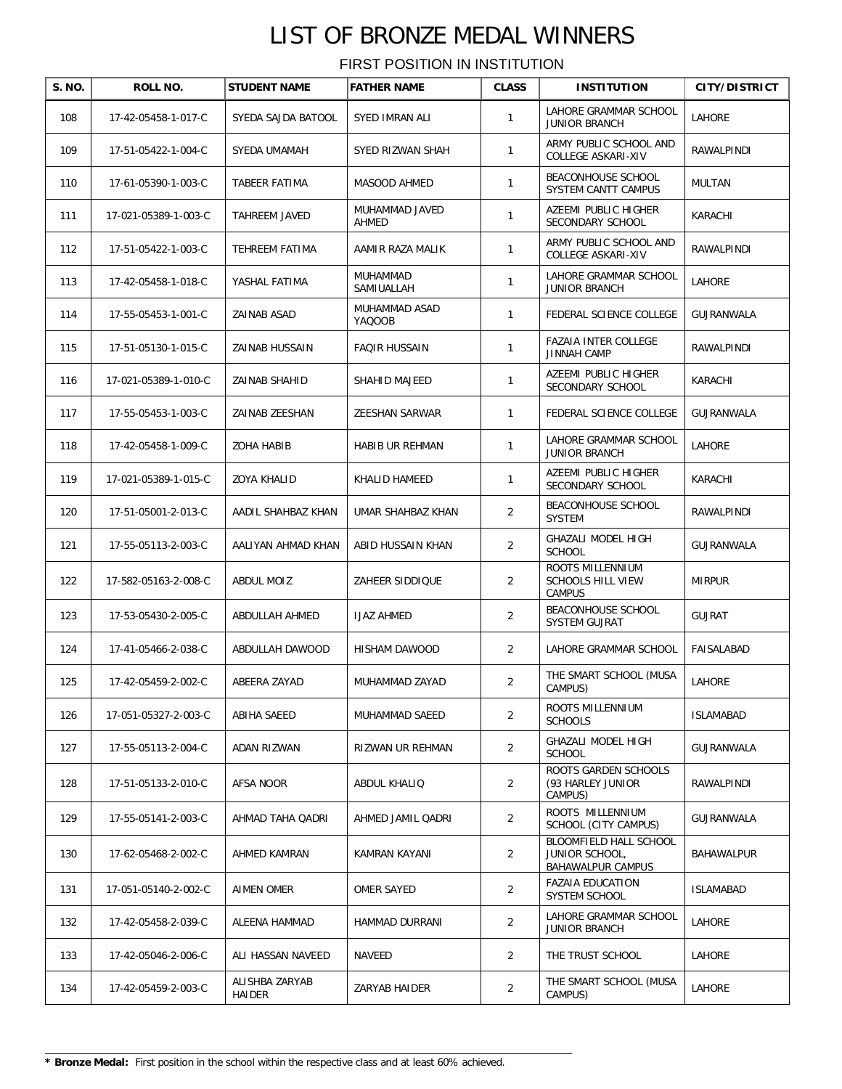| S. NO. | ROLL NO.             | <b>STUDENT NAME</b>      | <b>FATHER NAME</b>      | <b>CLASS</b>   | <b>INSTITUTION</b>                                            | <b>CITY/DISTRICT</b> |
|--------|----------------------|--------------------------|-------------------------|----------------|---------------------------------------------------------------|----------------------|
| 108    | 17-42-05458-1-017-C  | SYEDA SAJDA BATOOL       | <b>SYED IMRAN ALI</b>   | 1              | LAHORE GRAMMAR SCHOOL<br><b>JUNIOR BRANCH</b>                 | LAHORE               |
| 109    | 17-51-05422-1-004-C  | SYEDA UMAMAH             | SYED RIZWAN SHAH        | 1              | ARMY PUBLIC SCHOOL AND<br>COLLEGE ASKARI-XIV                  | RAWALPINDI           |
| 110    | 17-61-05390-1-003-C  | TABEER FATIMA            | MASOOD AHMED            | $\mathbf{1}$   | BEACONHOUSE SCHOOL<br>SYSTEM CANTT CAMPUS                     | MULTAN               |
| 111    | 17-021-05389-1-003-C | TAHREEM JAVED            | MUHAMMAD JAVED<br>AHMED | 1              | AZEEMI PUBLIC HIGHER<br>SECONDARY SCHOOL                      | KARACHI              |
| 112    | 17-51-05422-1-003-C  | TEHREEM FATIMA           | AAMIR RAZA MALIK        | 1              | ARMY PUBLIC SCHOOL AND<br>COLLEGE ASKARI-XIV                  | RAWALPINDI           |
| 113    | 17-42-05458-1-018-C  | YASHAL FATIMA            | MUHAMMAD<br>SAMIUALLAH  | 1              | LAHORE GRAMMAR SCHOOL<br><b>JUNIOR BRANCH</b>                 | LAHORE               |
| 114    | 17-55-05453-1-001-C  | ZAINAB ASAD              | MUHAMMAD ASAD<br>YAQOOB | $\mathbf{1}$   | FEDERAL SCIENCE COLLEGE                                       | GUJRANWALA           |
| 115    | 17-51-05130-1-015-C  | ZAINAB HUSSAIN           | <b>FAQIR HUSSAIN</b>    | 1              | FAZAIA INTER COLLEGE<br><b>JINNAH CAMP</b>                    | RAWALPINDI           |
| 116    | 17-021-05389-1-010-C | ZAINAB SHAHID            | SHAHID MAJEED           | 1              | AZEEMI PUBLIC HIGHER<br>SECONDARY SCHOOL                      | KARACHI              |
| 117    | 17-55-05453-1-003-C  | ZAINAB ZEESHAN           | <b>ZEESHAN SARWAR</b>   | $\mathbf{1}$   | FEDERAL SCIENCE COLLEGE                                       | GUJRANWALA           |
| 118    | 17-42-05458-1-009-C  | <b>ZOHA HABIB</b>        | HABIB UR REHMAN         | 1              | LAHORE GRAMMAR SCHOOL<br><b>JUNIOR BRANCH</b>                 | LAHORE               |
| 119    | 17-021-05389-1-015-C | ZOYA KHALID              | KHALID HAMEED           | 1              | AZEEMI PUBLIC HIGHER<br>SECONDARY SCHOOL                      | KARACHI              |
| 120    | 17-51-05001-2-013-C  | AADIL SHAHBAZ KHAN       | UMAR SHAHBAZ KHAN       | 2              | BEACONHOUSE SCHOOL<br><b>SYSTEM</b>                           | RAWALPINDI           |
| 121    | 17-55-05113-2-003-C  | AALIYAN AHMAD KHAN       | ABID HUSSAIN KHAN       | 2              | GHAZALI MODEL HIGH<br><b>SCHOOL</b>                           | GUJRANWALA           |
| 122    | 17-582-05163-2-008-C | ABDUL MOIZ               | ZAHEER SIDDIQUE         | 2              | ROOTS MILLENNIUM<br><b>SCHOOLS HILL VIEW</b><br>CAMPUS        | <b>MIRPUR</b>        |
| 123    | 17-53-05430-2-005-C  | ABDULLAH AHMED           | <b>IJAZ AHMED</b>       | 2              | BEACONHOUSE SCHOOL<br>SYSTEM GUJRAT                           | <b>GUJRAT</b>        |
| 124    | 17-41-05466-2-038-C  | ABDULLAH DAWOOD          | HISHAM DAWOOD           | $\overline{2}$ | LAHORE GRAMMAR SCHOOL                                         | FAISALABAD           |
| 125    | 17-42-05459-2-002-C  | ABEERA ZAYAD             | MUHAMMAD ZAYAD          | $\overline{2}$ | THE SMART SCHOOL (MUSA<br>CAMPUS)                             | LAHORE               |
| 126    | 17-051-05327-2-003-C | ABIHA SAEED              | MUHAMMAD SAEED          | $\overline{2}$ | ROOTS MILLENNIUM<br><b>SCHOOLS</b>                            | ISLAMABAD            |
| 127    | 17-55-05113-2-004-C  | ADAN RIZWAN              | RIZWAN UR REHMAN        | $\overline{2}$ | GHAZALI MODEL HIGH<br><b>SCHOOL</b>                           | GUJRANWALA           |
| 128    | 17-51-05133-2-010-C  | AFSA NOOR                | ABDUL KHALIQ            | $\overline{2}$ | <b>ROOTS GARDEN SCHOOLS</b><br>(93 HARLEY JUNIOR<br>CAMPUS)   | RAWALPINDI           |
| 129    | 17-55-05141-2-003-C  | AHMAD TAHA QADRI         | AHMED JAMIL QADRI       | $\overline{2}$ | ROOTS MILLENNIUM<br>SCHOOL (CITY CAMPUS)                      | GUJRANWALA           |
| 130    | 17-62-05468-2-002-C  | AHMED KAMRAN             | KAMRAN KAYANI           | 2              | BLOOMFIELD HALL SCHOOL<br>JUNIOR SCHOOL,<br>BAHAWALPUR CAMPUS | BAHAWALPUR           |
| 131    | 17-051-05140-2-002-C | AIMEN OMER               | OMER SAYED              | $\overline{2}$ | FAZAIA EDUCATION<br>SYSTEM SCHOOL                             | <b>ISLAMABAD</b>     |
| 132    | 17-42-05458-2-039-C  | ALEENA HAMMAD            | HAMMAD DURRANI          | $\overline{2}$ | LAHORE GRAMMAR SCHOOL<br>JUNIOR BRANCH                        | LAHORE               |
| 133    | 17-42-05046-2-006-C  | ALI HASSAN NAVEED        | NAVEED                  | $\overline{2}$ | THE TRUST SCHOOL                                              | LAHORE               |
| 134    | 17-42-05459-2-003-C  | ALISHBA ZARYAB<br>HAIDER | ZARYAB HAIDER           | $\overline{2}$ | THE SMART SCHOOL (MUSA<br>CAMPUS)                             | LAHORE               |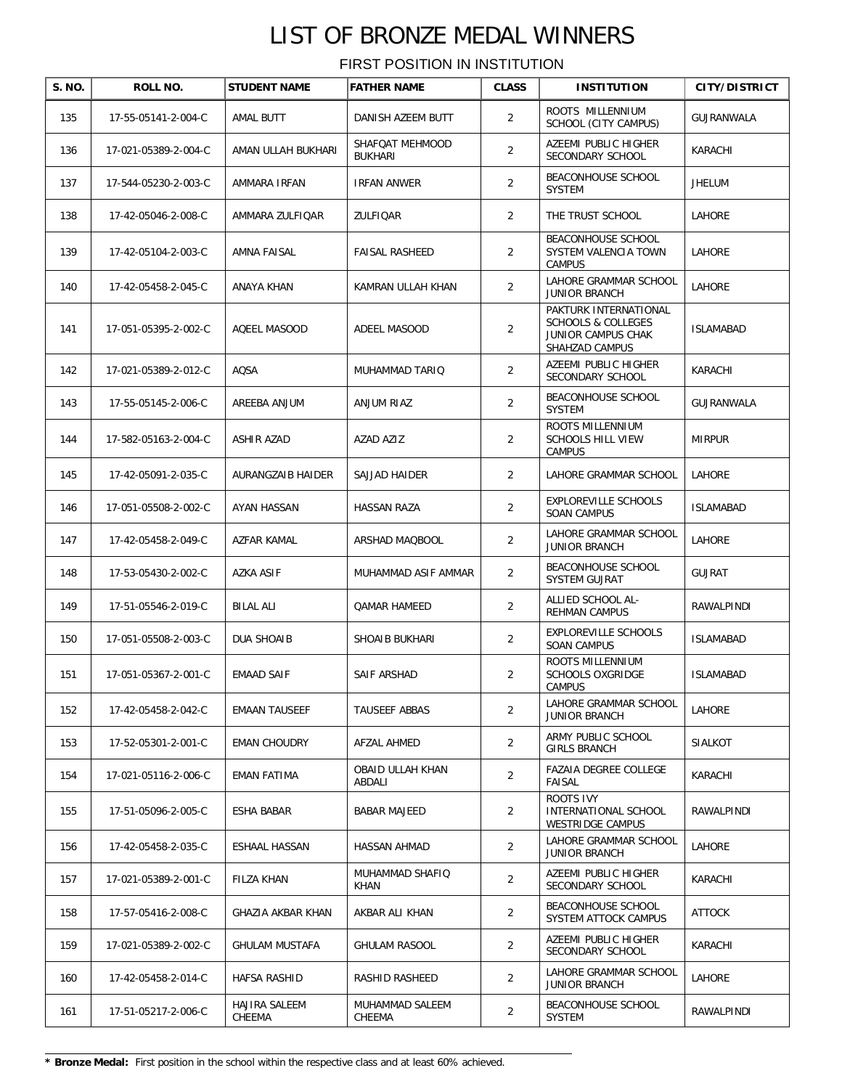| S. NO. | ROLL NO.             | <b>STUDENT NAME</b>     | <b>FATHER NAME</b>                | <b>CLASS</b>   | <b>INSTITUTION</b>                                                                             | <b>CITY/DISTRICT</b> |
|--------|----------------------|-------------------------|-----------------------------------|----------------|------------------------------------------------------------------------------------------------|----------------------|
| 135    | 17-55-05141-2-004-C  | AMAL BUTT               | DANISH AZEEM BUTT                 | $\overline{2}$ | ROOTS MILLENNIUM<br>SCHOOL (CITY CAMPUS)                                                       | GUJRANWALA           |
| 136    | 17-021-05389-2-004-C | AMAN ULLAH BUKHARI      | SHAFQAT MEHMOOD<br><b>BUKHARI</b> | 2              | AZEEMI PUBLIC HIGHER<br>SECONDARY SCHOOL                                                       | KARACHI              |
| 137    | 17-544-05230-2-003-C | AMMARA IRFAN            | IRFAN ANWER                       | $\overline{2}$ | BEACONHOUSE SCHOOL<br><b>SYSTEM</b>                                                            | JHELUM               |
| 138    | 17-42-05046-2-008-C  | AMMARA ZULFIQAR         | ZULFIQAR                          | $\overline{2}$ | THE TRUST SCHOOL                                                                               | LAHORE               |
| 139    | 17-42-05104-2-003-C  | AMNA FAISAL             | <b>FAISAL RASHEED</b>             | $\overline{2}$ | BEACONHOUSE SCHOOL<br>SYSTEM VALENCIA TOWN<br><b>CAMPUS</b>                                    | LAHORE               |
| 140    | 17-42-05458-2-045-C  | ANAYA KHAN              | KAMRAN ULLAH KHAN                 | $\overline{2}$ | LAHORE GRAMMAR SCHOOL<br><b>JUNIOR BRANCH</b>                                                  | LAHORE               |
| 141    | 17-051-05395-2-002-C | AQEEL MASOOD            | ADEEL MASOOD                      | 2              | PAKTURK INTERNATIONAL<br><b>SCHOOLS &amp; COLLEGES</b><br>JUNIOR CAMPUS CHAK<br>SHAHZAD CAMPUS | ISLAMABAD            |
| 142    | 17-021-05389-2-012-C | AQSA                    | MUHAMMAD TARIQ                    | $\overline{2}$ | AZEEMI PUBLIC HIGHER<br>SECONDARY SCHOOL                                                       | KARACHI              |
| 143    | 17-55-05145-2-006-C  | AREEBA ANJUM            | ANJUM RIAZ                        | $\overline{2}$ | BEACONHOUSE SCHOOL<br><b>SYSTEM</b>                                                            | GUJRANWALA           |
| 144    | 17-582-05163-2-004-C | ASHIR AZAD              | AZAD AZIZ                         | $\overline{2}$ | ROOTS MILLENNIUM<br><b>SCHOOLS HILL VIEW</b><br><b>CAMPUS</b>                                  | <b>MIRPUR</b>        |
| 145    | 17-42-05091-2-035-C  | AURANGZAIB HAIDER       | SAJJAD HAIDER                     | $\overline{2}$ | LAHORE GRAMMAR SCHOOL                                                                          | <b>LAHORE</b>        |
| 146    | 17-051-05508-2-002-C | AYAN HASSAN             | HASSAN RAZA                       | $\overline{2}$ | EXPLOREVILLE SCHOOLS<br><b>SOAN CAMPUS</b>                                                     | <b>ISLAMABAD</b>     |
| 147    | 17-42-05458-2-049-C  | AZFAR KAMAL             | ARSHAD MAQBOOL                    | 2              | LAHORE GRAMMAR SCHOOL<br><b>JUNIOR BRANCH</b>                                                  | LAHORE               |
| 148    | 17-53-05430-2-002-C  | AZKA ASIF               | MUHAMMAD ASIF AMMAR               | 2              | BEACONHOUSE SCHOOL<br>SYSTEM GUJRAT                                                            | <b>GUJRAT</b>        |
| 149    | 17-51-05546-2-019-C  | <b>BILAL ALI</b>        | <b>QAMAR HAMEED</b>               | $\overline{2}$ | ALLIED SCHOOL AL-<br><b>REHMAN CAMPUS</b>                                                      | RAWALPINDI           |
| 150    | 17-051-05508-2-003-C | DUA SHOAIB              | SHOAIB BUKHARI                    | $\overline{2}$ | EXPLOREVILLE SCHOOLS<br><b>SOAN CAMPUS</b>                                                     | <b>ISLAMABAD</b>     |
| 151    | 17-051-05367-2-001-C | EMAAD SAIF              | SAIF ARSHAD                       | $\overline{2}$ | ROOTS MILLENNIUM<br><b>SCHOOLS OXGRIDGE</b><br><b>CAMPUS</b>                                   | <b>ISLAMABAD</b>     |
| 152    | 17-42-05458-2-042-C  | <b>EMAAN TAUSEEF</b>    | TAUSEEF ABBAS                     | 2              | LAHORE GRAMMAR SCHOOL<br><b>JUNIOR BRANCH</b>                                                  | LAHORE               |
| 153    | 17-52-05301-2-001-C  | <b>EMAN CHOUDRY</b>     | AFZAL AHMED                       | $\overline{2}$ | ARMY PUBLIC SCHOOL<br><b>GIRLS BRANCH</b>                                                      | <b>SIALKOT</b>       |
| 154    | 17-021-05116-2-006-C | EMAN FATIMA             | OBAID ULLAH KHAN<br>ABDALI        | $\overline{2}$ | FAZAIA DEGREE COLLEGE<br>FAISAL                                                                | KARACHI              |
| 155    | 17-51-05096-2-005-C  | ESHA BABAR              | <b>BABAR MAJEED</b>               | 2              | ROOTS IVY<br>INTERNATIONAL SCHOOL<br>WESTRIDGE CAMPUS                                          | RAWALPINDI           |
| 156    | 17-42-05458-2-035-C  | ESHAAL HASSAN           | HASSAN AHMAD                      | $\overline{2}$ | LAHORE GRAMMAR SCHOOL<br><b>JUNIOR BRANCH</b>                                                  | LAHORE               |
| 157    | 17-021-05389-2-001-C | FILZA KHAN              | MUHAMMAD SHAFIQ<br>KHAN           | $\overline{2}$ | AZEEMI PUBLIC HIGHER<br>SECONDARY SCHOOL                                                       | KARACHI              |
| 158    | 17-57-05416-2-008-C  | GHAZIA AKBAR KHAN       | AKBAR ALI KHAN                    | $\overline{2}$ | BEACONHOUSE SCHOOL<br>SYSTEM ATTOCK CAMPUS                                                     | ATTOCK               |
| 159    | 17-021-05389-2-002-C | GHULAM MUSTAFA          | GHULAM RASOOL                     | $\overline{2}$ | AZEEMI PUBLIC HIGHER<br>SECONDARY SCHOOL                                                       | KARACHI              |
| 160    | 17-42-05458-2-014-C  | HAFSA RASHID            | RASHID RASHEED                    | $\overline{2}$ | LAHORE GRAMMAR SCHOOL<br><b>JUNIOR BRANCH</b>                                                  | LAHORE               |
| 161    | 17-51-05217-2-006-C  | HAJIRA SALEEM<br>CHEEMA | MUHAMMAD SALEEM<br>CHEEMA         | $\overline{2}$ | BEACONHOUSE SCHOOL<br>SYSTEM                                                                   | RAWALPINDI           |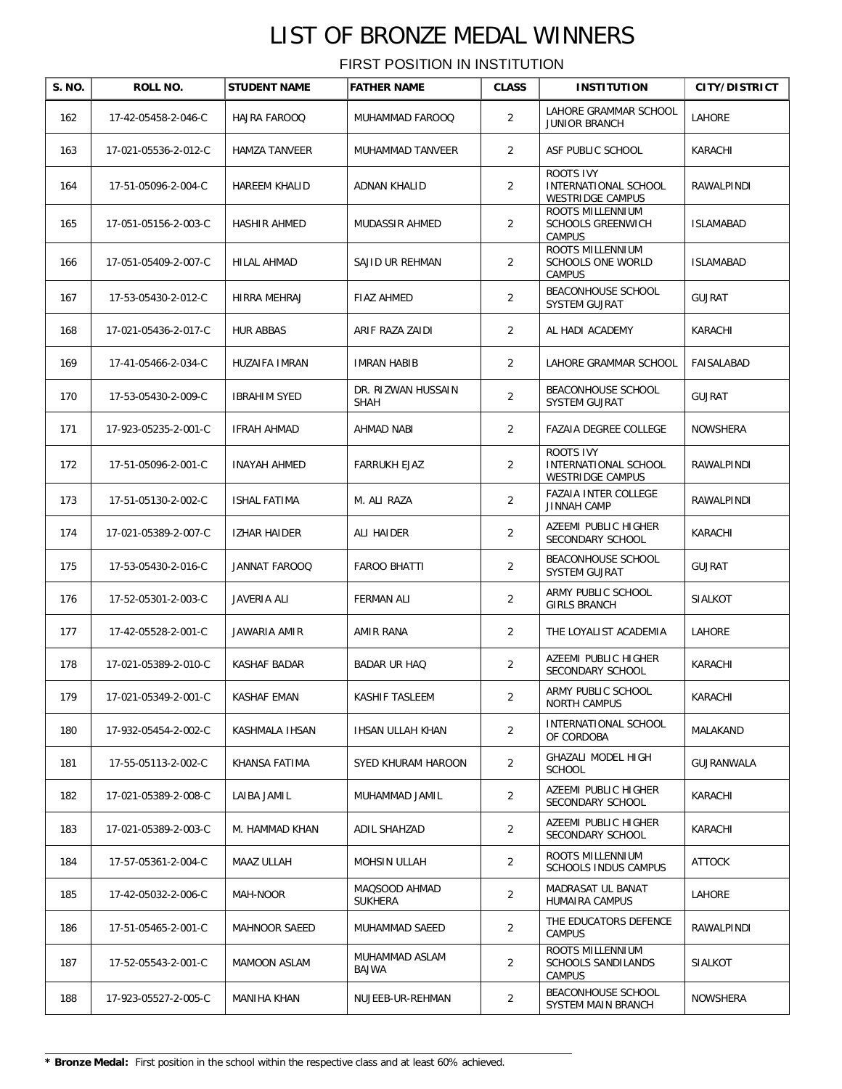| S. NO. | ROLL NO.             | <b>STUDENT NAME</b>  | <b>FATHER NAME</b>              | <b>CLASS</b>   | <b>INSTITUTION</b>                                            | <b>CITY/DISTRICT</b> |
|--------|----------------------|----------------------|---------------------------------|----------------|---------------------------------------------------------------|----------------------|
| 162    | 17-42-05458-2-046-C  | HAJRA FAROOQ         | MUHAMMAD FAROOQ                 | $\overline{2}$ | LAHORE GRAMMAR SCHOOL<br><b>JUNIOR BRANCH</b>                 | <b>LAHORE</b>        |
| 163    | 17-021-05536-2-012-C | <b>HAMZA TANVEER</b> | MUHAMMAD TANVEER                | 2              | ASF PUBLIC SCHOOL                                             | KARACHI              |
| 164    | 17-51-05096-2-004-C  | <b>HAREEM KHALID</b> | ADNAN KHALID                    | 2              | ROOTS IVY<br>INTERNATIONAL SCHOOL<br>WESTRIDGE CAMPUS         | RAWALPINDI           |
| 165    | 17-051-05156-2-003-C | <b>HASHIR AHMED</b>  | MUDASSIR AHMED                  | $\overline{2}$ | ROOTS MILLENNIUM<br><b>SCHOOLS GREENWICH</b><br><b>CAMPUS</b> | <b>ISLAMABAD</b>     |
| 166    | 17-051-05409-2-007-C | HILAL AHMAD          | SAJID UR REHMAN                 | $\overline{2}$ | ROOTS MILLENNIUM<br>SCHOOLS ONE WORLD<br><b>CAMPUS</b>        | <b>ISLAMABAD</b>     |
| 167    | 17-53-05430-2-012-C  | HIRRA MEHRAJ         | FIAZ AHMED                      | $\overline{2}$ | BEACONHOUSE SCHOOL<br>SYSTEM GUJRAT                           | <b>GUJRAT</b>        |
| 168    | 17-021-05436-2-017-C | <b>HUR ABBAS</b>     | ARIF RAZA ZAIDI                 | $\overline{2}$ | AL HADI ACADEMY                                               | KARACHI              |
| 169    | 17-41-05466-2-034-C  | HUZAIFA IMRAN        | <b>IMRAN HABIB</b>              | 2              | LAHORE GRAMMAR SCHOOL                                         | FAISALABAD           |
| 170    | 17-53-05430-2-009-C  | <b>IBRAHIM SYED</b>  | DR. RIZWAN HUSSAIN<br>SHAH      | $\overline{2}$ | BEACONHOUSE SCHOOL<br>SYSTEM GUJRAT                           | <b>GUJRAT</b>        |
| 171    | 17-923-05235-2-001-C | <b>IFRAH AHMAD</b>   | AHMAD NABI                      | $\overline{2}$ | FAZAIA DEGREE COLLEGE                                         | <b>NOWSHERA</b>      |
| 172    | 17-51-05096-2-001-C  | <b>INAYAH AHMED</b>  | <b>FARRUKH EJAZ</b>             | 2              | ROOTS IVY<br>INTERNATIONAL SCHOOL<br><b>WESTRIDGE CAMPUS</b>  | <b>RAWALPINDI</b>    |
| 173    | 17-51-05130-2-002-C  | ISHAL FATIMA         | M. ALI RAZA                     | $\overline{2}$ | <b>FAZAIA INTER COLLEGE</b><br><b>JINNAH CAMP</b>             | RAWALPINDI           |
| 174    | 17-021-05389-2-007-C | <b>IZHAR HAIDER</b>  | ALI HAIDER                      | 2              | AZEEMI PUBLIC HIGHER<br>SECONDARY SCHOOL                      | KARACHI              |
| 175    | 17-53-05430-2-016-C  | JANNAT FAROOQ        | <b>FAROO BHATTI</b>             | 2              | BEACONHOUSE SCHOOL<br>SYSTEM GUJRAT                           | <b>GUJRAT</b>        |
| 176    | 17-52-05301-2-003-C  | JAVERIA ALI          | <b>FERMAN ALI</b>               | $\overline{2}$ | ARMY PUBLIC SCHOOL<br><b>GIRLS BRANCH</b>                     | <b>SIALKOT</b>       |
| 177    | 17-42-05528-2-001-C  | JAWARIA AMIR         | AMIR RANA                       | 2              | THE LOYALIST ACADEMIA                                         | LAHORE               |
| 178    | 17-021-05389-2-010-C | KASHAF BADAR         | <b>BADAR UR HAQ</b>             | 2              | AZEEMI PUBLIC HIGHER<br>SECONDARY SCHOOL                      | KARACHI              |
| 179    | 17-021-05349-2-001-C | KASHAF EMAN          | KASHIF TASLEEM                  | 2              | ARMY PUBLIC SCHOOL<br><b>NORTH CAMPUS</b>                     | KARACHI              |
| 180    | 17-932-05454-2-002-C | KASHMALA IHSAN       | IHSAN ULLAH KHAN                | 2              | INTERNATIONAL SCHOOL<br>OF CORDOBA                            | MALAKAND             |
| 181    | 17-55-05113-2-002-C  | KHANSA FATIMA        | SYED KHURAM HAROON              | 2              | <b>GHAZALI MODEL HIGH</b><br><b>SCHOOL</b>                    | GUJRANWALA           |
| 182    | 17-021-05389-2-008-C | LAIBA JAMIL          | MUHAMMAD JAMIL                  | $\overline{2}$ | AZEEMI PUBLIC HIGHER<br>SECONDARY SCHOOL                      | KARACHI              |
| 183    | 17-021-05389-2-003-C | M. HAMMAD KHAN       | ADIL SHAHZAD                    | $\overline{2}$ | AZEEMI PUBLIC HIGHER<br>SECONDARY SCHOOL                      | KARACHI              |
| 184    | 17-57-05361-2-004-C  | MAAZ ULLAH           | MOHSIN ULLAH                    | $\overline{2}$ | ROOTS MILLENNIUM<br><b>SCHOOLS INDUS CAMPUS</b>               | ATTOCK               |
| 185    | 17-42-05032-2-006-C  | MAH-NOOR             | MAQSOOD AHMAD<br><b>SUKHERA</b> | $\overline{2}$ | MADRASAT UL BANAT<br>HUMAIRA CAMPUS                           | LAHORE               |
| 186    | 17-51-05465-2-001-C  | MAHNOOR SAEED        | MUHAMMAD SAEED                  | $\overline{2}$ | THE EDUCATORS DEFENCE<br><b>CAMPUS</b>                        | RAWALPINDI           |
| 187    | 17-52-05543-2-001-C  | MAMOON ASLAM         | MUHAMMAD ASLAM<br>BAJWA         | $\overline{2}$ | ROOTS MILLENNIUM<br>SCHOOLS SANDILANDS<br>CAMPUS              | SIALKOT              |
| 188    | 17-923-05527-2-005-C | MANIHA KHAN          | NUJEEB-UR-REHMAN                | $\overline{2}$ | BEACONHOUSE SCHOOL<br>SYSTEM MAIN BRANCH                      | NOWSHERA             |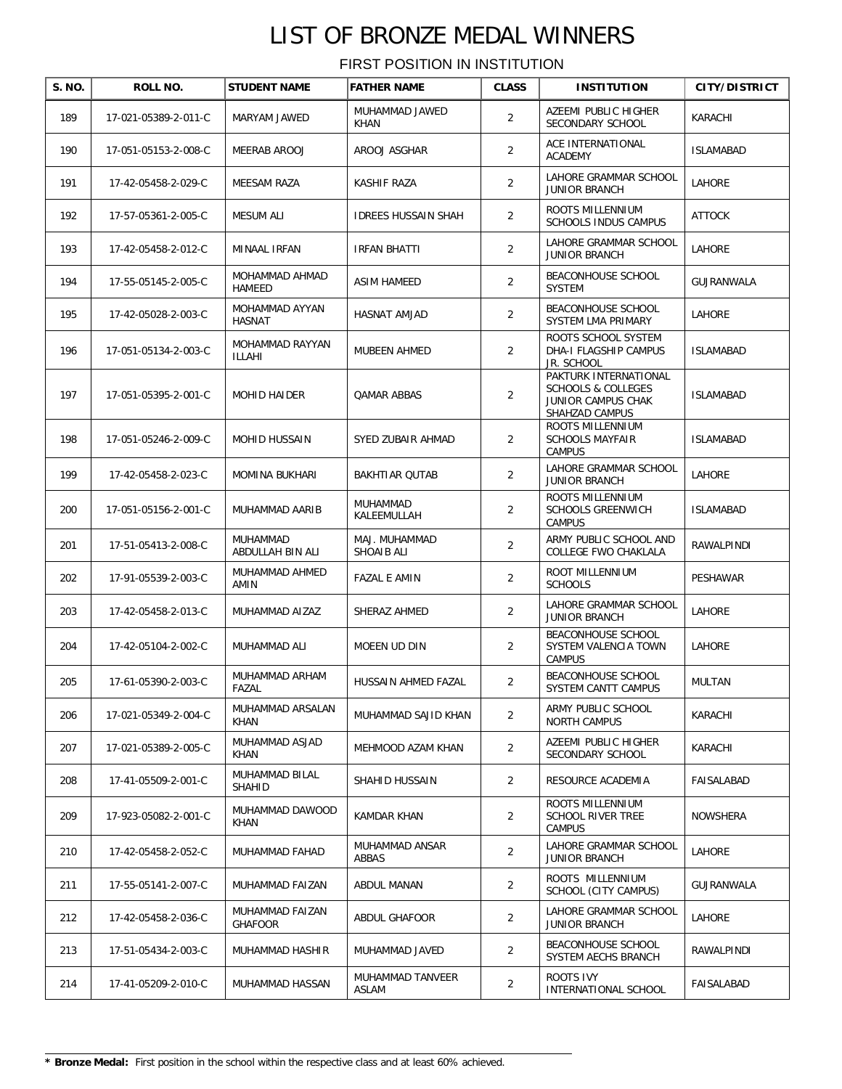| S. NO. | <b>ROLL NO.</b>      | <b>STUDENT NAME</b>               | <b>FATHER NAME</b>            | <b>CLASS</b>   | <b>INSTITUTION</b>                                                                             | <b>CITY/DISTRICT</b> |
|--------|----------------------|-----------------------------------|-------------------------------|----------------|------------------------------------------------------------------------------------------------|----------------------|
| 189    | 17-021-05389-2-011-C | MARYAM JAWED                      | MUHAMMAD JAWED<br><b>KHAN</b> | 2              | AZEEMI PUBLIC HIGHER<br>SECONDARY SCHOOL                                                       | KARACHI              |
| 190    | 17-051-05153-2-008-C | MEERAB AROOJ                      | AROOJ ASGHAR                  | 2              | ACE INTERNATIONAL<br><b>ACADEMY</b>                                                            | <b>ISLAMABAD</b>     |
| 191    | 17-42-05458-2-029-C  | MEESAM RAZA                       | KASHIF RAZA                   | 2              | LAHORE GRAMMAR SCHOOL<br><b>JUNIOR BRANCH</b>                                                  | LAHORE               |
| 192    | 17-57-05361-2-005-C  | MESUM ALI                         | <b>IDREES HUSSAIN SHAH</b>    | $\overline{2}$ | ROOTS MILLENNIUM<br>SCHOOLS INDUS CAMPUS                                                       | <b>ATTOCK</b>        |
| 193    | 17-42-05458-2-012-C  | MINAAL IRFAN                      | IRFAN BHATTI                  | $\overline{2}$ | LAHORE GRAMMAR SCHOOL<br><b>JUNIOR BRANCH</b>                                                  | LAHORE               |
| 194    | 17-55-05145-2-005-C  | MOHAMMAD AHMAD<br>HAMEED          | ASIM HAMEED                   | $\overline{2}$ | BEACONHOUSE SCHOOL<br><b>SYSTEM</b>                                                            | GUJRANWALA           |
| 195    | 17-42-05028-2-003-C  | MOHAMMAD AYYAN<br><b>HASNAT</b>   | HASNAT AMJAD                  | $\overline{2}$ | BEACONHOUSE SCHOOL<br>SYSTEM LMA PRIMARY                                                       | LAHORE               |
| 196    | 17-051-05134-2-003-C | MOHAMMAD RAYYAN<br>ILLAHI         | <b>MUBEEN AHMED</b>           | 2              | ROOTS SCHOOL SYSTEM<br>DHA-I FLAGSHIP CAMPUS<br>JR. SCHOOL                                     | <b>ISLAMABAD</b>     |
| 197    | 17-051-05395-2-001-C | <b>MOHID HAIDER</b>               | QAMAR ABBAS                   | 2              | PAKTURK INTERNATIONAL<br><b>SCHOOLS &amp; COLLEGES</b><br>JUNIOR CAMPUS CHAK<br>SHAHZAD CAMPUS | <b>ISLAMABAD</b>     |
| 198    | 17-051-05246-2-009-C | <b>MOHID HUSSAIN</b>              | SYED ZUBAIR AHMAD             | 2              | ROOTS MILLENNIUM<br><b>SCHOOLS MAYFAIR</b><br>CAMPUS                                           | <b>ISLAMABAD</b>     |
| 199    | 17-42-05458-2-023-C  | MOMINA BUKHARI                    | BAKHTIAR QUTAB                | $\overline{2}$ | LAHORE GRAMMAR SCHOOL<br><b>JUNIOR BRANCH</b>                                                  | LAHORE               |
| 200    | 17-051-05156-2-001-C | MUHAMMAD AARIB                    | MUHAMMAD<br>KALEEMULLAH       | $\overline{2}$ | ROOTS MILLENNIUM<br><b>SCHOOLS GREENWICH</b><br>CAMPUS                                         | <b>ISLAMABAD</b>     |
| 201    | 17-51-05413-2-008-C  | MUHAMMAD<br>ABDULLAH BIN ALI      | MAJ. MUHAMMAD<br>SHOAIB ALI   | $\overline{2}$ | ARMY PUBLIC SCHOOL AND<br>COLLEGE FWO CHAKLALA                                                 | RAWALPINDI           |
| 202    | 17-91-05539-2-003-C  | MUHAMMAD AHMED<br>AMIN            | FAZAL E AMIN                  | $\overline{2}$ | ROOT MILLENNIUM<br><b>SCHOOLS</b>                                                              | PESHAWAR             |
| 203    | 17-42-05458-2-013-C  | MUHAMMAD AIZAZ                    | SHERAZ AHMED                  | 2              | LAHORE GRAMMAR SCHOOL<br><b>JUNIOR BRANCH</b>                                                  | LAHORE               |
| 204    | 17-42-05104-2-002-C  | MUHAMMAD ALI                      | MOEEN UD DIN                  | 2              | BEACONHOUSE SCHOOL<br>SYSTEM VALENCIA TOWN<br>CAMPUS                                           | LAHORE               |
| 205    | 17-61-05390-2-003-C  | MUHAMMAD ARHAM<br>FAZAL           | HUSSAIN AHMED FAZAL           | 2              | BEACONHOUSE SCHOOL<br>SYSTEM CANTT CAMPUS                                                      | <b>MULTAN</b>        |
| 206    | 17-021-05349-2-004-C | MUHAMMAD ARSALAN<br>KHAN          | MUHAMMAD SAJID KHAN           | 2              | ARMY PUBLIC SCHOOL<br><b>NORTH CAMPUS</b>                                                      | KARACHI              |
| 207    | 17-021-05389-2-005-C | MUHAMMAD ASJAD<br>KHAN            | MEHMOOD AZAM KHAN             | 2              | AZEEMI PUBLIC HIGHER<br>SECONDARY SCHOOL                                                       | KARACHI              |
| 208    | 17-41-05509-2-001-C  | MUHAMMAD BILAL<br>SHAHID          | SHAHID HUSSAIN                | $\overline{2}$ | RESOURCE ACADEMIA                                                                              | FAISALABAD           |
| 209    | 17-923-05082-2-001-C | MUHAMMAD DAWOOD<br>KHAN           | KAMDAR KHAN                   | 2              | ROOTS MILLENNIUM<br>SCHOOL RIVER TREE<br><b>CAMPUS</b>                                         | NOWSHERA             |
| 210    | 17-42-05458-2-052-C  | MUHAMMAD FAHAD                    | MUHAMMAD ANSAR<br>ABBAS       | 2              | LAHORE GRAMMAR SCHOOL<br>JUNIOR BRANCH                                                         | LAHORE               |
| 211    | 17-55-05141-2-007-C  | MUHAMMAD FAIZAN                   | ABDUL MANAN                   | 2              | ROOTS MILLENNIUM<br>SCHOOL (CITY CAMPUS)                                                       | GUJRANWALA           |
| 212    | 17-42-05458-2-036-C  | MUHAMMAD FAIZAN<br><b>GHAFOOR</b> | ABDUL GHAFOOR                 | $\overline{2}$ | LAHORE GRAMMAR SCHOOL<br>JUNIOR BRANCH                                                         | LAHORE               |
| 213    | 17-51-05434-2-003-C  | MUHAMMAD HASHIR                   | MUHAMMAD JAVED                | 2              | BEACONHOUSE SCHOOL<br>SYSTEM AECHS BRANCH                                                      | RAWALPINDI           |
| 214    | 17-41-05209-2-010-C  | MUHAMMAD HASSAN                   | MUHAMMAD TANVEER<br>ASLAM     | $\overline{2}$ | ROOTS IVY<br>INTERNATIONAL SCHOOL                                                              | FAISALABAD           |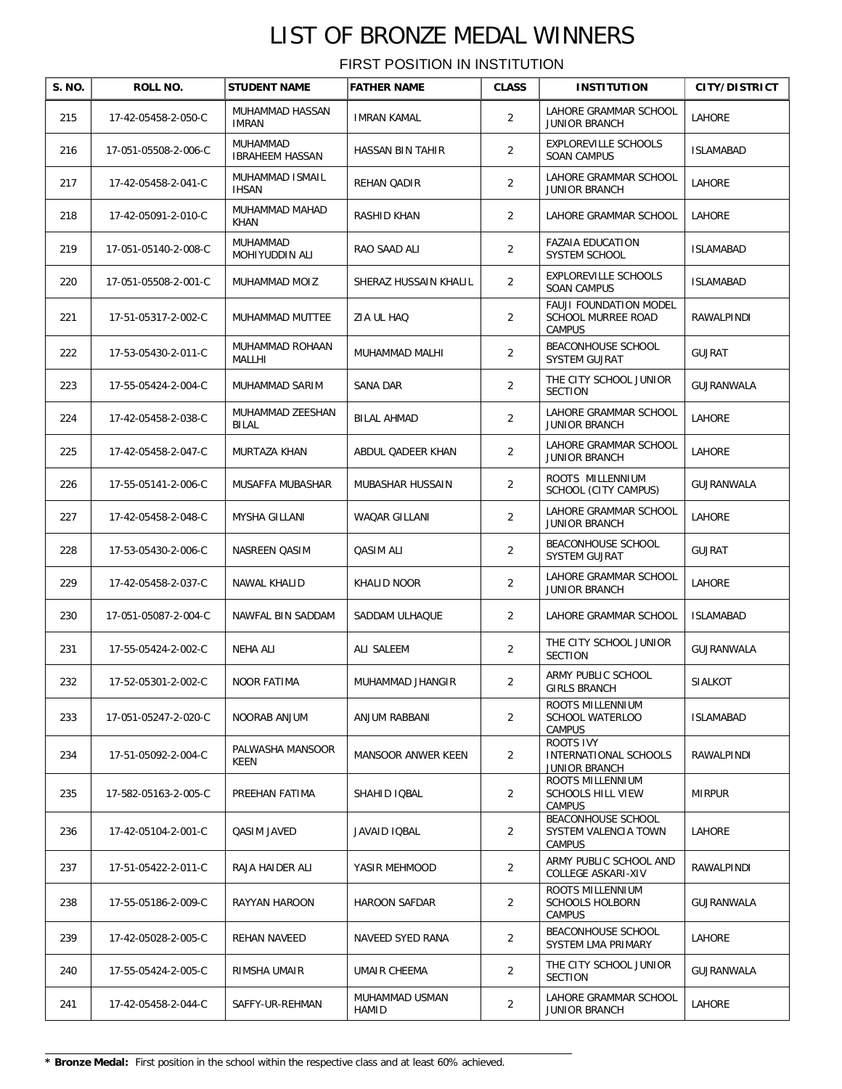| S. NO. | ROLL NO.             | <b>STUDENT NAME</b>                | <b>FATHER NAME</b>      | <b>CLASS</b>   | <b>INSTITUTION</b>                                                | <b>CITY/DISTRICT</b> |
|--------|----------------------|------------------------------------|-------------------------|----------------|-------------------------------------------------------------------|----------------------|
| 215    | 17-42-05458-2-050-C  | MUHAMMAD HASSAN<br><b>IMRAN</b>    | <b>IMRAN KAMAL</b>      | $\overline{2}$ | LAHORE GRAMMAR SCHOOL<br><b>JUNIOR BRANCH</b>                     | LAHORE               |
| 216    | 17-051-05508-2-006-C | MUHAMMAD<br><b>IBRAHEEM HASSAN</b> | HASSAN BIN TAHIR        | $\overline{2}$ | <b>EXPLOREVILLE SCHOOLS</b><br><b>SOAN CAMPUS</b>                 | <b>ISLAMABAD</b>     |
| 217    | 17-42-05458-2-041-C  | MUHAMMAD ISMAIL<br><b>IHSAN</b>    | REHAN QADIR             | $\overline{2}$ | LAHORE GRAMMAR SCHOOL<br><b>JUNIOR BRANCH</b>                     | LAHORE               |
| 218    | 17-42-05091-2-010-C  | MUHAMMAD MAHAD<br>KHAN             | RASHID KHAN             | $\overline{2}$ | LAHORE GRAMMAR SCHOOL                                             | LAHORE               |
| 219    | 17-051-05140-2-008-C | MUHAMMAD<br>MOHIYUDDIN ALI         | RAO SAAD ALI            | $\overline{2}$ | <b>FAZAIA EDUCATION</b><br>SYSTEM SCHOOL                          | <b>ISLAMABAD</b>     |
| 220    | 17-051-05508-2-001-C | MUHAMMAD MOIZ                      | SHERAZ HUSSAIN KHALIL   | $\overline{2}$ | EXPLOREVILLE SCHOOLS<br><b>SOAN CAMPUS</b>                        | <b>ISLAMABAD</b>     |
| 221    | 17-51-05317-2-002-C  | MUHAMMAD MUTTEE                    | ZIA UL HAQ              | 2              | FAUJI FOUNDATION MODEL<br><b>SCHOOL MURREE ROAD</b><br>CAMPUS     | RAWALPINDI           |
| 222    | 17-53-05430-2-011-C  | MUHAMMAD ROHAAN<br>MALLHI          | MUHAMMAD MALHI          | $\overline{2}$ | BEACONHOUSE SCHOOL<br>SYSTEM GUJRAT                               | <b>GUJRAT</b>        |
| 223    | 17-55-05424-2-004-C  | MUHAMMAD SARIM                     | SANA DAR                | $\overline{2}$ | THE CITY SCHOOL JUNIOR<br><b>SECTION</b>                          | GUJRANWALA           |
| 224    | 17-42-05458-2-038-C  | MUHAMMAD ZEESHAN<br><b>BILAL</b>   | BILAL AHMAD             | $\overline{2}$ | LAHORE GRAMMAR SCHOOL<br><b>JUNIOR BRANCH</b>                     | <b>LAHORE</b>        |
| 225    | 17-42-05458-2-047-C  | MURTAZA KHAN                       | ABDUL QADEER KHAN       | $\overline{2}$ | LAHORE GRAMMAR SCHOOL<br><b>JUNIOR BRANCH</b>                     | LAHORE               |
| 226    | 17-55-05141-2-006-C  | MUSAFFA MUBASHAR                   | MUBASHAR HUSSAIN        | $\overline{2}$ | ROOTS MILLENNIUM<br>SCHOOL (CITY CAMPUS)                          | GUJRANWALA           |
| 227    | 17-42-05458-2-048-C  | MYSHA GILLANI                      | WAQAR GILLANI           | $\overline{2}$ | LAHORE GRAMMAR SCHOOL<br><b>JUNIOR BRANCH</b>                     | LAHORE               |
| 228    | 17-53-05430-2-006-C  | NASREEN QASIM                      | QASIM ALI               | $\overline{2}$ | BEACONHOUSE SCHOOL<br>SYSTEM GUJRAT                               | <b>GUJRAT</b>        |
| 229    | 17-42-05458-2-037-C  | NAWAL KHALID                       | KHALID NOOR             | $\overline{2}$ | LAHORE GRAMMAR SCHOOL<br><b>JUNIOR BRANCH</b>                     | LAHORE               |
| 230    | 17-051-05087-2-004-C | NAWFAL BIN SADDAM                  | SADDAM ULHAQUE          | $\overline{2}$ | LAHORE GRAMMAR SCHOOL                                             | <b>ISLAMABAD</b>     |
| 231    | 17-55-05424-2-002-C  | <b>NEHA ALI</b>                    | ALI SALEEM              | $\overline{2}$ | THE CITY SCHOOL JUNIOR<br><b>SECTION</b>                          | GUJRANWALA           |
| 232    | 17-52-05301-2-002-C  | NOOR FATIMA                        | MUHAMMAD JHANGIR        | $\overline{2}$ | ARMY PUBLIC SCHOOL<br><b>GIRLS BRANCH</b>                         | SIALKOT              |
| 233    | 17-051-05247-2-020-C | NOORAB ANJUM                       | ANJUM RABBANI           | $\overline{2}$ | ROOTS MILLENNIUM<br>SCHOOL WATERLOO<br><b>CAMPUS</b>              | <b>ISLAMABAD</b>     |
| 234    | 17-51-05092-2-004-C  | PALWASHA MANSOOR<br>KEEN           | MANSOOR ANWER KEEN      | 2              | ROOTS IVY<br><b>INTERNATIONAL SCHOOLS</b><br><b>JUNIOR BRANCH</b> | RAWALPINDI           |
| 235    | 17-582-05163-2-005-C | PREEHAN FATIMA                     | SHAHID IQBAL            | $\overline{2}$ | ROOTS MILLENNIUM<br><b>SCHOOLS HILL VIEW</b><br><b>CAMPUS</b>     | <b>MIRPUR</b>        |
| 236    | 17-42-05104-2-001-C  | QASIM JAVED                        | JAVAID IQBAL            | 2              | BEACONHOUSE SCHOOL<br>SYSTEM VALENCIA TOWN<br><b>CAMPUS</b>       | <b>LAHORE</b>        |
| 237    | 17-51-05422-2-011-C  | RAJA HAIDER ALI                    | YASIR MEHMOOD           | $\overline{2}$ | ARMY PUBLIC SCHOOL AND<br>COLLEGE ASKARI-XIV                      | RAWALPINDI           |
| 238    | 17-55-05186-2-009-C  | RAYYAN HAROON                      | HAROON SAFDAR           | 2              | ROOTS MILLENNIUM<br><b>SCHOOLS HOLBORN</b><br><b>CAMPUS</b>       | GUJRANWALA           |
| 239    | 17-42-05028-2-005-C  | REHAN NAVEED                       | NAVEED SYED RANA        | $\overline{2}$ | BEACONHOUSE SCHOOL<br>SYSTEM LMA PRIMARY                          | LAHORE               |
| 240    | 17-55-05424-2-005-C  | RIMSHA UMAIR                       | UMAIR CHEEMA            | $\overline{2}$ | THE CITY SCHOOL JUNIOR<br><b>SECTION</b>                          | GUJRANWALA           |
| 241    | 17-42-05458-2-044-C  | SAFFY-UR-REHMAN                    | MUHAMMAD USMAN<br>HAMID | $\overline{2}$ | LAHORE GRAMMAR SCHOOL<br><b>JUNIOR BRANCH</b>                     | LAHORE               |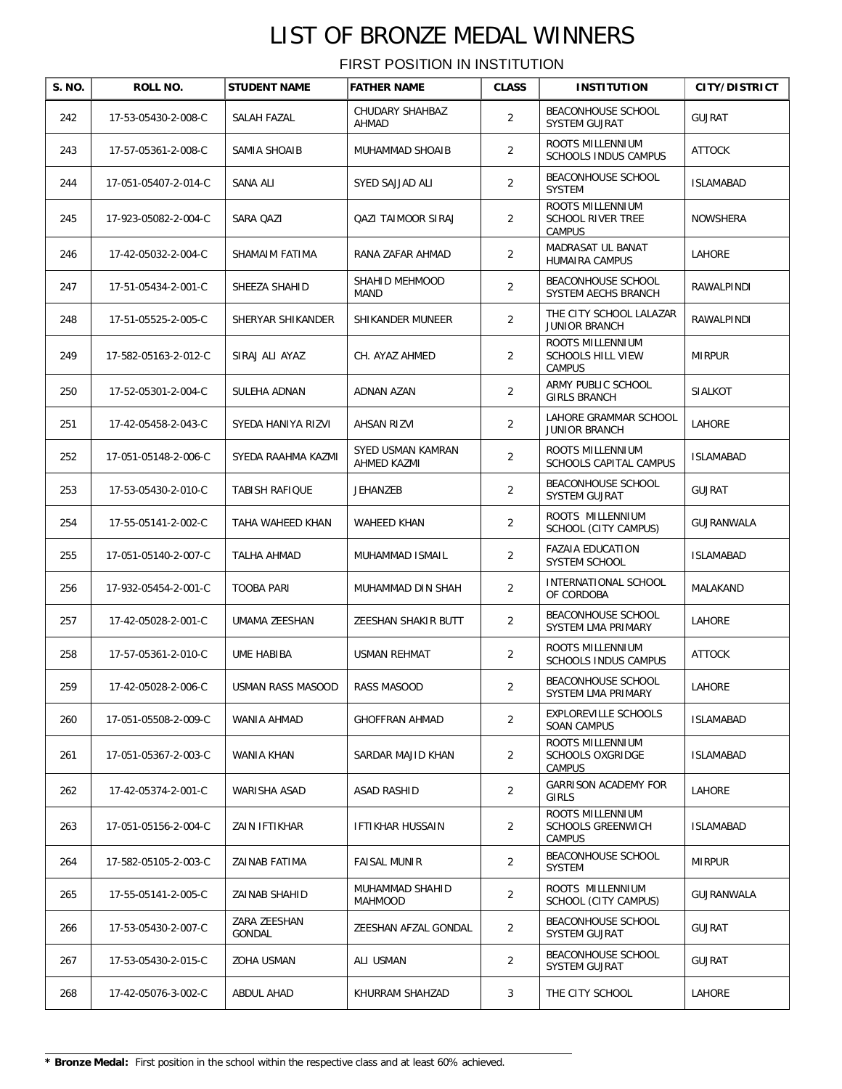| S. NO. | ROLL NO.             | <b>STUDENT NAME</b>    | <b>FATHER NAME</b>               | <b>CLASS</b>   | <b>INSTITUTION</b>                                     | <b>CITY/DISTRICT</b> |
|--------|----------------------|------------------------|----------------------------------|----------------|--------------------------------------------------------|----------------------|
| 242    | 17-53-05430-2-008-C  | SALAH FAZAL            | CHUDARY SHAHBAZ<br>AHMAD         | 2              | BEACONHOUSE SCHOOL<br>SYSTEM GUJRAT                    | <b>GUJRAT</b>        |
| 243    | 17-57-05361-2-008-C  | SAMIA SHOAIB           | MUHAMMAD SHOAIB                  | $\overline{2}$ | ROOTS MILLENNIUM<br><b>SCHOOLS INDUS CAMPUS</b>        | <b>ATTOCK</b>        |
| 244    | 17-051-05407-2-014-C | SANA ALI               | SYED SAJJAD ALI                  | $\overline{2}$ | BEACONHOUSE SCHOOL<br><b>SYSTEM</b>                    | <b>ISLAMABAD</b>     |
| 245    | 17-923-05082-2-004-C | SARA QAZI              | QAZI TAIMOOR SIRAJ               | $\overline{2}$ | ROOTS MILLENNIUM<br><b>SCHOOL RIVER TREE</b><br>CAMPUS | <b>NOWSHERA</b>      |
| 246    | 17-42-05032-2-004-C  | SHAMAIM FATIMA         | RANA ZAFAR AHMAD                 | $\overline{2}$ | MADRASAT UL BANAT<br>HUMAIRA CAMPUS                    | LAHORE               |
| 247    | 17-51-05434-2-001-C  | SHEEZA SHAHID          | SHAHID MEHMOOD<br><b>MAND</b>    | $\overline{2}$ | BEACONHOUSE SCHOOL<br>SYSTEM AECHS BRANCH              | RAWALPINDI           |
| 248    | 17-51-05525-2-005-C  | SHERYAR SHIKANDER      | SHIKANDER MUNEER                 | $\overline{2}$ | THE CITY SCHOOL LALAZAR<br><b>JUNIOR BRANCH</b>        | RAWALPINDI           |
| 249    | 17-582-05163-2-012-C | SIRAJ ALI AYAZ         | CH. AYAZ AHMED                   | $\overline{2}$ | ROOTS MILLENNIUM<br>SCHOOLS HILL VIEW<br>CAMPUS        | <b>MIRPUR</b>        |
| 250    | 17-52-05301-2-004-C  | SULEHA ADNAN           | <b>ADNAN AZAN</b>                | 2              | ARMY PUBLIC SCHOOL<br><b>GIRLS BRANCH</b>              | SIALKOT              |
| 251    | 17-42-05458-2-043-C  | SYEDA HANIYA RIZVI     | <b>AHSAN RIZVI</b>               | 2              | LAHORE GRAMMAR SCHOOL<br><b>JUNIOR BRANCH</b>          | LAHORE               |
| 252    | 17-051-05148-2-006-C | SYEDA RAAHMA KAZMI     | SYED USMAN KAMRAN<br>AHMED KAZMI | $\overline{2}$ | ROOTS MILLENNIUM<br>SCHOOLS CAPITAL CAMPUS             | <b>ISLAMABAD</b>     |
| 253    | 17-53-05430-2-010-C  | TABISH RAFIQUE         | JEHANZEB                         | $\overline{2}$ | BEACONHOUSE SCHOOL<br>SYSTEM GUJRAT                    | <b>GUJRAT</b>        |
| 254    | 17-55-05141-2-002-C  | TAHA WAHEED KHAN       | WAHEED KHAN                      | $\overline{2}$ | ROOTS MILLENNIUM<br>SCHOOL (CITY CAMPUS)               | GUJRANWALA           |
| 255    | 17-051-05140-2-007-C | TALHA AHMAD            | MUHAMMAD ISMAIL                  | $\overline{2}$ | <b>FAZAIA EDUCATION</b><br>SYSTEM SCHOOL               | <b>ISLAMABAD</b>     |
| 256    | 17-932-05454-2-001-C | <b>TOOBA PARI</b>      | MUHAMMAD DIN SHAH                | $\overline{2}$ | INTERNATIONAL SCHOOL<br>OF CORDOBA                     | MALAKAND             |
| 257    | 17-42-05028-2-001-C  | UMAMA ZEESHAN          | ZEESHAN SHAKIR BUTT              | $\overline{2}$ | BEACONHOUSE SCHOOL<br>SYSTEM LMA PRIMARY               | LAHORE               |
| 258    | 17-57-05361-2-010-C  | UME HABIBA             | <b>USMAN REHMAT</b>              | $\overline{2}$ | ROOTS MILLENNIUM<br>SCHOOLS INDUS CAMPUS               | <b>ATTOCK</b>        |
| 259    | 17-42-05028-2-006-C  | USMAN RASS MASOOD      | RASS MASOOD                      | 2              | BEACONHOUSE SCHOOL<br>SYSTEM LMA PRIMARY               | LAHORE               |
| 260    | 17-051-05508-2-009-C | WANIA AHMAD            | <b>GHOFFRAN AHMAD</b>            | 2              | EXPLOREVILLE SCHOOLS<br><b>SOAN CAMPUS</b>             | <b>ISLAMABAD</b>     |
| 261    | 17-051-05367-2-003-C | WANIA KHAN             | SARDAR MAJID KHAN                | 2              | ROOTS MILLENNIUM<br>SCHOOLS OXGRIDGE<br>CAMPUS         | <b>ISLAMABAD</b>     |
| 262    | 17-42-05374-2-001-C  | WARISHA ASAD           | ASAD RASHID                      | $\overline{2}$ | <b>GARRISON ACADEMY FOR</b><br>GIRLS                   | LAHORE               |
| 263    | 17-051-05156-2-004-C | ZAIN IFTIKHAR          | IFTIKHAR HUSSAIN                 | 2              | ROOTS MILLENNIUM<br><b>SCHOOLS GREENWICH</b><br>CAMPUS | <b>ISLAMABAD</b>     |
| 264    | 17-582-05105-2-003-C | ZAINAB FATIMA          | <b>FAISAL MUNIR</b>              | 2              | BEACONHOUSE SCHOOL<br><b>SYSTEM</b>                    | <b>MIRPUR</b>        |
| 265    | 17-55-05141-2-005-C  | ZAINAB SHAHID          | MUHAMMAD SHAHID<br>MAHMOOD       | 2              | ROOTS MILLENNIUM<br>SCHOOL (CITY CAMPUS)               | GUJRANWALA           |
| 266    | 17-53-05430-2-007-C  | ZARA ZEESHAN<br>GONDAL | ZEESHAN AFZAL GONDAL             | 2              | BEACONHOUSE SCHOOL<br>SYSTEM GUJRAT                    | <b>GUJRAT</b>        |
| 267    | 17-53-05430-2-015-C  | ZOHA USMAN             | ALI USMAN                        | 2              | BEACONHOUSE SCHOOL<br>SYSTEM GUJRAT                    | <b>GUJRAT</b>        |
| 268    | 17-42-05076-3-002-C  | ABDUL AHAD             | KHURRAM SHAHZAD                  | 3              | THE CITY SCHOOL                                        | LAHORE               |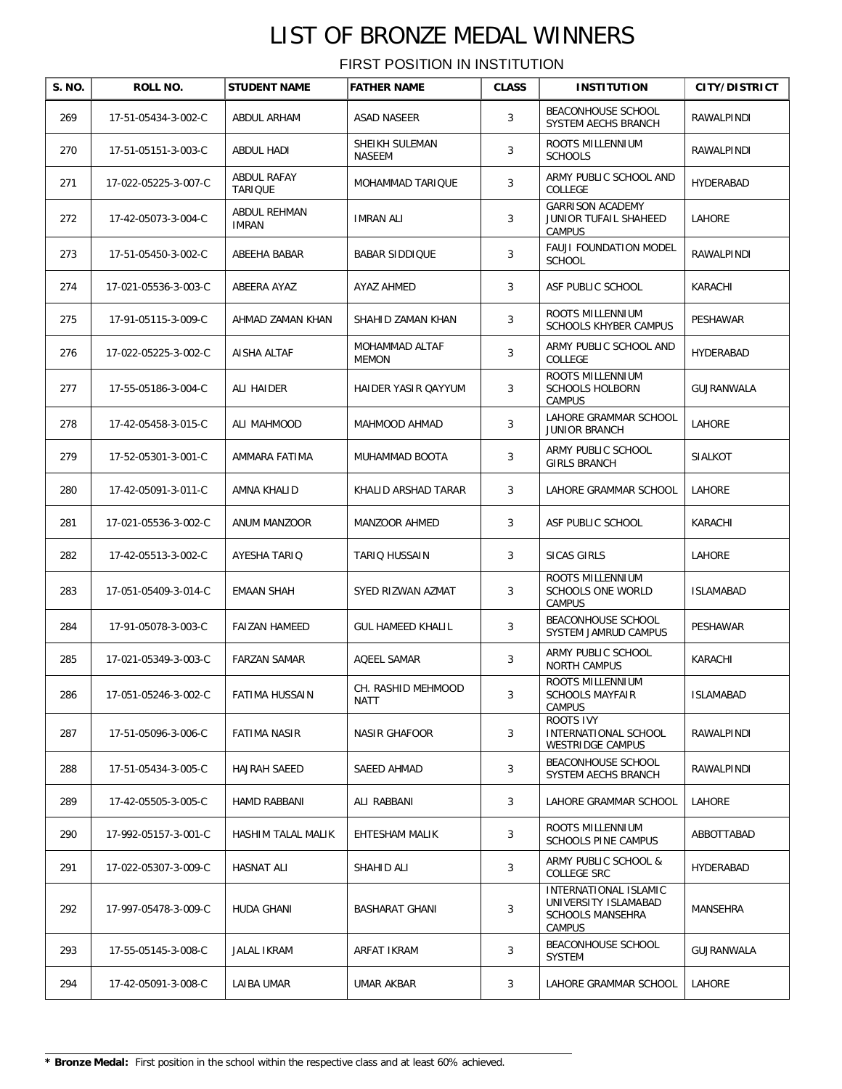| S. NO. | ROLL NO.             | <b>STUDENT NAME</b>           | <b>FATHER NAME</b>              | <b>CLASS</b> | <b>INSTITUTION</b>                                                                        | CITY/DISTRICT    |
|--------|----------------------|-------------------------------|---------------------------------|--------------|-------------------------------------------------------------------------------------------|------------------|
| 269    | 17-51-05434-3-002-C  | ABDUL ARHAM                   | <b>ASAD NASEER</b>              | 3            | BEACONHOUSE SCHOOL<br>SYSTEM AECHS BRANCH                                                 | RAWALPINDI       |
| 270    | 17-51-05151-3-003-C  | <b>ABDUL HADI</b>             | SHEIKH SULEMAN<br><b>NASEEM</b> | 3            | ROOTS MILLENNIUM<br><b>SCHOOLS</b>                                                        | RAWALPINDI       |
| 271    | 17-022-05225-3-007-C | ABDUL RAFAY<br><b>TARIQUE</b> | MOHAMMAD TARIQUE                | 3            | ARMY PUBLIC SCHOOL AND<br>COLLEGE                                                         | HYDERABAD        |
| 272    | 17-42-05073-3-004-C  | ABDUL REHMAN<br><b>IMRAN</b>  | <b>IMRAN ALI</b>                | 3            | <b>GARRISON ACADEMY</b><br>JUNIOR TUFAIL SHAHEED<br>CAMPUS                                | LAHORE           |
| 273    | 17-51-05450-3-002-C  | ABEEHA BABAR                  | <b>BABAR SIDDIQUE</b>           | 3            | FAUJI FOUNDATION MODEL<br><b>SCHOOL</b>                                                   | RAWALPINDI       |
| 274    | 17-021-05536-3-003-C | ABEERA AYAZ                   | AYAZ AHMED                      | 3            | ASF PUBLIC SCHOOL                                                                         | KARACHI          |
| 275    | 17-91-05115-3-009-C  | AHMAD ZAMAN KHAN              | SHAHID ZAMAN KHAN               | 3            | ROOTS MILLENNIUM<br><b>SCHOOLS KHYBER CAMPUS</b>                                          | PESHAWAR         |
| 276    | 17-022-05225-3-002-C | AISHA ALTAF                   | MOHAMMAD ALTAF<br><b>MEMON</b>  | 3            | ARMY PUBLIC SCHOOL AND<br>COLLEGE                                                         | HYDERABAD        |
| 277    | 17-55-05186-3-004-C  | ALI HAIDER                    | HAIDER YASIR QAYYUM             | 3            | ROOTS MILLENNIUM<br><b>SCHOOLS HOLBORN</b><br>CAMPUS                                      | GUJRANWALA       |
| 278    | 17-42-05458-3-015-C  | ALI MAHMOOD                   | MAHMOOD AHMAD                   | 3            | LAHORE GRAMMAR SCHOOL<br><b>JUNIOR BRANCH</b>                                             | LAHORE           |
| 279    | 17-52-05301-3-001-C  | AMMARA FATIMA                 | MUHAMMAD BOOTA                  | 3            | ARMY PUBLIC SCHOOL<br><b>GIRLS BRANCH</b>                                                 | <b>SIALKOT</b>   |
| 280    | 17-42-05091-3-011-C  | AMNA KHALID                   | KHALID ARSHAD TARAR             | 3            | LAHORE GRAMMAR SCHOOL                                                                     | LAHORE           |
| 281    | 17-021-05536-3-002-C | ANUM MANZOOR                  | MANZOOR AHMED                   | 3            | ASF PUBLIC SCHOOL                                                                         | KARACHI          |
| 282    | 17-42-05513-3-002-C  | AYESHA TARIQ                  | TARIQ HUSSAIN                   | 3            | SICAS GIRLS                                                                               | LAHORE           |
| 283    | 17-051-05409-3-014-C | <b>EMAAN SHAH</b>             | SYED RIZWAN AZMAT               | 3            | ROOTS MILLENNIUM<br>SCHOOLS ONE WORLD<br><b>CAMPUS</b>                                    | <b>ISLAMABAD</b> |
| 284    | 17-91-05078-3-003-C  | <b>FAIZAN HAMEED</b>          | <b>GUL HAMEED KHALIL</b>        | 3            | BEACONHOUSE SCHOOL<br>SYSTEM JAMRUD CAMPUS                                                | PESHAWAR         |
| 285    | 17-021-05349-3-003-C | <b>FARZAN SAMAR</b>           | AQEEL SAMAR                     | 3            | ARMY PUBLIC SCHOOL<br><b>NORTH CAMPUS</b>                                                 | KARACHI          |
| 286    | 17-051-05246-3-002-C | FATIMA HUSSAIN                | CH. RASHID MEHMOOD<br>NATT      | 3            | ROOTS MILLENNIUM<br><b>SCHOOLS MAYFAIR</b><br><b>CAMPUS</b>                               | <b>ISLAMABAD</b> |
| 287    | 17-51-05096-3-006-C  | <b>FATIMA NASIR</b>           | <b>NASIR GHAFOOR</b>            | 3            | <b>ROOTS IVY</b><br>INTERNATIONAL SCHOOL<br>WESTRIDGE CAMPUS                              | RAWALPINDI       |
| 288    | 17-51-05434-3-005-C  | HAJRAH SAEED                  | SAEED AHMAD                     | 3            | BEACONHOUSE SCHOOL<br>SYSTEM AECHS BRANCH                                                 | RAWALPINDI       |
| 289    | 17-42-05505-3-005-C  | <b>HAMD RABBANI</b>           | ALI RABBANI                     | 3            | LAHORE GRAMMAR SCHOOL                                                                     | LAHORE           |
| 290    | 17-992-05157-3-001-C | HASHIM TALAL MALIK            | EHTESHAM MALIK                  | 3            | ROOTS MILLENNIUM<br>SCHOOLS PINE CAMPUS                                                   | ABBOTTABAD       |
| 291    | 17-022-05307-3-009-C | <b>HASNAT ALI</b>             | SHAHID ALI                      | 3            | ARMY PUBLIC SCHOOL &<br>COLLEGE SRC                                                       | HYDERABAD        |
| 292    | 17-997-05478-3-009-C | HUDA GHANI                    | BASHARAT GHANI                  | 3            | INTERNATIONAL ISLAMIC<br>UNIVERSITY ISLAMABAD<br><b>SCHOOLS MANSEHRA</b><br><b>CAMPUS</b> | MANSEHRA         |
| 293    | 17-55-05145-3-008-C  | JALAL IKRAM                   | ARFAT IKRAM                     | 3            | BEACONHOUSE SCHOOL<br>SYSTEM                                                              | GUJRANWALA       |
| 294    | 17-42-05091-3-008-C  | LAIBA UMAR                    | UMAR AKBAR                      | 3            | LAHORE GRAMMAR SCHOOL                                                                     | LAHORE           |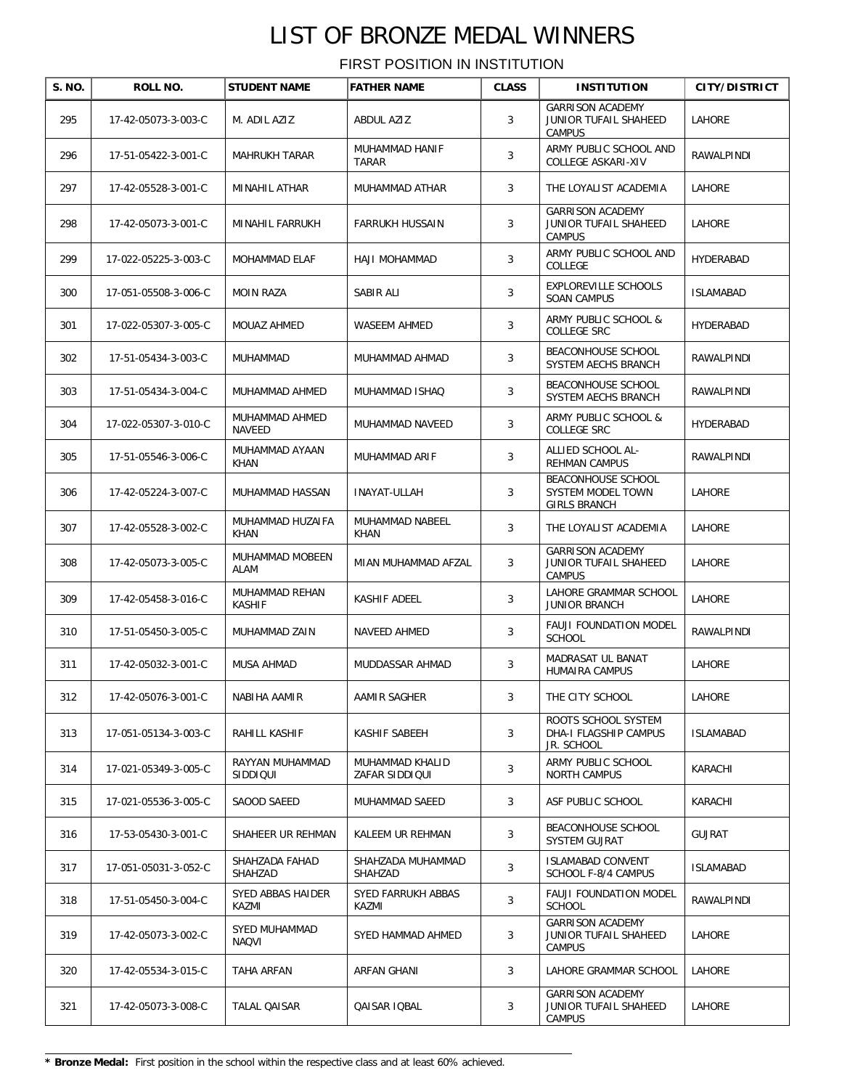| S. NO. | <b>ROLL NO.</b>      | <b>STUDENT NAME</b>             | <b>FATHER NAME</b>                | <b>CLASS</b> | <b>INSTITUTION</b>                                                | <b>CITY/DISTRICT</b> |
|--------|----------------------|---------------------------------|-----------------------------------|--------------|-------------------------------------------------------------------|----------------------|
| 295    | 17-42-05073-3-003-C  | M. ADIL AZIZ                    | ABDUL AZIZ                        | 3            | <b>GARRISON ACADEMY</b><br>JUNIOR TUFAIL SHAHEED<br><b>CAMPUS</b> | LAHORE               |
| 296    | 17-51-05422-3-001-C  | <b>MAHRUKH TARAR</b>            | MUHAMMAD HANIF<br>TARAR           | 3            | ARMY PUBLIC SCHOOL AND<br>COLLEGE ASKARI-XIV                      | RAWALPINDI           |
| 297    | 17-42-05528-3-001-C  | MINAHIL ATHAR                   | MUHAMMAD ATHAR                    | 3            | THE LOYALIST ACADEMIA                                             | LAHORE               |
| 298    | 17-42-05073-3-001-C  | MINAHIL FARRUKH                 | <b>FARRUKH HUSSAIN</b>            | 3            | <b>GARRISON ACADEMY</b><br>JUNIOR TUFAIL SHAHEED<br><b>CAMPUS</b> | LAHORE               |
| 299    | 17-022-05225-3-003-C | <b>MOHAMMAD ELAF</b>            | HAJI MOHAMMAD                     | 3            | ARMY PUBLIC SCHOOL AND<br>COLLEGE                                 | HYDERABAD            |
| 300    | 17-051-05508-3-006-C | <b>MOIN RAZA</b>                | SABIR ALI                         | 3            | EXPLOREVILLE SCHOOLS<br><b>SOAN CAMPUS</b>                        | <b>ISLAMABAD</b>     |
| 301    | 17-022-05307-3-005-C | MOUAZ AHMED                     | WASEEM AHMED                      | 3            | ARMY PUBLIC SCHOOL &<br>COLLEGE SRC                               | HYDERABAD            |
| 302    | 17-51-05434-3-003-C  | MUHAMMAD                        | MUHAMMAD AHMAD                    | 3            | BEACONHOUSE SCHOOL<br>SYSTEM AECHS BRANCH                         | RAWALPINDI           |
| 303    | 17-51-05434-3-004-C  | MUHAMMAD AHMED                  | MUHAMMAD ISHAQ                    | 3            | BEACONHOUSE SCHOOL<br>SYSTEM AECHS BRANCH                         | RAWALPINDI           |
| 304    | 17-022-05307-3-010-C | MUHAMMAD AHMED<br>NAVEED        | MUHAMMAD NAVEED                   | 3            | ARMY PUBLIC SCHOOL &<br>COLLEGE SRC                               | HYDERABAD            |
| 305    | 17-51-05546-3-006-C  | MUHAMMAD AYAAN<br>KHAN          | MUHAMMAD ARIF                     | 3            | ALLIED SCHOOL AL-<br>REHMAN CAMPUS                                | RAWALPINDI           |
| 306    | 17-42-05224-3-007-C  | MUHAMMAD HASSAN                 | <b>INAYAT-ULLAH</b>               | 3            | BEACONHOUSE SCHOOL<br>SYSTEM MODEL TOWN<br>GIRLS BRANCH           | <b>LAHORE</b>        |
| 307    | 17-42-05528-3-002-C  | MUHAMMAD HUZAIFA<br><b>KHAN</b> | MUHAMMAD NABEEL<br>KHAN           | 3            | THE LOYALIST ACADEMIA                                             | LAHORE               |
| 308    | 17-42-05073-3-005-C  | MUHAMMAD MOBEEN<br>ALAM         | MIAN MUHAMMAD AFZAL               | 3            | <b>GARRISON ACADEMY</b><br>JUNIOR TUFAIL SHAHEED<br><b>CAMPUS</b> | LAHORE               |
| 309    | 17-42-05458-3-016-C  | MUHAMMAD REHAN<br><b>KASHIF</b> | KASHIF ADEEL                      | 3            | LAHORE GRAMMAR SCHOOL<br><b>JUNIOR BRANCH</b>                     | LAHORE               |
| 310    | 17-51-05450-3-005-C  | MUHAMMAD ZAIN                   | NAVEED AHMED                      | 3            | FAUJI FOUNDATION MODEL<br><b>SCHOOL</b>                           | RAWALPINDI           |
| 311    | 17-42-05032-3-001-C  | MUSA AHMAD                      | MUDDASSAR AHMAD                   | 3            | MADRASAT UL BANAT<br>HUMAIRA CAMPUS                               | LAHORE               |
| 312    | 17-42-05076-3-001-C  | NABIHA AAMIR                    | AAMIR SAGHER                      | 3            | THE CITY SCHOOL                                                   | LAHORE               |
| 313    | 17-051-05134-3-003-C | RAHILL KASHIF                   | KASHIF SABEEH                     | 3            | ROOTS SCHOOL SYSTEM<br>DHA-I FLAGSHIP CAMPUS<br>JR. SCHOOL        | <b>ISLAMABAD</b>     |
| 314    | 17-021-05349-3-005-C | RAYYAN MUHAMMAD<br>SIDDIQUI     | MUHAMMAD KHALID<br>ZAFAR SIDDIQUI | 3            | ARMY PUBLIC SCHOOL<br><b>NORTH CAMPUS</b>                         | KARACHI              |
| 315    | 17-021-05536-3-005-C | SAOOD SAEED                     | MUHAMMAD SAEED                    | 3            | ASF PUBLIC SCHOOL                                                 | KARACHI              |
| 316    | 17-53-05430-3-001-C  | SHAHEER UR REHMAN               | KALEEM UR REHMAN                  | 3            | <b>BEACONHOUSE SCHOOL</b><br>SYSTEM GUJRAT                        | <b>GUJRAT</b>        |
| 317    | 17-051-05031-3-052-C | SHAHZADA FAHAD<br>SHAHZAD       | SHAHZADA MUHAMMAD<br>SHAHZAD      | 3            | <b>ISLAMABAD CONVENT</b><br>SCHOOL F-8/4 CAMPUS                   | <b>ISLAMABAD</b>     |
| 318    | 17-51-05450-3-004-C  | SYED ABBAS HAIDER<br>KAZMI      | SYED FARRUKH ABBAS<br>KAZMI       | 3            | <b>FAUJI FOUNDATION MODEL</b><br><b>SCHOOL</b>                    | RAWALPINDI           |
| 319    | 17-42-05073-3-002-C  | SYED MUHAMMAD<br><b>NAQVI</b>   | SYED HAMMAD AHMED                 | 3            | <b>GARRISON ACADEMY</b><br>JUNIOR TUFAIL SHAHEED<br><b>CAMPUS</b> | LAHORE               |
| 320    | 17-42-05534-3-015-C  | TAHA ARFAN                      | ARFAN GHANI                       | 3            | LAHORE GRAMMAR SCHOOL                                             | LAHORE               |
| 321    | 17-42-05073-3-008-C  | TALAL QAISAR                    | QAISAR IQBAL                      | 3            | <b>GARRISON ACADEMY</b><br>JUNIOR TUFAIL SHAHEED<br>CAMPUS        | LAHORE               |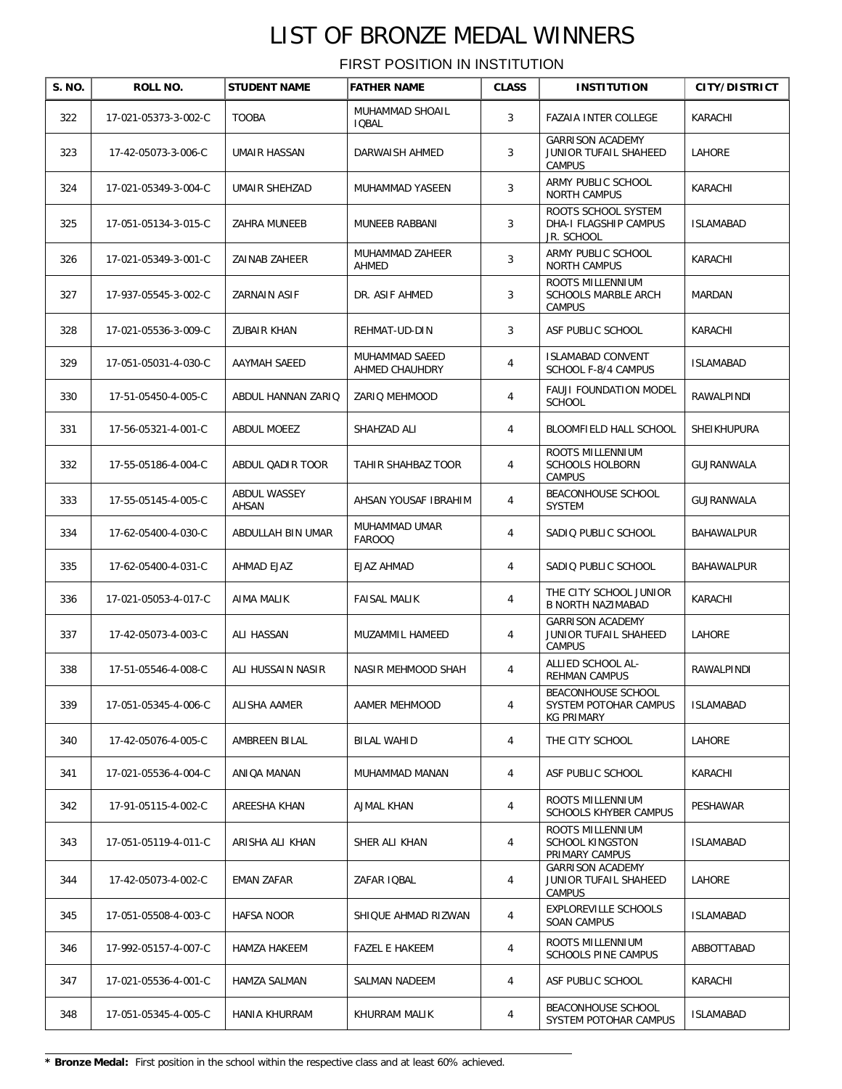| S. NO. | ROLL NO.             | <b>STUDENT NAME</b>   | <b>FATHER NAME</b>               | <b>CLASS</b>   | <b>INSTITUTION</b>                                                | <b>CITY/DISTRICT</b> |
|--------|----------------------|-----------------------|----------------------------------|----------------|-------------------------------------------------------------------|----------------------|
| 322    | 17-021-05373-3-002-C | <b>TOOBA</b>          | MUHAMMAD SHOAIL<br><b>IQBAL</b>  | 3              | <b>FAZAIA INTER COLLEGE</b>                                       | KARACHI              |
| 323    | 17-42-05073-3-006-C  | UMAIR HASSAN          | DARWAISH AHMED                   | 3              | <b>GARRISON ACADEMY</b><br>JUNIOR TUFAIL SHAHEED<br><b>CAMPUS</b> | LAHORE               |
| 324    | 17-021-05349-3-004-C | UMAIR SHEHZAD         | MUHAMMAD YASEEN                  | 3              | ARMY PUBLIC SCHOOL<br><b>NORTH CAMPUS</b>                         | KARACHI              |
| 325    | 17-051-05134-3-015-C | ZAHRA MUNEEB          | MUNEEB RABBANI                   | 3              | ROOTS SCHOOL SYSTEM<br>DHA-I FLAGSHIP CAMPUS<br>JR. SCHOOL        | <b>ISLAMABAD</b>     |
| 326    | 17-021-05349-3-001-C | ZAINAB ZAHEER         | MUHAMMAD ZAHEER<br>AHMED         | 3              | ARMY PUBLIC SCHOOL<br>NORTH CAMPUS                                | KARACHI              |
| 327    | 17-937-05545-3-002-C | ZARNAIN ASIF          | DR. ASIF AHMED                   | 3              | ROOTS MILLENNIUM<br>SCHOOLS MARBLE ARCH<br><b>CAMPUS</b>          | MARDAN               |
| 328    | 17-021-05536-3-009-C | ZUBAIR KHAN           | REHMAT-UD-DIN                    | 3              | ASF PUBLIC SCHOOL                                                 | KARACHI              |
| 329    | 17-051-05031-4-030-C | AAYMAH SAEED          | MUHAMMAD SAEED<br>AHMED CHAUHDRY | $\overline{4}$ | <b>ISLAMABAD CONVENT</b><br>SCHOOL F-8/4 CAMPUS                   | <b>ISLAMABAD</b>     |
| 330    | 17-51-05450-4-005-C  | ABDUL HANNAN ZARIQ    | ZARIQ MEHMOOD                    | $\overline{4}$ | FAUJI FOUNDATION MODEL<br><b>SCHOOL</b>                           | RAWALPINDI           |
| 331    | 17-56-05321-4-001-C  | ABDUL MOEEZ           | SHAHZAD ALI                      | $\overline{4}$ | BLOOMFIELD HALL SCHOOL                                            | SHEIKHUPURA          |
| 332    | 17-55-05186-4-004-C  | ABDUL QADIR TOOR      | TAHIR SHAHBAZ TOOR               | 4              | ROOTS MILLENNIUM<br><b>SCHOOLS HOLBORN</b><br><b>CAMPUS</b>       | GUJRANWALA           |
| 333    | 17-55-05145-4-005-C  | ABDUL WASSEY<br>AHSAN | AHSAN YOUSAF IBRAHIM             | 4              | BEACONHOUSE SCHOOL<br><b>SYSTEM</b>                               | GUJRANWALA           |
| 334    | 17-62-05400-4-030-C  | ABDULLAH BIN UMAR     | MUHAMMAD UMAR<br><b>FAROOQ</b>   | $\overline{4}$ | SADIQ PUBLIC SCHOOL                                               | BAHAWALPUR           |
| 335    | 17-62-05400-4-031-C  | AHMAD EJAZ            | <b>EJAZ AHMAD</b>                | 4              | SADIO PUBLIC SCHOOL                                               | BAHAWALPUR           |
| 336    | 17-021-05053-4-017-C | AIMA MALIK            | <b>FAISAL MALIK</b>              | 4              | THE CITY SCHOOL JUNIOR<br><b>B NORTH NAZIMABAD</b>                | KARACHI              |
| 337    | 17-42-05073-4-003-C  | ALI HASSAN            | MUZAMMIL HAMEED                  | 4              | <b>GARRISON ACADEMY</b><br>JUNIOR TUFAIL SHAHEED<br><b>CAMPUS</b> | LAHORE               |
| 338    | 17-51-05546-4-008-C  | ALI HUSSAIN NASIR     | NASIR MEHMOOD SHAH               | $\overline{4}$ | ALLIED SCHOOL AL-<br><b>REHMAN CAMPUS</b>                         | RAWALPINDI           |
| 339    | 17-051-05345-4-006-C | ALISHA AAMER          | AAMER MEHMOOD                    | 4              | BEACONHOUSE SCHOOL<br>SYSTEM POTOHAR CAMPUS<br>KG PRIMARY         | <b>ISLAMABAD</b>     |
| 340    | 17-42-05076-4-005-C  | AMBREEN BILAL         | BILAL WAHID                      | 4              | THE CITY SCHOOL                                                   | <b>LAHORE</b>        |
| 341    | 17-021-05536-4-004-C | ANIQA MANAN           | MUHAMMAD MANAN                   | 4              | ASF PUBLIC SCHOOL                                                 | KARACHI              |
| 342    | 17-91-05115-4-002-C  | AREESHA KHAN          | AJMAL KHAN                       | 4              | ROOTS MILLENNIUM<br>SCHOOLS KHYBER CAMPUS                         | PESHAWAR             |
| 343    | 17-051-05119-4-011-C | ARISHA ALI KHAN       | SHER ALI KHAN                    | 4              | ROOTS MILLENNIUM<br><b>SCHOOL KINGSTON</b><br>PRIMARY CAMPUS      | ISLAMABAD            |
| 344    | 17-42-05073-4-002-C  | EMAN ZAFAR            | ZAFAR IQBAL                      | 4              | <b>GARRISON ACADEMY</b><br>JUNIOR TUFAIL SHAHEED<br><b>CAMPUS</b> | LAHORE               |
| 345    | 17-051-05508-4-003-C | <b>HAFSA NOOR</b>     | SHIQUE AHMAD RIZWAN              | 4              | EXPLOREVILLE SCHOOLS<br><b>SOAN CAMPUS</b>                        | ISLAMABAD            |
| 346    | 17-992-05157-4-007-C | HAMZA HAKEEM          | FAZEL E HAKEEM                   | 4              | ROOTS MILLENNIUM<br>SCHOOLS PINE CAMPUS                           | ABBOTTABAD           |
| 347    | 17-021-05536-4-001-C | HAMZA SALMAN          | SALMAN NADEEM                    | 4              | ASF PUBLIC SCHOOL                                                 | KARACHI              |
| 348    | 17-051-05345-4-005-C | HANIA KHURRAM         | KHURRAM MALIK                    | 4              | BEACONHOUSE SCHOOL<br>SYSTEM POTOHAR CAMPUS                       | ISLAMABAD            |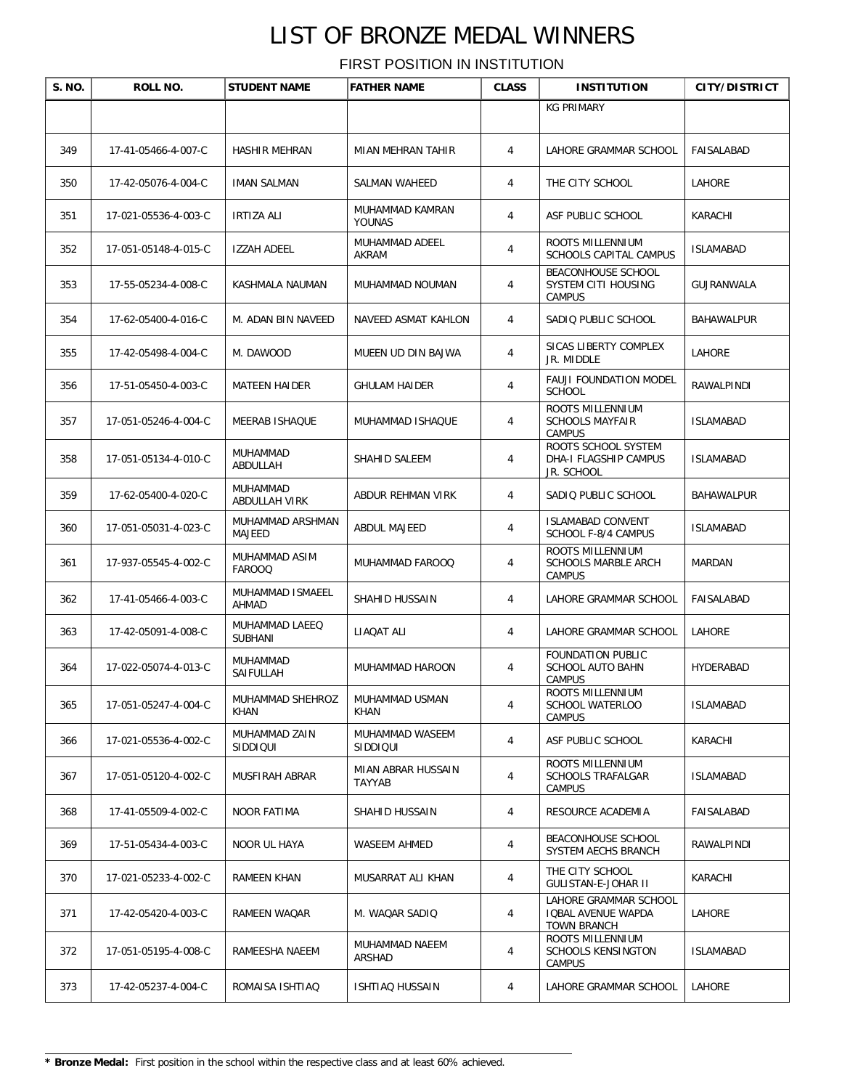| S. NO. | ROLL NO.             | <b>STUDENT NAME</b>              | <b>FATHER NAME</b>            | <b>CLASS</b>   | <b>INSTITUTION</b>                                                | <b>CITY/DISTRICT</b> |
|--------|----------------------|----------------------------------|-------------------------------|----------------|-------------------------------------------------------------------|----------------------|
|        |                      |                                  |                               |                | <b>KG PRIMARY</b>                                                 |                      |
| 349    | 17-41-05466-4-007-C  | HASHIR MEHRAN                    | MIAN MEHRAN TAHIR             | 4              | LAHORE GRAMMAR SCHOOL                                             | FAISALABAD           |
| 350    | 17-42-05076-4-004-C  | <b>IMAN SALMAN</b>               | SALMAN WAHEED                 | 4              | THE CITY SCHOOL                                                   | LAHORE               |
| 351    | 17-021-05536-4-003-C | IRTIZA ALI                       | MUHAMMAD KAMRAN<br>YOUNAS     | 4              | ASF PUBLIC SCHOOL                                                 | KARACHI              |
| 352    | 17-051-05148-4-015-C | <b>IZZAH ADEEL</b>               | MUHAMMAD ADEEL<br>AKRAM       | $\overline{4}$ | ROOTS MILLENNIUM<br>SCHOOLS CAPITAL CAMPUS                        | <b>ISLAMABAD</b>     |
| 353    | 17-55-05234-4-008-C  | KASHMALA NAUMAN                  | MUHAMMAD NOUMAN               | 4              | <b>BEACONHOUSE SCHOOL</b><br>SYSTEM CITI HOUSING<br><b>CAMPUS</b> | GUJRANWALA           |
| 354    | 17-62-05400-4-016-C  | M. ADAN BIN NAVEED               | NAVEED ASMAT KAHLON           | 4              | SADIQ PUBLIC SCHOOL                                               | BAHAWALPUR           |
| 355    | 17-42-05498-4-004-C  | M. DAWOOD                        | MUEEN UD DIN BAJWA            | $\overline{4}$ | SICAS LIBERTY COMPLEX<br>JR. MIDDLE                               | <b>LAHORE</b>        |
| 356    | 17-51-05450-4-003-C  | <b>MATEEN HAIDER</b>             | <b>GHULAM HAIDER</b>          | $\overline{4}$ | FAUJI FOUNDATION MODEL<br><b>SCHOOL</b>                           | RAWALPINDI           |
| 357    | 17-051-05246-4-004-C | MEERAB ISHAQUE                   | MUHAMMAD ISHAQUE              | 4              | <b>ROOTS MILLENNIUM</b><br><b>SCHOOLS MAYFAIR</b><br>CAMPUS       | <b>ISLAMABAD</b>     |
| 358    | 17-051-05134-4-010-C | MUHAMMAD<br>ABDULLAH             | SHAHID SALEEM                 | 4              | ROOTS SCHOOL SYSTEM<br><b>DHA-I FLAGSHIP CAMPUS</b><br>JR. SCHOOL | <b>ISLAMABAD</b>     |
| 359    | 17-62-05400-4-020-C  | MUHAMMAD<br>ABDULLAH VIRK        | ABDUR REHMAN VIRK             | $\overline{4}$ | SADIQ PUBLIC SCHOOL                                               | BAHAWALPUR           |
| 360    | 17-051-05031-4-023-C | MUHAMMAD ARSHMAN<br>MAJEED       | ABDUL MAJEED                  | $\overline{4}$ | <b>ISLAMABAD CONVENT</b><br>SCHOOL F-8/4 CAMPUS                   | <b>ISLAMABAD</b>     |
| 361    | 17-937-05545-4-002-C | MUHAMMAD ASIM<br><b>FAROOQ</b>   | MUHAMMAD FAROOQ               | 4              | ROOTS MILLENNIUM<br><b>SCHOOLS MARBLE ARCH</b><br><b>CAMPUS</b>   | MARDAN               |
| 362    | 17-41-05466-4-003-C  | MUHAMMAD ISMAEEL<br>AHMAD        | SHAHID HUSSAIN                | 4              | LAHORE GRAMMAR SCHOOL                                             | FAISALABAD           |
| 363    | 17-42-05091-4-008-C  | MUHAMMAD LAEEQ<br><b>SUBHANI</b> | LIAQAT ALI                    | 4              | LAHORE GRAMMAR SCHOOL                                             | LAHORE               |
| 364    | 17-022-05074-4-013-C | MUHAMMAD<br>SAIFULLAH            | MUHAMMAD HAROON               | 4              | FOUNDATION PUBLIC<br>SCHOOL AUTO BAHN<br>CAMPUS                   | HYDERABAD            |
| 365    | 17-051-05247-4-004-C | MUHAMMAD SHEHROZ<br><b>KHAN</b>  | MUHAMMAD USMAN<br><b>KHAN</b> | 4              | ROOTS MILLENNIUM<br>SCHOOL WATERLOO<br>CAMPUS                     | <b>ISLAMABAD</b>     |
| 366    | 17-021-05536-4-002-C | MUHAMMAD ZAIN<br>SIDDIQUI        | MUHAMMAD WASEEM<br>SIDDIQUI   | $\overline{4}$ | ASF PUBLIC SCHOOL                                                 | KARACHI              |
| 367    | 17-051-05120-4-002-C | MUSFIRAH ABRAR                   | MIAN ABRAR HUSSAIN<br>TAYYAB  | 4              | ROOTS MILLENNIUM<br>SCHOOLS TRAFALGAR<br>CAMPUS                   | ISLAMABAD            |
| 368    | 17-41-05509-4-002-C  | <b>NOOR FATIMA</b>               | SHAHID HUSSAIN                | 4              | RESOURCE ACADEMIA                                                 | FAISALABAD           |
| 369    | 17-51-05434-4-003-C  | NOOR UL HAYA                     | WASEEM AHMED                  | 4              | BEACONHOUSE SCHOOL<br>SYSTEM AECHS BRANCH                         | RAWALPINDI           |
| 370    | 17-021-05233-4-002-C | RAMEEN KHAN                      | MUSARRAT ALI KHAN             | 4              | THE CITY SCHOOL<br>GULISTAN-E-JOHAR II                            | KARACHI              |
| 371    | 17-42-05420-4-003-C  | RAMEEN WAQAR                     | M. WAQAR SADIQ                | 4              | LAHORE GRAMMAR SCHOOL<br>IQBAL AVENUE WAPDA<br><b>TOWN BRANCH</b> | LAHORE               |
| 372    | 17-051-05195-4-008-C | RAMEESHA NAEEM                   | MUHAMMAD NAEEM<br>ARSHAD      | 4              | ROOTS MILLENNIUM<br>SCHOOLS KENSINGTON<br><b>CAMPUS</b>           | <b>ISLAMABAD</b>     |
| 373    | 17-42-05237-4-004-C  | ROMAISA ISHTIAQ                  | ISHTIAQ HUSSAIN               | 4              | LAHORE GRAMMAR SCHOOL                                             | LAHORE               |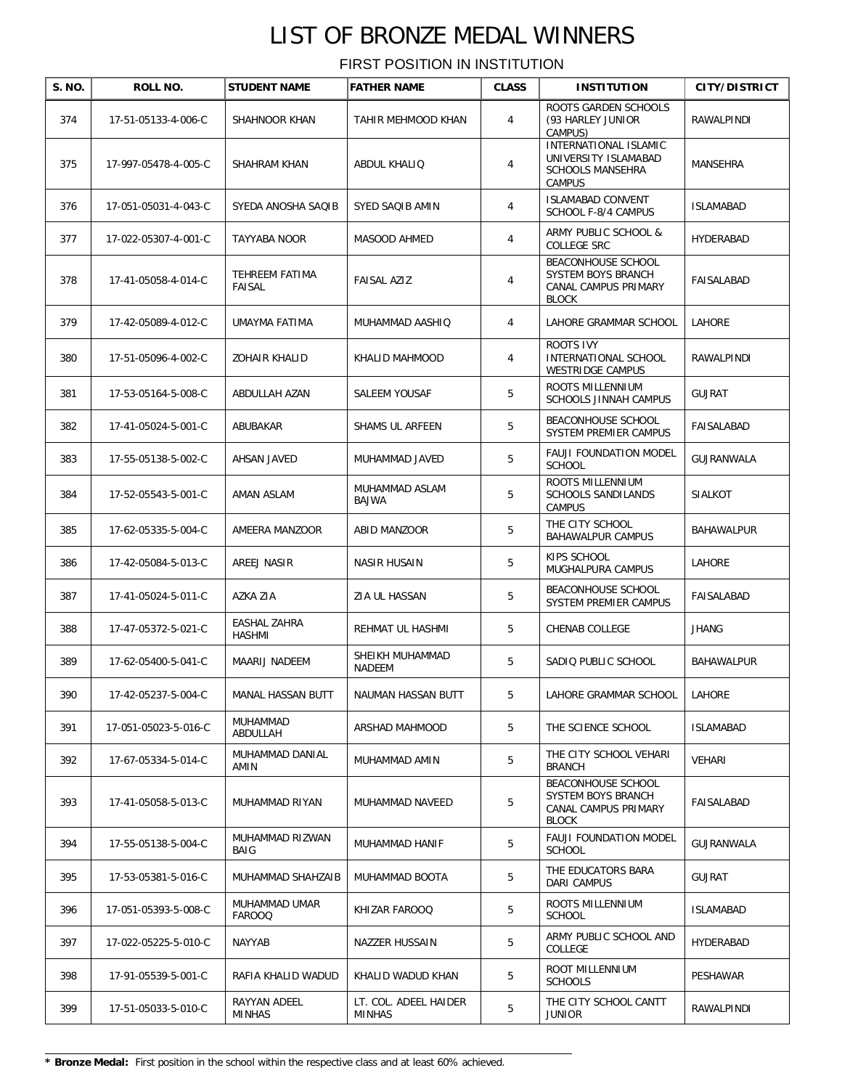| S. NO. | ROLL NO.             | <b>STUDENT NAME</b>            | <b>FATHER NAME</b>              | <b>CLASS</b>   | <b>INSTITUTION</b>                                                                        | <b>CITY/DISTRICT</b> |
|--------|----------------------|--------------------------------|---------------------------------|----------------|-------------------------------------------------------------------------------------------|----------------------|
| 374    | 17-51-05133-4-006-C  | SHAHNOOR KHAN                  | TAHIR MEHMOOD KHAN              | 4              | ROOTS GARDEN SCHOOLS<br>(93 HARLEY JUNIOR<br>CAMPUS)                                      | RAWALPINDI           |
| 375    | 17-997-05478-4-005-C | SHAHRAM KHAN                   | ABDUL KHALIQ                    | 4              | INTERNATIONAL ISLAMIC<br>UNIVERSITY ISLAMABAD<br><b>SCHOOLS MANSEHRA</b><br><b>CAMPUS</b> | MANSEHRA             |
| 376    | 17-051-05031-4-043-C | SYEDA ANOSHA SAQIB             | SYED SAQIB AMIN                 | $\overline{4}$ | <b>ISLAMABAD CONVENT</b><br>SCHOOL F-8/4 CAMPUS                                           | <b>ISLAMABAD</b>     |
| 377    | 17-022-05307-4-001-C | TAYYABA NOOR                   | MASOOD AHMED                    | $\overline{4}$ | ARMY PUBLIC SCHOOL &<br>COLLEGE SRC                                                       | HYDERABAD            |
| 378    | 17-41-05058-4-014-C  | TEHREEM FATIMA<br>FAISAL       | FAISAL AZIZ                     | $\overline{4}$ | BEACONHOUSE SCHOOL<br>SYSTEM BOYS BRANCH<br>CANAL CAMPUS PRIMARY<br><b>BLOCK</b>          | FAISALABAD           |
| 379    | 17-42-05089-4-012-C  | UMAYMA FATIMA                  | MUHAMMAD AASHIQ                 | $\overline{4}$ | LAHORE GRAMMAR SCHOOL                                                                     | <b>LAHORE</b>        |
| 380    | 17-51-05096-4-002-C  | <b>ZOHAIR KHALID</b>           | KHALID MAHMOOD                  | 4              | ROOTS IVY<br><b>INTERNATIONAL SCHOOL</b><br>WESTRIDGE CAMPUS                              | RAWALPINDI           |
| 381    | 17-53-05164-5-008-C  | ABDULLAH AZAN                  | SALEEM YOUSAF                   | 5              | ROOTS MILLENNIUM<br><b>SCHOOLS JINNAH CAMPUS</b>                                          | <b>GUJRAT</b>        |
| 382    | 17-41-05024-5-001-C  | ABUBAKAR                       | SHAMS UL ARFEEN                 | 5              | BEACONHOUSE SCHOOL<br>SYSTEM PREMIER CAMPUS                                               | FAISALABAD           |
| 383    | 17-55-05138-5-002-C  | AHSAN JAVED                    | MUHAMMAD JAVED                  | 5              | FAUJI FOUNDATION MODEL<br><b>SCHOOL</b>                                                   | GUJRANWALA           |
| 384    | 17-52-05543-5-001-C  | AMAN ASLAM                     | MUHAMMAD ASLAM<br>BAJWA         | 5              | ROOTS MILLENNIUM<br><b>SCHOOLS SANDILANDS</b><br><b>CAMPUS</b>                            | <b>SIALKOT</b>       |
| 385    | 17-62-05335-5-004-C  | AMEERA MANZOOR                 | ABID MANZOOR                    | 5              | THE CITY SCHOOL<br><b>BAHAWALPUR CAMPUS</b>                                               | BAHAWALPUR           |
| 386    | 17-42-05084-5-013-C  | AREEJ NASIR                    | NASIR HUSAIN                    | 5              | KIPS SCHOOL<br>MUGHALPURA CAMPUS                                                          | LAHORE               |
| 387    | 17-41-05024-5-011-C  | AZKA ZIA                       | ZIA UL HASSAN                   | 5              | BEACONHOUSE SCHOOL<br>SYSTEM PREMIER CAMPUS                                               | FAISALABAD           |
| 388    | 17-47-05372-5-021-C  | EASHAL ZAHRA<br>HASHMI         | REHMAT UL HASHMI                | 5              | CHENAB COLLEGE                                                                            | <b>JHANG</b>         |
| 389    | 17-62-05400-5-041-C  | MAARIJ NADEEM                  | SHEIKH MUHAMMAD<br>NADEEM       | 5              | SADIQ PUBLIC SCHOOL                                                                       | <b>BAHAWALPUR</b>    |
| 390    | 17-42-05237-5-004-C  | MANAL HASSAN BUTT              | NAUMAN HASSAN BUTT              | 5              | LAHORE GRAMMAR SCHOOL                                                                     | LAHORE               |
| 391    | 17-051-05023-5-016-C | MUHAMMAD<br>ABDULLAH           | ARSHAD MAHMOOD                  | 5              | THE SCIENCE SCHOOL                                                                        | <b>ISLAMABAD</b>     |
| 392    | 17-67-05334-5-014-C  | MUHAMMAD DANIAL<br>AMIN        | MUHAMMAD AMIN                   | 5              | THE CITY SCHOOL VEHARI<br><b>BRANCH</b>                                                   | VEHARI               |
| 393    | 17-41-05058-5-013-C  | MUHAMMAD RIYAN                 | MUHAMMAD NAVEED                 | 5              | BEACONHOUSE SCHOOL<br>SYSTEM BOYS BRANCH<br>CANAL CAMPUS PRIMARY<br><b>BLOCK</b>          | FAISALABAD           |
| 394    | 17-55-05138-5-004-C  | MUHAMMAD RIZWAN<br><b>BAIG</b> | MUHAMMAD HANIF                  | 5              | <b>FAUJI FOUNDATION MODEL</b><br><b>SCHOOL</b>                                            | GUJRANWALA           |
| 395    | 17-53-05381-5-016-C  | MUHAMMAD SHAHZAIB              | MUHAMMAD BOOTA                  | 5              | THE EDUCATORS BARA<br><b>DARI CAMPUS</b>                                                  | <b>GUJRAT</b>        |
| 396    | 17-051-05393-5-008-C | MUHAMMAD UMAR<br><b>FAROOQ</b> | KHIZAR FAROOQ                   | 5              | ROOTS MILLENNIUM<br><b>SCHOOL</b>                                                         | <b>ISLAMABAD</b>     |
| 397    | 17-022-05225-5-010-C | NAYYAB                         | NAZZER HUSSAIN                  | 5              | ARMY PUBLIC SCHOOL AND<br>COLLEGE                                                         | HYDERABAD            |
| 398    | 17-91-05539-5-001-C  | RAFIA KHALID WADUD             | KHALID WADUD KHAN               | 5              | ROOT MILLENNIUM<br><b>SCHOOLS</b>                                                         | PESHAWAR             |
| 399    | 17-51-05033-5-010-C  | RAYYAN ADEEL<br><b>MINHAS</b>  | LT. COL. ADEEL HAIDER<br>MINHAS | 5              | THE CITY SCHOOL CANTT<br><b>JUNIOR</b>                                                    | RAWALPINDI           |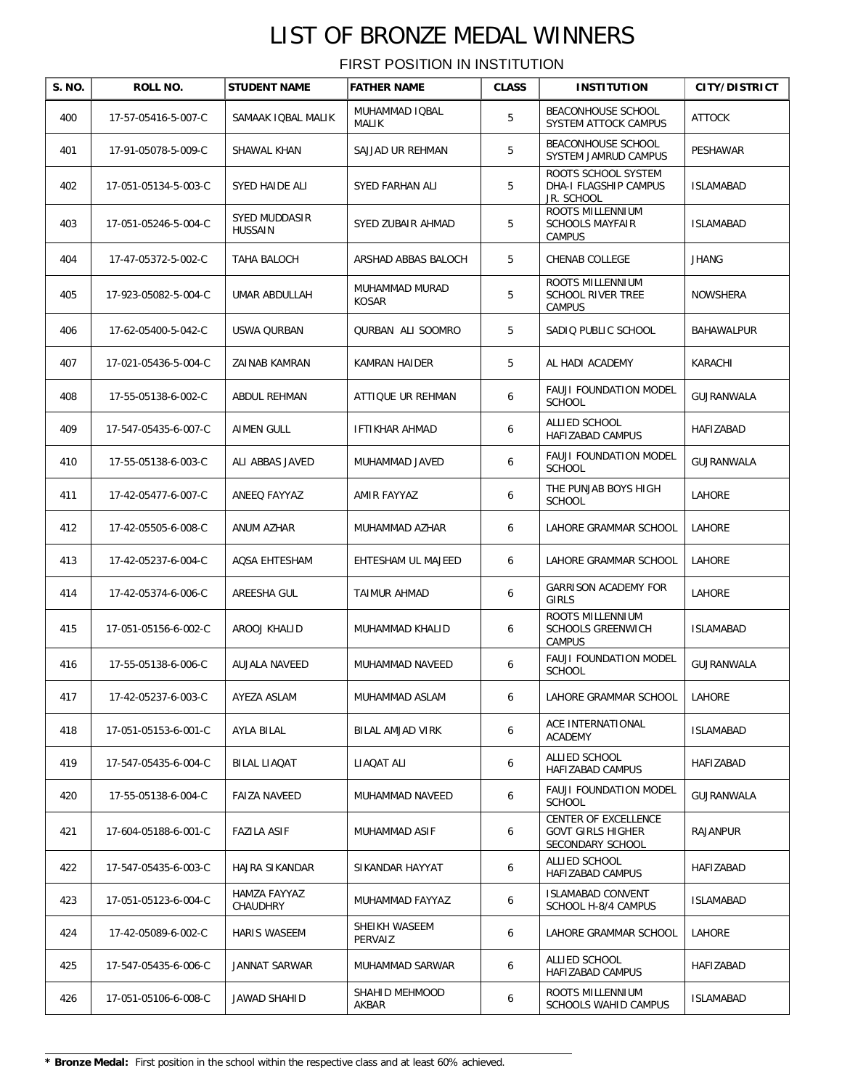| S. NO. | ROLL NO.             | <b>STUDENT NAME</b>             | <b>FATHER NAME</b>       | <b>CLASS</b> | <b>INSTITUTION</b>                                                   | <b>CITY/DISTRICT</b> |
|--------|----------------------|---------------------------------|--------------------------|--------------|----------------------------------------------------------------------|----------------------|
| 400    | 17-57-05416-5-007-C  | SAMAAK IQBAL MALIK              | MUHAMMAD IQBAL<br>MALIK  | 5            | BEACONHOUSE SCHOOL<br>SYSTEM ATTOCK CAMPUS                           | <b>ATTOCK</b>        |
| 401    | 17-91-05078-5-009-C  | SHAWAL KHAN                     | SAJJAD UR REHMAN         | 5            | BEACONHOUSE SCHOOL<br>SYSTEM JAMRUD CAMPUS                           | PESHAWAR             |
| 402    | 17-051-05134-5-003-C | SYED HAIDE ALI                  | SYED FARHAN ALI          | 5            | ROOTS SCHOOL SYSTEM<br>DHA-I FLAGSHIP CAMPUS<br>JR. SCHOOL           | <b>ISLAMABAD</b>     |
| 403    | 17-051-05246-5-004-C | SYED MUDDASIR<br><b>HUSSAIN</b> | SYED ZUBAIR AHMAD        | 5            | ROOTS MILLENNIUM<br><b>SCHOOLS MAYFAIR</b><br><b>CAMPUS</b>          | <b>ISLAMABAD</b>     |
| 404    | 17-47-05372-5-002-C  | TAHA BALOCH                     | ARSHAD ABBAS BALOCH      | 5            | CHENAB COLLEGE                                                       | <b>JHANG</b>         |
| 405    | 17-923-05082-5-004-C | UMAR ABDULLAH                   | MUHAMMAD MURAD<br>KOSAR  | 5            | ROOTS MILLENNIUM<br><b>SCHOOL RIVER TREE</b><br>CAMPUS               | NOWSHERA             |
| 406    | 17-62-05400-5-042-C  | USWA QURBAN                     | QURBAN ALI SOOMRO        | 5            | SADIQ PUBLIC SCHOOL                                                  | BAHAWALPUR           |
| 407    | 17-021-05436-5-004-C | ZAINAB KAMRAN                   | KAMRAN HAIDER            | 5            | AL HADI ACADEMY                                                      | KARACHI              |
| 408    | 17-55-05138-6-002-C  | ABDUL REHMAN                    | ATTIQUE UR REHMAN        | 6            | FAUJI FOUNDATION MODEL<br><b>SCHOOL</b>                              | GUJRANWALA           |
| 409    | 17-547-05435-6-007-C | AIMEN GULL                      | <b>IFTIKHAR AHMAD</b>    | 6            | ALLIED SCHOOL<br>HAFIZABAD CAMPUS                                    | HAFIZABAD            |
| 410    | 17-55-05138-6-003-C  | ALI ABBAS JAVED                 | MUHAMMAD JAVED           | 6            | <b>FAUJI FOUNDATION MODEL</b><br><b>SCHOOL</b>                       | GUJRANWALA           |
| 411    | 17-42-05477-6-007-C  | ANEEQ FAYYAZ                    | AMIR FAYYAZ              | 6            | THE PUNJAB BOYS HIGH<br><b>SCHOOL</b>                                | LAHORE               |
| 412    | 17-42-05505-6-008-C  | ANUM AZHAR                      | MUHAMMAD AZHAR           | 6            | LAHORE GRAMMAR SCHOOL                                                | LAHORE               |
| 413    | 17-42-05237-6-004-C  | AQSA EHTESHAM                   | EHTESHAM UL MAJEED       | 6            | LAHORE GRAMMAR SCHOOL                                                | LAHORE               |
| 414    | 17-42-05374-6-006-C  | AREESHA GUL                     | TAIMUR AHMAD             | 6            | <b>GARRISON ACADEMY FOR</b><br>GIRLS                                 | LAHORE               |
| 415    | 17-051-05156-6-002-C | AROOJ KHALID                    | MUHAMMAD KHALID          | 6            | ROOTS MILLENNIUM<br>SCHOOLS GREENWICH<br>CAMPUS                      | <b>ISLAMABAD</b>     |
| 416    | 17-55-05138-6-006-C  | AUJALA NAVEED                   | MUHAMMAD NAVEED          | 6            | <b>FAUJI FOUNDATION MODEL</b><br><b>SCHOOL</b>                       | GUJRANWALA           |
| 417    | 17-42-05237-6-003-C  | AYEZA ASLAM                     | MUHAMMAD ASLAM           | 6            | LAHORE GRAMMAR SCHOOL                                                | LAHORE               |
| 418    | 17-051-05153-6-001-C | AYLA BILAL                      | <b>BILAL AMJAD VIRK</b>  | 6            | ACE INTERNATIONAL<br>ACADEMY                                         | <b>ISLAMABAD</b>     |
| 419    | 17-547-05435-6-004-C | BILAL LIAQAT                    | LIAQAT ALI               | 6            | ALLIED SCHOOL<br>HAFIZABAD CAMPUS                                    | HAFIZABAD            |
| 420    | 17-55-05138-6-004-C  | <b>FAIZA NAVEED</b>             | MUHAMMAD NAVEED          | 6            | FAUJI FOUNDATION MODEL<br><b>SCHOOL</b>                              | GUJRANWALA           |
| 421    | 17-604-05188-6-001-C | <b>FAZILA ASIF</b>              | MUHAMMAD ASIF            | 6            | CENTER OF EXCELLENCE<br><b>GOVT GIRLS HIGHER</b><br>SECONDARY SCHOOL | RAJANPUR             |
| 422    | 17-547-05435-6-003-C | HAJRA SIKANDAR                  | SIKANDAR HAYYAT          | 6            | ALLIED SCHOOL<br>HAFIZABAD CAMPUS                                    | HAFIZABAD            |
| 423    | 17-051-05123-6-004-C | HAMZA FAYYAZ<br>CHAUDHRY        | MUHAMMAD FAYYAZ          | 6            | ISLAMABAD CONVENT<br>SCHOOL H-8/4 CAMPUS                             | <b>ISLAMABAD</b>     |
| 424    | 17-42-05089-6-002-C  | HARIS WASEEM                    | SHEIKH WASEEM<br>PERVAIZ | 6            | LAHORE GRAMMAR SCHOOL                                                | LAHORE               |
| 425    | 17-547-05435-6-006-C | JANNAT SARWAR                   | MUHAMMAD SARWAR          | 6            | ALLIED SCHOOL<br>HAFIZABAD CAMPUS                                    | HAFIZABAD            |
| 426    | 17-051-05106-6-008-C | JAWAD SHAHID                    | SHAHID MEHMOOD<br>AKBAR  | 6            | ROOTS MILLENNIUM<br>SCHOOLS WAHID CAMPUS                             | <b>ISLAMABAD</b>     |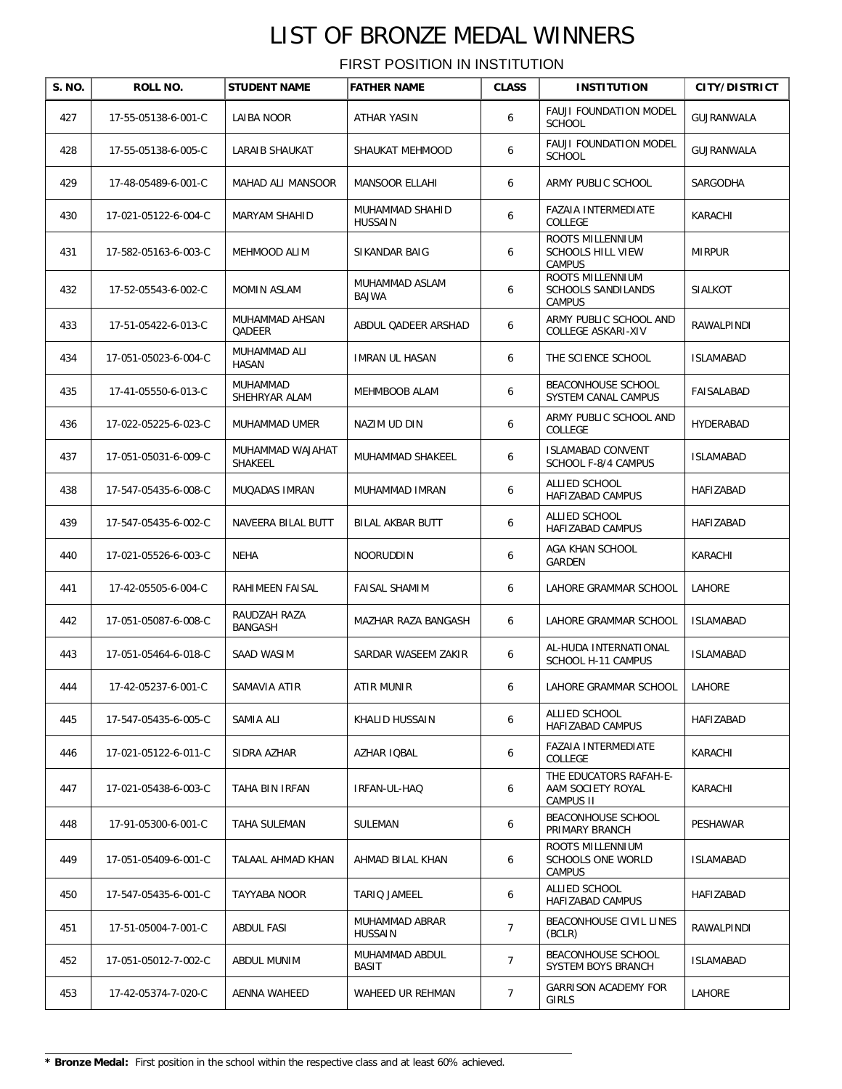| S. NO. | ROLL NO.             | <b>STUDENT NAME</b>             | <b>FATHER NAME</b>                | <b>CLASS</b>   | <b>INSTITUTION</b>                                            | <b>CITY/DISTRICT</b> |
|--------|----------------------|---------------------------------|-----------------------------------|----------------|---------------------------------------------------------------|----------------------|
| 427    | 17-55-05138-6-001-C  | LAIBA NOOR                      | ATHAR YASIN                       | 6              | <b>FAUJI FOUNDATION MODEL</b><br><b>SCHOOL</b>                | GUJRANWALA           |
| 428    | 17-55-05138-6-005-C  | LARAIB SHAUKAT                  | SHAUKAT MEHMOOD                   | 6              | FAUJI FOUNDATION MODEL<br><b>SCHOOL</b>                       | GUJRANWALA           |
| 429    | 17-48-05489-6-001-C  | MAHAD ALI MANSOOR               | <b>MANSOOR ELLAHI</b>             | 6              | ARMY PUBLIC SCHOOL                                            | SARGODHA             |
| 430    | 17-021-05122-6-004-C | <b>MARYAM SHAHID</b>            | MUHAMMAD SHAHID<br><b>HUSSAIN</b> | 6              | FAZAIA INTERMEDIATE<br>COLLEGE                                | KARACHI              |
| 431    | 17-582-05163-6-003-C | MEHMOOD ALIM                    | SIKANDAR BAIG                     | 6              | ROOTS MILLENNIUM<br><b>SCHOOLS HILL VIEW</b><br><b>CAMPUS</b> | <b>MIRPUR</b>        |
| 432    | 17-52-05543-6-002-C  | MOMIN ASLAM                     | MUHAMMAD ASLAM<br>BAJWA           | 6              | ROOTS MILLENNIUM<br>SCHOOLS SANDILANDS<br>CAMPUS              | SIALKOT              |
| 433    | 17-51-05422-6-013-C  | MUHAMMAD AHSAN<br><b>QADEER</b> | ABDUL QADEER ARSHAD               | 6              | ARMY PUBLIC SCHOOL AND<br>COLLEGE ASKARI-XIV                  | RAWALPINDI           |
| 434    | 17-051-05023-6-004-C | MUHAMMAD ALI<br>HASAN           | <b>IMRAN UL HASAN</b>             | 6              | THE SCIENCE SCHOOL                                            | ISLAMABAD            |
| 435    | 17-41-05550-6-013-C  | MUHAMMAD<br>SHEHRYAR ALAM       | MEHMBOOB ALAM                     | 6              | BEACONHOUSE SCHOOL<br>SYSTEM CANAL CAMPUS                     | FAISALABAD           |
| 436    | 17-022-05225-6-023-C | MUHAMMAD UMER                   | NAZIM UD DIN                      | 6              | ARMY PUBLIC SCHOOL AND<br>COLLEGE                             | HYDERABAD            |
| 437    | 17-051-05031-6-009-C | MUHAMMAD WAJAHAT<br>SHAKEEL     | MUHAMMAD SHAKEEL                  | 6              | <b>ISLAMABAD CONVENT</b><br>SCHOOL F-8/4 CAMPUS               | <b>ISLAMABAD</b>     |
| 438    | 17-547-05435-6-008-C | MUQADAS IMRAN                   | MUHAMMAD IMRAN                    | 6              | ALLIED SCHOOL<br>HAFIZABAD CAMPUS                             | HAFIZABAD            |
| 439    | 17-547-05435-6-002-C | NAVEERA BILAL BUTT              | BILAL AKBAR BUTT                  | 6              | ALLIED SCHOOL<br>HAFIZABAD CAMPUS                             | HAFIZABAD            |
| 440    | 17-021-05526-6-003-C | NEHA                            | NOORUDDIN                         | 6              | AGA KHAN SCHOOL<br>GARDEN                                     | KARACHI              |
| 441    | 17-42-05505-6-004-C  | RAHIMEEN FAISAL                 | <b>FAISAL SHAMIM</b>              | 6              | LAHORE GRAMMAR SCHOOL                                         | LAHORE               |
| 442    | 17-051-05087-6-008-C | RAUDZAH RAZA<br>BANGASH         | MAZHAR RAZA BANGASH               | 6              | LAHORE GRAMMAR SCHOOL                                         | <b>ISLAMABAD</b>     |
| 443    | 17-051-05464-6-018-C | SAAD WASIM                      | SARDAR WASEEM ZAKIR               | 6              | AL-HUDA INTERNATIONAL<br>SCHOOL H-11 CAMPUS                   | <b>ISLAMABAD</b>     |
| 444    | 17-42-05237-6-001-C  | SAMAVIA ATIR                    | ATIR MUNIR                        |                | LAHORE GRAMMAR SCHOOL                                         | LAHORE               |
| 445    | 17-547-05435-6-005-C | SAMIA ALI                       | KHALID HUSSAIN                    | 6              | ALLIED SCHOOL<br><b>HAFIZABAD CAMPUS</b>                      | HAFIZABAD            |
| 446    | 17-021-05122-6-011-C | SIDRA AZHAR                     | AZHAR IQBAL                       | 6              | FAZAIA INTERMEDIATE<br>COLLEGE                                | KARACHI              |
| 447    | 17-021-05438-6-003-C | TAHA BIN IRFAN                  | IRFAN-UL-HAQ                      | 6              | THE EDUCATORS RAFAH-E-<br>AAM SOCIETY ROYAL<br>CAMPUS II      | KARACHI              |
| 448    | 17-91-05300-6-001-C  | TAHA SULEMAN                    | SULEMAN                           | 6              | BEACONHOUSE SCHOOL<br>PRIMARY BRANCH                          | PESHAWAR             |
| 449    | 17-051-05409-6-001-C | TALAAL AHMAD KHAN               | AHMAD BILAL KHAN                  | 6              | ROOTS MILLENNIUM<br>SCHOOLS ONE WORLD<br><b>CAMPUS</b>        | ISLAMABAD            |
| 450    | 17-547-05435-6-001-C | TAYYABA NOOR                    | TARIQ JAMEEL                      | 6              | ALLIED SCHOOL<br>HAFIZABAD CAMPUS                             | HAFIZABAD            |
| 451    | 17-51-05004-7-001-C  | ABDUL FASI                      | MUHAMMAD ABRAR<br><b>HUSSAIN</b>  | $\overline{7}$ | BEACONHOUSE CIVIL LINES<br>(BCLR)                             | RAWALPINDI           |
| 452    | 17-051-05012-7-002-C | ABDUL MUNIM                     | MUHAMMAD ABDUL<br>BASIT           | $\overline{7}$ | BEACONHOUSE SCHOOL<br>SYSTEM BOYS BRANCH                      | ISLAMABAD            |
| 453    | 17-42-05374-7-020-C  | AENNA WAHEED                    | WAHEED UR REHMAN                  | $\overline{7}$ | <b>GARRISON ACADEMY FOR</b><br>GIRLS                          | LAHORE               |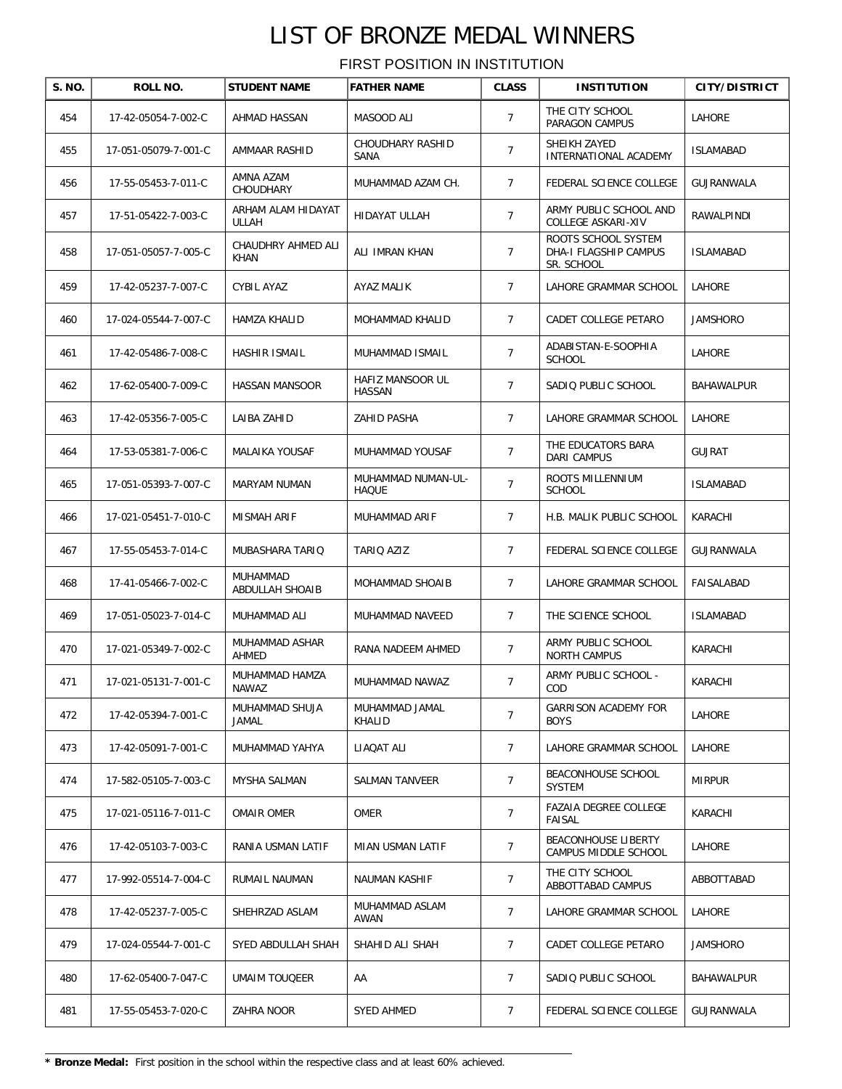| S. NO. | ROLL NO.             | <b>STUDENT NAME</b>               | <b>FATHER NAME</b>                 | <b>CLASS</b>   | <b>INSTITUTION</b>                                         | <b>CITY/DISTRICT</b> |
|--------|----------------------|-----------------------------------|------------------------------------|----------------|------------------------------------------------------------|----------------------|
| 454    | 17-42-05054-7-002-C  | AHMAD HASSAN                      | MASOOD ALI                         | $\overline{7}$ | THE CITY SCHOOL<br>PARAGON CAMPUS                          | LAHORE               |
| 455    | 17-051-05079-7-001-C | AMMAAR RASHID                     | CHOUDHARY RASHID<br>SANA           | 7              | SHEIKH ZAYED<br>INTERNATIONAL ACADEMY                      | <b>ISLAMABAD</b>     |
| 456    | 17-55-05453-7-011-C  | AMNA AZAM<br><b>CHOUDHARY</b>     | MUHAMMAD AZAM CH.                  | $\overline{7}$ | FEDERAL SCIENCE COLLEGE                                    | GUJRANWALA           |
| 457    | 17-51-05422-7-003-C  | ARHAM ALAM HIDAYAT<br>ULLAH       | <b>HIDAYAT ULLAH</b>               | $\overline{7}$ | ARMY PUBLIC SCHOOL AND<br>COLLEGE ASKARI-XIV               | RAWALPINDI           |
| 458    | 17-051-05057-7-005-C | CHAUDHRY AHMED ALI<br><b>KHAN</b> | ALI IMRAN KHAN                     | $\overline{7}$ | ROOTS SCHOOL SYSTEM<br>DHA-I FLAGSHIP CAMPUS<br>SR. SCHOOL | <b>ISLAMABAD</b>     |
| 459    | 17-42-05237-7-007-C  | CYBIL AYAZ                        | AYAZ MALIK                         | $\overline{7}$ | LAHORE GRAMMAR SCHOOL                                      | LAHORE               |
| 460    | 17-024-05544-7-007-C | HAMZA KHALID                      | MOHAMMAD KHALID                    | $\overline{7}$ | CADET COLLEGE PETARO                                       | JAMSHORO             |
| 461    | 17-42-05486-7-008-C  | HASHIR ISMAIL                     | MUHAMMAD ISMAIL                    | $\overline{7}$ | ADABISTAN-E-SOOPHIA<br><b>SCHOOL</b>                       | LAHORE               |
| 462    | 17-62-05400-7-009-C  | HASSAN MANSOOR                    | HAFIZ MANSOOR UL<br><b>HASSAN</b>  | $\overline{7}$ | SADIQ PUBLIC SCHOOL                                        | BAHAWALPUR           |
| 463    | 17-42-05356-7-005-C  | LAIBA ZAHID                       | ZAHID PASHA                        | $\overline{7}$ | LAHORE GRAMMAR SCHOOL                                      | LAHORE               |
| 464    | 17-53-05381-7-006-C  | MALAIKA YOUSAF                    | MUHAMMAD YOUSAF                    | $\overline{7}$ | THE EDUCATORS BARA<br><b>DARI CAMPUS</b>                   | <b>GUJRAT</b>        |
| 465    | 17-051-05393-7-007-C | MARYAM NUMAN                      | MUHAMMAD NUMAN-UL-<br><b>HAQUE</b> | $\overline{7}$ | ROOTS MILLENNIUM<br><b>SCHOOL</b>                          | <b>ISLAMABAD</b>     |
| 466    | 17-021-05451-7-010-C | MISMAH ARIF                       | MUHAMMAD ARIF                      | $\overline{7}$ | H.B. MALIK PUBLIC SCHOOL                                   | KARACHI              |
| 467    | 17-55-05453-7-014-C  | MUBASHARA TARIQ                   | TARIQ AZIZ                         | $\overline{7}$ | FEDERAL SCIENCE COLLEGE                                    | GUJRANWALA           |
| 468    | 17-41-05466-7-002-C  | MUHAMMAD<br>ABDULLAH SHOAIB       | MOHAMMAD SHOAIB                    | $\overline{7}$ | LAHORE GRAMMAR SCHOOL                                      | FAISALABAD           |
| 469    | 17-051-05023-7-014-C | MUHAMMAD ALI                      | MUHAMMAD NAVEED                    | $\overline{7}$ | THE SCIENCE SCHOOL                                         | <b>ISLAMABAD</b>     |
| 470    | 17-021-05349-7-002-C | MUHAMMAD ASHAR<br>AHMED           | RANA NADEEM AHMED                  | 7              | ARMY PUBLIC SCHOOL<br><b>NORTH CAMPUS</b>                  | KARACHI              |
| 471    | 17-021-05131-7-001-C | MUHAMMAD HAMZA<br>NAWAZ           | MUHAMMAD NAWAZ                     | $\overline{7}$ | ARMY PUBLIC SCHOOL -<br>COD                                | KARACHI              |
| 472    | 17-42-05394-7-001-C  | MUHAMMAD SHUJA<br>JAMAL           | MUHAMMAD JAMAL<br>KHALID           | $\overline{7}$ | <b>GARRISON ACADEMY FOR</b><br><b>BOYS</b>                 | LAHORE               |
| 473    | 17-42-05091-7-001-C  | MUHAMMAD YAHYA                    | LIAQAT ALI                         | 7              | LAHORE GRAMMAR SCHOOL                                      | LAHORE               |
| 474    | 17-582-05105-7-003-C | MYSHA SALMAN                      | SALMAN TANVEER                     | 7              | BEACONHOUSE SCHOOL<br>SYSTEM                               | <b>MIRPUR</b>        |
| 475    | 17-021-05116-7-011-C | <b>OMAIR OMER</b>                 | OMER                               | $\overline{7}$ | <b>FAZAIA DEGREE COLLEGE</b><br><b>FAISAL</b>              | KARACHI              |
| 476    | 17-42-05103-7-003-C  | RANIA USMAN LATIF                 | MIAN USMAN LATIF                   | $\overline{7}$ | BEACONHOUSE LIBERTY<br>CAMPUS MIDDLE SCHOOL                | LAHORE               |
| 477    | 17-992-05514-7-004-C | RUMAIL NAUMAN                     | NAUMAN KASHIF                      | 7              | THE CITY SCHOOL<br>ABBOTTABAD CAMPUS                       | ABBOTTABAD           |
| 478    | 17-42-05237-7-005-C  | SHEHRZAD ASLAM                    | MUHAMMAD ASLAM<br>AWAN             | $\overline{7}$ | LAHORE GRAMMAR SCHOOL                                      | LAHORE               |
| 479    | 17-024-05544-7-001-C | SYED ABDULLAH SHAH                | SHAHID ALI SHAH                    | $\overline{7}$ | CADET COLLEGE PETARO                                       | <b>JAMSHORO</b>      |
| 480    | 17-62-05400-7-047-C  | <b>UMAIM TOUQEER</b>              | AA                                 | $\overline{7}$ | SADIQ PUBLIC SCHOOL                                        | BAHAWALPUR           |
| 481    | 17-55-05453-7-020-C  | ZAHRA NOOR                        | <b>SYED AHMED</b>                  | $\overline{7}$ | FEDERAL SCIENCE COLLEGE                                    | GUJRANWALA           |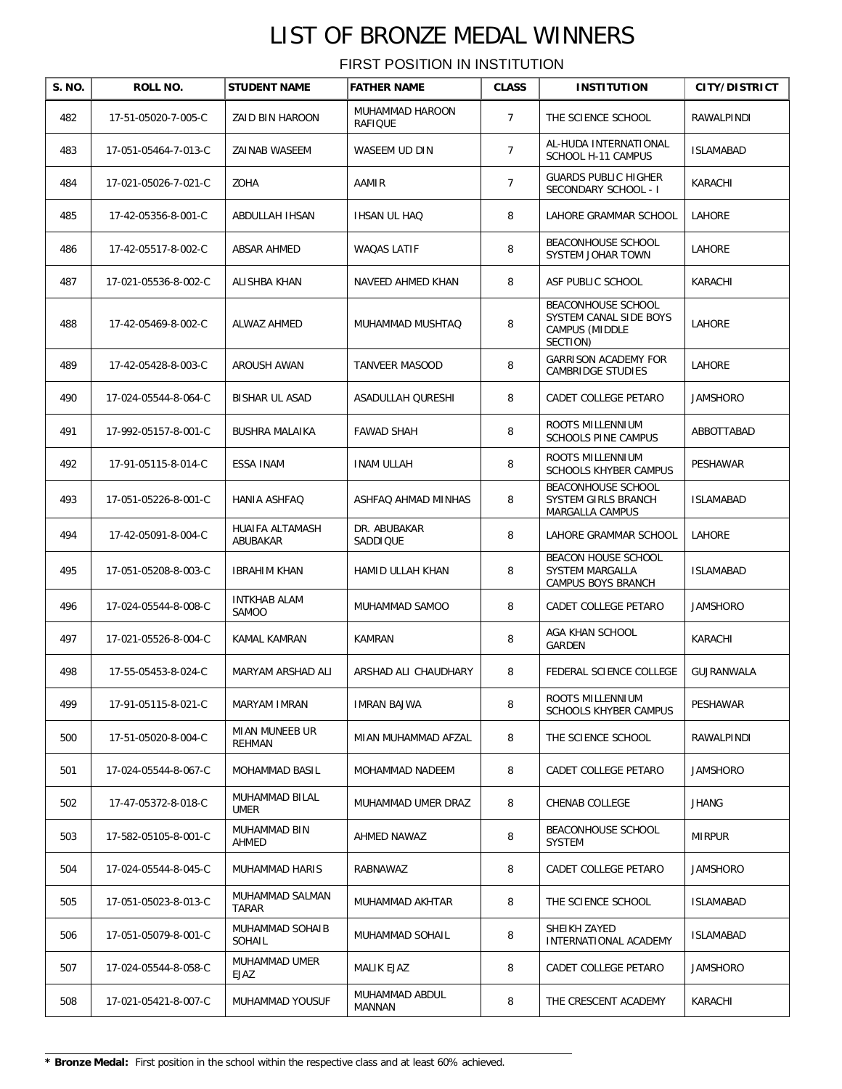| S. NO. | ROLL NO.             | <b>STUDENT NAME</b>          | <b>FATHER NAME</b>              | <b>CLASS</b>   | <b>INSTITUTION</b>                                                         | <b>CITY/DISTRICT</b> |
|--------|----------------------|------------------------------|---------------------------------|----------------|----------------------------------------------------------------------------|----------------------|
| 482    | 17-51-05020-7-005-C  | ZAID BIN HAROON              | MUHAMMAD HAROON<br>RAFIQUE      | $\overline{7}$ | THE SCIENCE SCHOOL                                                         | RAWALPINDI           |
| 483    | 17-051-05464-7-013-C | ZAINAB WASEEM                | WASEEM UD DIN                   | $\overline{7}$ | AL-HUDA INTERNATIONAL<br>SCHOOL H-11 CAMPUS                                | <b>ISLAMABAD</b>     |
| 484    | 17-021-05026-7-021-C | ZOHA                         | AAMIR                           | $\overline{7}$ | <b>GUARDS PUBLIC HIGHER</b><br>SECONDARY SCHOOL - I                        | KARACHI              |
| 485    | 17-42-05356-8-001-C  | ABDULLAH IHSAN               | IHSAN UL HAQ                    | 8              | LAHORE GRAMMAR SCHOOL                                                      | LAHORE               |
| 486    | 17-42-05517-8-002-C  | ABSAR AHMED                  | WAQAS LATIF                     | 8              | <b>BEACONHOUSE SCHOOL</b><br>SYSTEM JOHAR TOWN                             | LAHORE               |
| 487    | 17-021-05536-8-002-C | ALISHBA KHAN                 | NAVEED AHMED KHAN               | 8              | ASF PUBLIC SCHOOL                                                          | KARACHI              |
| 488    | 17-42-05469-8-002-C  | <b>ALWAZ AHMED</b>           | MUHAMMAD MUSHTAQ                | 8              | BEACONHOUSE SCHOOL<br>SYSTEM CANAL SIDE BOYS<br>CAMPUS (MIDDLE<br>SECTION) | LAHORE               |
| 489    | 17-42-05428-8-003-C  | AROUSH AWAN                  | <b>TANVEER MASOOD</b>           | 8              | <b>GARRISON ACADEMY FOR</b><br><b>CAMBRIDGE STUDIES</b>                    | LAHORE               |
| 490    | 17-024-05544-8-064-C | BISHAR UL ASAD               | ASADULLAH QURESHI               | 8              | CADET COLLEGE PETARO                                                       | <b>JAMSHORO</b>      |
| 491    | 17-992-05157-8-001-C | <b>BUSHRA MALAIKA</b>        | <b>FAWAD SHAH</b>               | 8              | ROOTS MILLENNIUM<br><b>SCHOOLS PINE CAMPUS</b>                             | ABBOTTABAD           |
| 492    | 17-91-05115-8-014-C  | ESSA INAM                    | <b>INAM ULLAH</b>               | 8              | ROOTS MILLENNIUM<br><b>SCHOOLS KHYBER CAMPUS</b>                           | PESHAWAR             |
| 493    | 17-051-05226-8-001-C | HANIA ASHFAQ                 | ASHFAQ AHMAD MINHAS             | 8              | BEACONHOUSE SCHOOL<br>SYSTEM GIRLS BRANCH<br>MARGALLA CAMPUS               | <b>ISLAMABAD</b>     |
| 494    | 17-42-05091-8-004-C  | HUAIFA ALTAMASH<br>ABUBAKAR  | DR. ABUBAKAR<br><b>SADDIQUE</b> | 8              | LAHORE GRAMMAR SCHOOL                                                      | LAHORE               |
| 495    | 17-051-05208-8-003-C | <b>IBRAHIM KHAN</b>          | HAMID ULLAH KHAN                | 8              | BEACON HOUSE SCHOOL<br>SYSTEM MARGALLA<br>CAMPUS BOYS BRANCH               | <b>ISLAMABAD</b>     |
| 496    | 17-024-05544-8-008-C | <b>INTKHAB ALAM</b><br>SAMOO | MUHAMMAD SAMOO                  | 8              | CADET COLLEGE PETARO                                                       | <b>JAMSHORO</b>      |
| 497    | 17-021-05526-8-004-C | KAMAL KAMRAN                 | KAMRAN                          | 8              | AGA KHAN SCHOOL<br>GARDEN                                                  | KARACHI              |
| 498    | 17-55-05453-8-024-C  | MARYAM ARSHAD ALI            | ARSHAD ALI CHAUDHARY            | 8              | FEDERAL SCIENCE COLLEGE                                                    | GUJRANWALA           |
| 499    | 17-91-05115-8-021-C  | MARYAM IMRAN                 | <b>IMRAN BAJWA</b>              | 8              | ROOTS MILLENNIUM<br>SCHOOLS KHYBER CAMPUS                                  | PESHAWAR             |
| 500    | 17-51-05020-8-004-C  | MIAN MUNEEB UR<br>REHMAN     | MIAN MUHAMMAD AFZAL             | 8              | THE SCIENCE SCHOOL                                                         | RAWALPINDI           |
| 501    | 17-024-05544-8-067-C | MOHAMMAD BASIL               | MOHAMMAD NADEEM                 | 8              | CADET COLLEGE PETARO                                                       | <b>JAMSHORO</b>      |
| 502    | 17-47-05372-8-018-C  | MUHAMMAD BILAL<br>UMER       | MUHAMMAD UMER DRAZ              | 8              | CHENAB COLLEGE                                                             | JHANG                |
| 503    | 17-582-05105-8-001-C | MUHAMMAD BIN<br>AHMED        | AHMED NAWAZ                     | 8              | BEACONHOUSE SCHOOL<br><b>SYSTEM</b>                                        | <b>MIRPUR</b>        |
| 504    | 17-024-05544-8-045-C | MUHAMMAD HARIS               | RABNAWAZ                        | 8              | CADET COLLEGE PETARO                                                       | <b>JAMSHORO</b>      |
| 505    | 17-051-05023-8-013-C | MUHAMMAD SALMAN<br>TARAR     | MUHAMMAD AKHTAR                 | 8              | THE SCIENCE SCHOOL                                                         | <b>ISLAMABAD</b>     |
| 506    | 17-051-05079-8-001-C | MUHAMMAD SOHAIB<br>SOHAIL    | MUHAMMAD SOHAIL                 | 8              | SHEIKH ZAYED<br>INTERNATIONAL ACADEMY                                      | ISLAMABAD            |
| 507    | 17-024-05544-8-058-C | MUHAMMAD UMER<br><b>EJAZ</b> | MALIK EJAZ                      | 8              | CADET COLLEGE PETARO                                                       | <b>JAMSHORO</b>      |
| 508    | 17-021-05421-8-007-C | MUHAMMAD YOUSUF              | MUHAMMAD ABDUL<br>MANNAN        | 8              | THE CRESCENT ACADEMY                                                       | KARACHI              |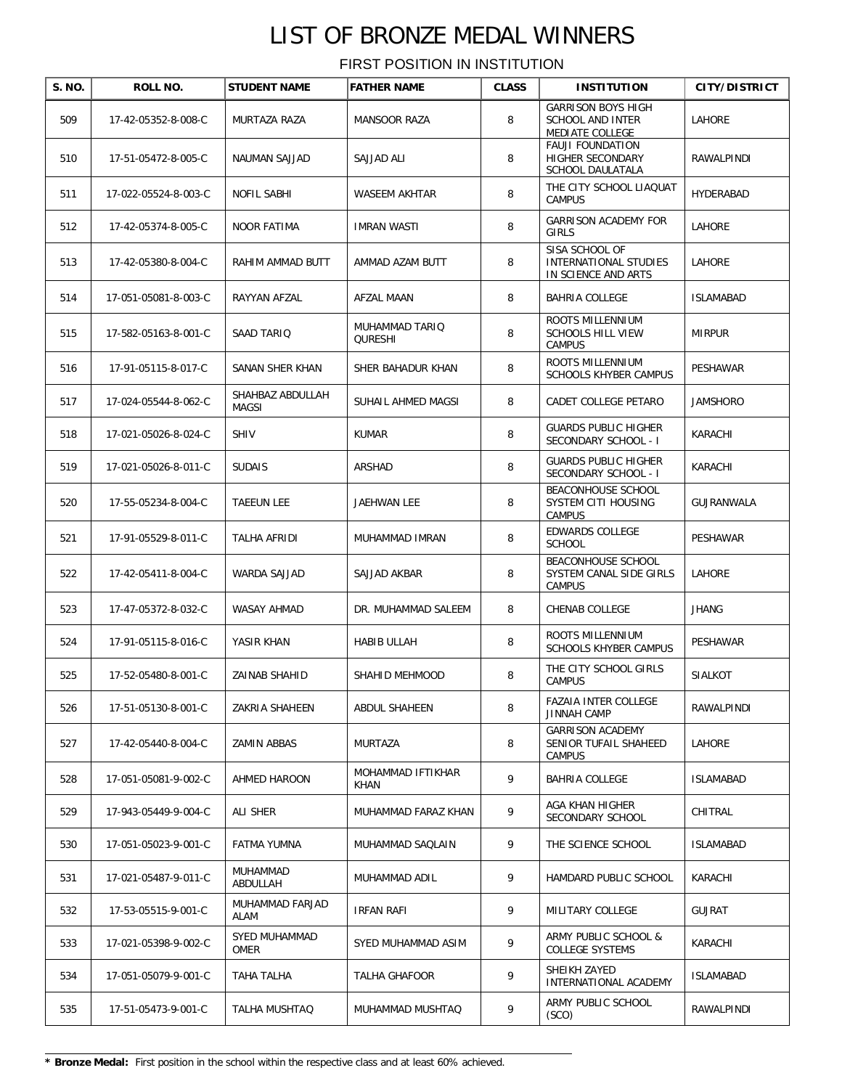| S. NO. | ROLL NO.             | <b>STUDENT NAME</b>              | <b>FATHER NAME</b>        | <b>CLASS</b> | <b>INSTITUTION</b>                                                      | <b>CITY/DISTRICT</b> |
|--------|----------------------|----------------------------------|---------------------------|--------------|-------------------------------------------------------------------------|----------------------|
| 509    | 17-42-05352-8-008-C  | MURTAZA RAZA                     | <b>MANSOOR RAZA</b>       | 8            | <b>GARRISON BOYS HIGH</b><br><b>SCHOOL AND INTER</b><br>MEDIATE COLLEGE | LAHORE               |
| 510    | 17-51-05472-8-005-C  | NAUMAN SAJJAD                    | SAJJAD ALI                | 8            | <b>FAUJI FOUNDATION</b><br>HIGHER SECONDARY<br>SCHOOL DAULATALA         | RAWALPINDI           |
| 511    | 17-022-05524-8-003-C | NOFIL SABHI                      | WASEEM AKHTAR             | 8            | THE CITY SCHOOL LIAQUAT<br><b>CAMPUS</b>                                | HYDERABAD            |
| 512    | 17-42-05374-8-005-C  | <b>NOOR FATIMA</b>               | <b>IMRAN WASTI</b>        | 8            | <b>GARRISON ACADEMY FOR</b><br><b>GIRLS</b>                             | LAHORE               |
| 513    | 17-42-05380-8-004-C  | RAHIM AMMAD BUTT                 | AMMAD AZAM BUTT           | 8            | SISA SCHOOL OF<br><b>INTERNATIONAL STUDIES</b><br>IN SCIENCE AND ARTS   | LAHORE               |
| 514    | 17-051-05081-8-003-C | RAYYAN AFZAL                     | AFZAL MAAN                | 8            | BAHRIA COLLEGE                                                          | <b>ISLAMABAD</b>     |
| 515    | 17-582-05163-8-001-C | SAAD TARIQ                       | MUHAMMAD TARIQ<br>QURESHI | 8            | ROOTS MILLENNIUM<br>SCHOOLS HILL VIEW<br>CAMPUS                         | <b>MIRPUR</b>        |
| 516    | 17-91-05115-8-017-C  | SANAN SHER KHAN                  | SHER BAHADUR KHAN         | 8            | ROOTS MILLENNIUM<br><b>SCHOOLS KHYBER CAMPUS</b>                        | PESHAWAR             |
| 517    | 17-024-05544-8-062-C | SHAHBAZ ABDULLAH<br><b>MAGSI</b> | SUHAIL AHMED MAGSI        | 8            | CADET COLLEGE PETARO                                                    | <b>JAMSHORO</b>      |
| 518    | 17-021-05026-8-024-C | <b>SHIV</b>                      | <b>KUMAR</b>              | 8            | <b>GUARDS PUBLIC HIGHER</b><br>SECONDARY SCHOOL - I                     | KARACHI              |
| 519    | 17-021-05026-8-011-C | <b>SUDAIS</b>                    | ARSHAD                    | 8            | <b>GUARDS PUBLIC HIGHER</b><br>SECONDARY SCHOOL - I                     | KARACHI              |
| 520    | 17-55-05234-8-004-C  | <b>TAEEUN LEE</b>                | JAEHWAN LEE               | 8            | BEACONHOUSE SCHOOL<br>SYSTEM CITI HOUSING<br><b>CAMPUS</b>              | GUJRANWALA           |
| 521    | 17-91-05529-8-011-C  | TALHA AFRIDI                     | MUHAMMAD IMRAN            | 8            | EDWARDS COLLEGE<br><b>SCHOOL</b>                                        | PESHAWAR             |
| 522    | 17-42-05411-8-004-C  | WARDA SAJJAD                     | SAJJAD AKBAR              | 8            | BEACONHOUSE SCHOOL<br>SYSTEM CANAL SIDE GIRLS<br><b>CAMPUS</b>          | LAHORE               |
| 523    | 17-47-05372-8-032-C  | WASAY AHMAD                      | DR. MUHAMMAD SALEEM       | 8            | CHENAB COLLEGE                                                          | <b>JHANG</b>         |
| 524    | 17-91-05115-8-016-C  | YASIR KHAN                       | HABIB ULLAH               | 8            | ROOTS MILLENNIUM<br><b>SCHOOLS KHYBER CAMPUS</b>                        | PESHAWAR             |
| 525    | 17-52-05480-8-001-C  | ZAINAB SHAHID                    | SHAHID MEHMOOD            | 8            | THE CITY SCHOOL GIRLS<br><b>CAMPUS</b>                                  | <b>SIALKOT</b>       |
| 526    | 17-51-05130-8-001-C  | ZAKRIA SHAHEEN                   | ABDUL SHAHEEN             | 8            | <b>FAZAIA INTER COLLEGE</b><br>JINNAH CAMP                              | RAWALPINDI           |
| 527    | 17-42-05440-8-004-C  | <b>ZAMIN ABBAS</b>               | MURTAZA                   | 8            | <b>GARRISON ACADEMY</b><br>SENIOR TUFAIL SHAHEED<br>CAMPUS              | <b>LAHORE</b>        |
| 528    | 17-051-05081-9-002-C | AHMED HAROON                     | MOHAMMAD IFTIKHAR<br>KHAN | 9            | BAHRIA COLLEGE                                                          | <b>ISLAMABAD</b>     |
| 529    | 17-943-05449-9-004-C | ALI SHER                         | MUHAMMAD FARAZ KHAN       | 9            | AGA KHAN HIGHER<br>SECONDARY SCHOOL                                     | CHITRAL              |
| 530    | 17-051-05023-9-001-C | FATMA YUMNA                      | MUHAMMAD SAQLAIN          | 9            | THE SCIENCE SCHOOL                                                      | <b>ISLAMABAD</b>     |
| 531    | 17-021-05487-9-011-C | MUHAMMAD<br>ABDULLAH             | MUHAMMAD ADIL             | 9            | HAMDARD PUBLIC SCHOOL                                                   | KARACHI              |
| 532    | 17-53-05515-9-001-C  | MUHAMMAD FARJAD<br>ALAM          | IRFAN RAFI                | 9            | MILITARY COLLEGE                                                        | <b>GUJRAT</b>        |
| 533    | 17-021-05398-9-002-C | SYED MUHAMMAD<br>OMER            | SYED MUHAMMAD ASIM        | 9            | ARMY PUBLIC SCHOOL &<br><b>COLLEGE SYSTEMS</b>                          | KARACHI              |
| 534    | 17-051-05079-9-001-C | TAHA TALHA                       | TALHA GHAFOOR             | 9            | SHEIKH ZAYED<br>INTERNATIONAL ACADEMY                                   | <b>ISLAMABAD</b>     |
| 535    | 17-51-05473-9-001-C  | TALHA MUSHTAQ                    | MUHAMMAD MUSHTAQ          | 9            | ARMY PUBLIC SCHOOL<br>(SCO)                                             | RAWALPINDI           |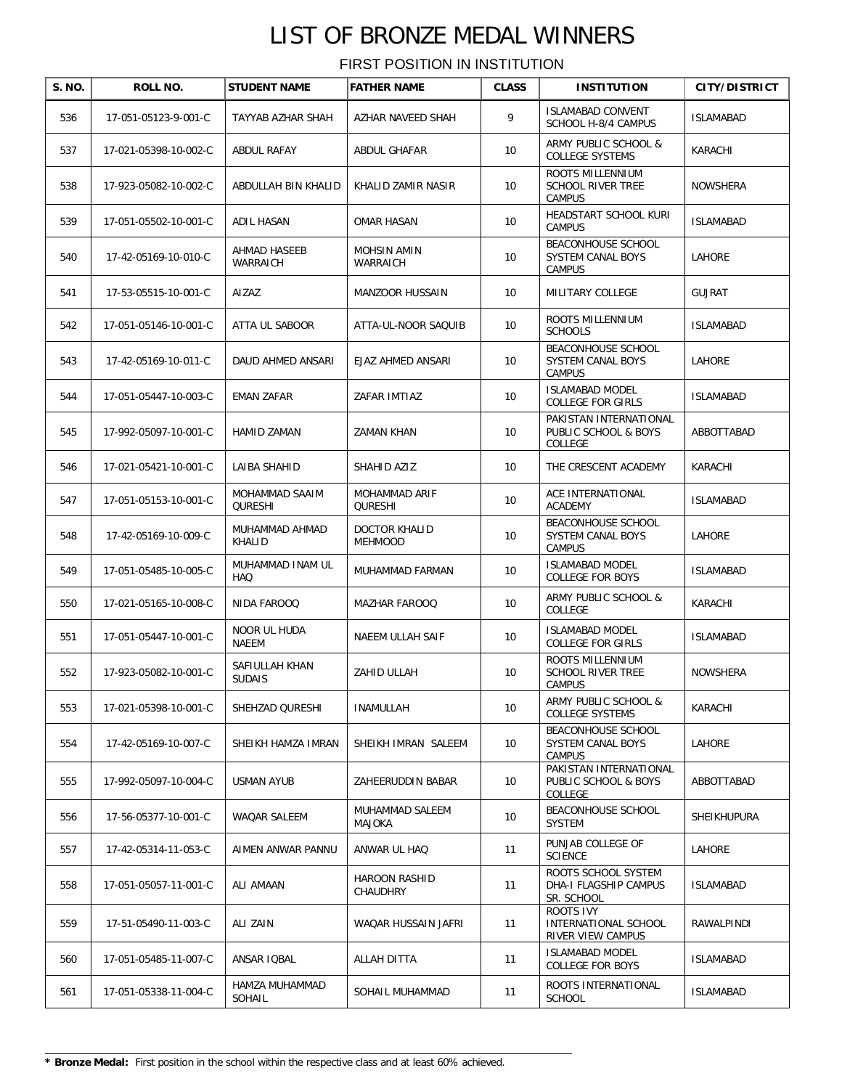| S. NO. | ROLL NO.              | <b>STUDENT NAME</b>              | <b>FATHER NAME</b>              | <b>CLASS</b> | <b>INSTITUTION</b>                                              | <b>CITY/DISTRICT</b> |
|--------|-----------------------|----------------------------------|---------------------------------|--------------|-----------------------------------------------------------------|----------------------|
| 536    | 17-051-05123-9-001-C  | TAYYAB AZHAR SHAH                | AZHAR NAVEED SHAH               | 9            | <b>ISLAMABAD CONVENT</b><br>SCHOOL H-8/4 CAMPUS                 | <b>ISLAMABAD</b>     |
| 537    | 17-021-05398-10-002-C | ABDUL RAFAY                      | ABDUL GHAFAR                    | 10           | ARMY PUBLIC SCHOOL &<br><b>COLLEGE SYSTEMS</b>                  | KARACHI              |
| 538    | 17-923-05082-10-002-C | ABDULLAH BIN KHALID              | KHALID ZAMIR NASIR              | 10           | ROOTS MILLENNIUM<br><b>SCHOOL RIVER TREE</b><br><b>CAMPUS</b>   | NOWSHERA             |
| 539    | 17-051-05502-10-001-C | ADIL HASAN                       | OMAR HASAN                      | 10           | HEADSTART SCHOOL KURI<br><b>CAMPUS</b>                          | <b>ISLAMABAD</b>     |
| 540    | 17-42-05169-10-010-C  | AHMAD HASEEB<br>WARRAICH         | MOHSIN AMIN<br>WARRAICH         | 10           | BEACONHOUSE SCHOOL<br>SYSTEM CANAL BOYS<br>CAMPUS               | LAHORE               |
| 541    | 17-53-05515-10-001-C  | AIZAZ                            | <b>MANZOOR HUSSAIN</b>          | 10           | MILITARY COLLEGE                                                | <b>GUJRAT</b>        |
| 542    | 17-051-05146-10-001-C | ATTA UL SABOOR                   | ATTA-UL-NOOR SAQUIB             | 10           | ROOTS MILLENNIUM<br><b>SCHOOLS</b>                              | <b>ISLAMABAD</b>     |
| 543    | 17-42-05169-10-011-C  | DAUD AHMED ANSARI                | EJAZ AHMED ANSARI               | 10           | BEACONHOUSE SCHOOL<br>SYSTEM CANAL BOYS<br><b>CAMPUS</b>        | LAHORE               |
| 544    | 17-051-05447-10-003-C | EMAN ZAFAR                       | ZAFAR IMTIAZ                    | 10           | <b>ISLAMABAD MODEL</b><br><b>COLLEGE FOR GIRLS</b>              | <b>ISLAMABAD</b>     |
| 545    | 17-992-05097-10-001-C | HAMID ZAMAN                      | ZAMAN KHAN                      | 10           | PAKISTAN INTERNATIONAL<br>PUBLIC SCHOOL & BOYS<br>COLLEGE       | ABBOTTABAD           |
| 546    | 17-021-05421-10-001-C | LAIBA SHAHID                     | SHAHID AZIZ                     | 10           | THE CRESCENT ACADEMY                                            | KARACHI              |
| 547    | 17-051-05153-10-001-C | MOHAMMAD SAAIM<br><b>QURESHI</b> | MOHAMMAD ARIF<br><b>QURESHI</b> | 10           | ACE INTERNATIONAL<br><b>ACADEMY</b>                             | <b>ISLAMABAD</b>     |
| 548    | 17-42-05169-10-009-C  | MUHAMMAD AHMAD<br>KHALID         | DOCTOR KHALID<br><b>MEHMOOD</b> | 10           | BEACONHOUSE SCHOOL<br>SYSTEM CANAL BOYS<br>CAMPUS               | LAHORE               |
| 549    | 17-051-05485-10-005-C | MUHAMMAD INAM UL<br><b>HAQ</b>   | MUHAMMAD FARMAN                 | 10           | <b>ISLAMABAD MODEL</b><br>COLLEGE FOR BOYS                      | <b>ISLAMABAD</b>     |
| 550    | 17-021-05165-10-008-C | NIDA FAROOQ                      | <b>MAZHAR FAROOQ</b>            | 10           | ARMY PUBLIC SCHOOL &<br>COLLEGE                                 | KARACHI              |
| 551    | 17-051-05447-10-001-C | NOOR UL HUDA<br>NAEEM            | NAEEM ULLAH SAIF                | 10           | <b>ISLAMABAD MODEL</b><br><b>COLLEGE FOR GIRLS</b>              | <b>ISLAMABAD</b>     |
| 552    | 17-923-05082-10-001-C | SAFIULLAH KHAN<br><b>SUDAIS</b>  | ZAHID ULLAH                     | 10           | ROOTS MILLENNIUM<br><b>SCHOOL RIVER TREE</b><br><b>CAMPUS</b>   | <b>NOWSHERA</b>      |
| 553    | 17-021-05398-10-001-C | SHEHZAD QURESHI                  | INAMULLAH                       | 10           | ARMY PUBLIC SCHOOL &<br>COLLEGE SYSTEMS                         | KARACHI              |
| 554    | 17-42-05169-10-007-C  | SHEIKH HAMZA IMRAN               | SHEIKH IMRAN SALEEM             | 10           | BEACONHOUSE SCHOOL<br><b>SYSTEM CANAL BOYS</b><br><b>CAMPUS</b> | LAHORE               |
| 555    | 17-992-05097-10-004-C | USMAN AYUB                       | ZAHEERUDDIN BABAR               | 10           | PAKISTAN INTERNATIONAL<br>PUBLIC SCHOOL & BOYS<br>COLLEGE       | ABBOTTABAD           |
| 556    | 17-56-05377-10-001-C  | WAQAR SALEEM                     | MUHAMMAD SALEEM<br>MAJOKA       | 10           | BEACONHOUSE SCHOOL<br><b>SYSTEM</b>                             | SHEIKHUPURA          |
| 557    | 17-42-05314-11-053-C  | AIMEN ANWAR PANNU                | ANWAR UL HAQ                    | 11           | PUNJAB COLLEGE OF<br><b>SCIENCE</b>                             | LAHORE               |
| 558    | 17-051-05057-11-001-C | ALI AMAAN                        | HAROON RASHID<br>CHAUDHRY       | 11           | ROOTS SCHOOL SYSTEM<br>DHA-I FLAGSHIP CAMPUS<br>SR. SCHOOL      | ISLAMABAD            |
| 559    | 17-51-05490-11-003-C  | ALI ZAIN                         | WAQAR HUSSAIN JAFRI             | 11           | ROOTS IVY<br>INTERNATIONAL SCHOOL<br>RIVER VIEW CAMPUS          | RAWALPINDI           |
| 560    | 17-051-05485-11-007-C | ANSAR IQBAL                      | ALLAH DITTA                     | 11           | <b>ISLAMABAD MODEL</b><br>COLLEGE FOR BOYS                      | <b>ISLAMABAD</b>     |
| 561    | 17-051-05338-11-004-C | HAMZA MUHAMMAD<br>SOHAIL         | SOHAIL MUHAMMAD                 | 11           | ROOTS INTERNATIONAL<br><b>SCHOOL</b>                            | <b>ISLAMABAD</b>     |